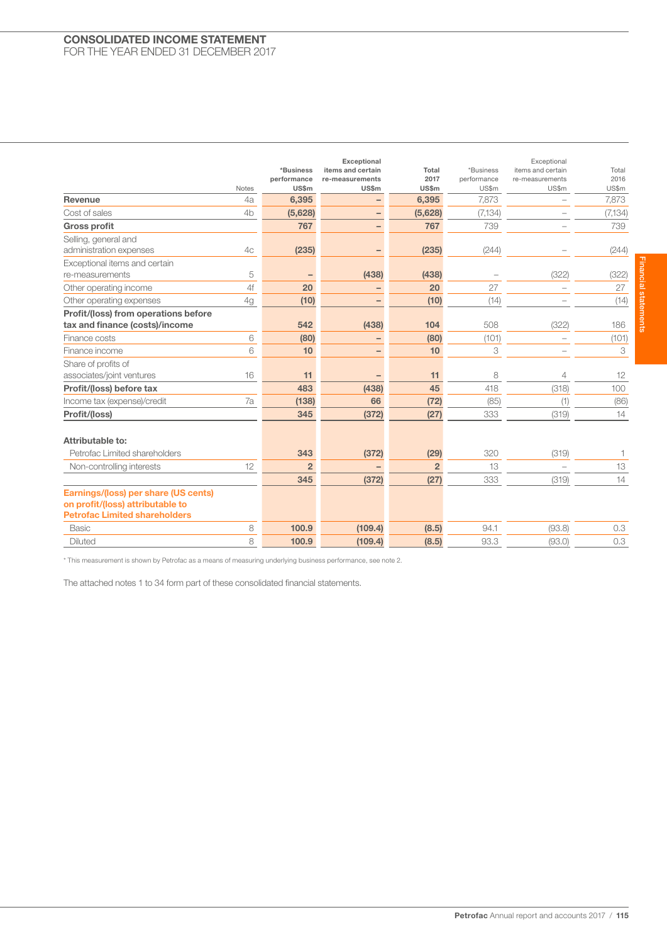## CONSOLIDATED INCOME STATEMENT FOR THE YEAR ENDED 31 DECEMBER 2017

| <b>Notes</b>                                                                                                     | *Business<br>performance<br><b>US\$m</b> | Exceptional<br>items and certain<br>re-measurements<br>US\$m | Total<br>2017<br>US\$m | *Business<br>performance<br>US\$m | Exceptional<br>items and certain<br>re-measurements<br>US\$m | Total<br>2016<br>US\$m |
|------------------------------------------------------------------------------------------------------------------|------------------------------------------|--------------------------------------------------------------|------------------------|-----------------------------------|--------------------------------------------------------------|------------------------|
| <b>Revenue</b><br>4a                                                                                             | 6,395                                    |                                                              | 6.395                  | 7.873                             | -                                                            | 7,873                  |
| Cost of sales<br>4 <sub>b</sub>                                                                                  | (5,628)                                  |                                                              | (5,628)                | (7, 134)                          |                                                              | (7, 134)               |
| <b>Gross profit</b>                                                                                              | 767                                      | $\qquad \qquad -$                                            | 767                    | 739                               |                                                              | 739                    |
| Selling, general and                                                                                             |                                          |                                                              |                        |                                   |                                                              |                        |
| administration expenses<br>4c                                                                                    | (235)                                    |                                                              | (235)                  | (244)                             |                                                              | (244)                  |
| Exceptional items and certain                                                                                    |                                          |                                                              |                        |                                   |                                                              |                        |
| 5<br>re-measurements                                                                                             |                                          | (438)                                                        | (438)                  |                                   | (322)                                                        | (322)                  |
| 4f<br>Other operating income                                                                                     | 20                                       |                                                              | 20                     | 27                                |                                                              | 27                     |
| 4g<br>Other operating expenses                                                                                   | (10)                                     | -                                                            | (10)                   | (14)                              |                                                              | (14)                   |
| Profit/(loss) from operations before                                                                             |                                          |                                                              |                        |                                   |                                                              |                        |
| tax and finance (costs)/income                                                                                   | 542                                      | (438)                                                        | 104                    | 508                               | (322)                                                        | 186                    |
| 6<br>Finance costs                                                                                               | (80)                                     | $\qquad \qquad$                                              | (80)                   | (101)                             |                                                              | (101)                  |
| 6<br>Finance income                                                                                              | 10                                       |                                                              | 10                     | 3                                 | L.                                                           | 3                      |
| Share of profits of                                                                                              |                                          |                                                              |                        |                                   |                                                              |                        |
| 16<br>associates/joint ventures                                                                                  | 11                                       |                                                              | 11                     | 8                                 | 4                                                            | 12                     |
| Profit/(loss) before tax                                                                                         | 483                                      | (438)                                                        | 45                     | 418                               | (318)                                                        | 100                    |
| 7a<br>Income tax (expense)/credit                                                                                | (138)                                    | 66                                                           | (72)                   | (85)                              | (1)                                                          | (86)                   |
| Profit/(loss)                                                                                                    | 345                                      | (372)                                                        | (27)                   | 333                               | (319)                                                        | 14                     |
| Attributable to:                                                                                                 |                                          |                                                              |                        |                                   |                                                              |                        |
| Petrofac Limited shareholders                                                                                    | 343                                      | (372)                                                        | (29)                   | 320                               | (319)                                                        | $\mathbf{1}$           |
| 12<br>Non-controlling interests                                                                                  | $\overline{2}$                           |                                                              | $\overline{2}$         | 13                                | $\overline{a}$                                               | 13                     |
|                                                                                                                  | 345                                      | (372)                                                        | (27)                   | 333                               | (319)                                                        | 14                     |
| Earnings/(loss) per share (US cents)<br>on profit/(loss) attributable to<br><b>Petrofac Limited shareholders</b> |                                          |                                                              |                        |                                   |                                                              |                        |
| 8<br><b>Basic</b>                                                                                                | 100.9                                    | (109.4)                                                      | (8.5)                  | 94.1                              | (93.8)                                                       | 0.3                    |
| 8<br><b>Diluted</b>                                                                                              | 100.9                                    | (109.4)                                                      | (8.5)                  | 93.3                              | (93.0)                                                       | 0.3                    |

\* This measurement is shown by Petrofac as a means of measuring underlying business performance, see note 2.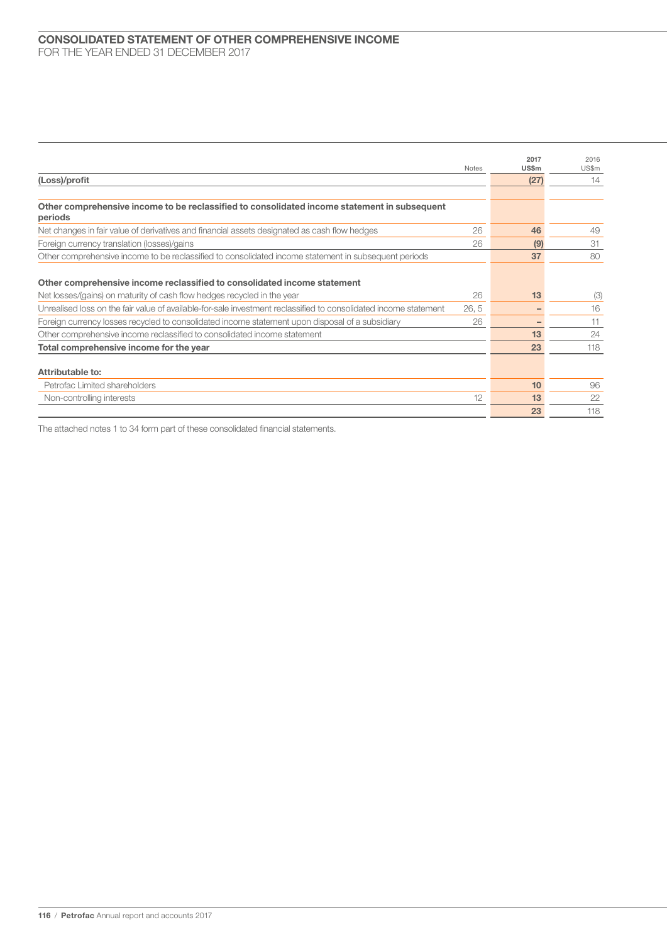|                                                                                                                  | <b>Notes</b> | 2017<br>US\$m | 2016<br>US\$m |
|------------------------------------------------------------------------------------------------------------------|--------------|---------------|---------------|
| (Loss)/profit                                                                                                    |              | (27)          | 14            |
|                                                                                                                  |              |               |               |
| Other comprehensive income to be reclassified to consolidated income statement in subsequent<br>periods          |              |               |               |
| Net changes in fair value of derivatives and financial assets designated as cash flow hedges                     | 26           | 46            | 49            |
| Foreign currency translation (losses)/gains                                                                      | 26           | (9)           | 31            |
| Other comprehensive income to be reclassified to consolidated income statement in subsequent periods             |              | 37            | 80            |
| Other comprehensive income reclassified to consolidated income statement                                         |              |               |               |
| Net losses/(gains) on maturity of cash flow hedges recycled in the year                                          | 26           | 13            | (3)           |
| Unrealised loss on the fair value of available-for-sale investment reclassified to consolidated income statement | 26, 5        |               | 16            |
| Foreign currency losses recycled to consolidated income statement upon disposal of a subsidiary                  | 26           |               | 11            |
| Other comprehensive income reclassified to consolidated income statement                                         |              | 13            | 24            |
| Total comprehensive income for the year                                                                          |              | 23            | 118           |
| Attributable to:                                                                                                 |              |               |               |
| Petrofac Limited shareholders                                                                                    |              | 10            | 96            |
| Non-controlling interests                                                                                        | 12           | 13            | 22            |
|                                                                                                                  |              | 23            | 118           |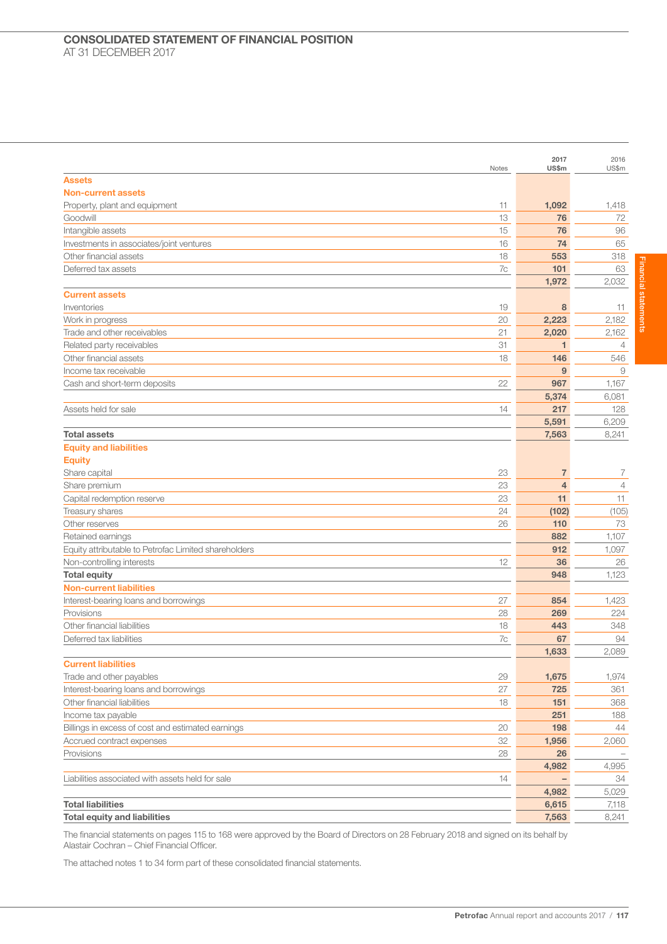| <b>Assets</b><br><b>Non-current assets</b><br>11<br>1,092<br>Property, plant and equipment<br>1,418<br>13<br>76<br>Goodwill<br>72<br>76<br>96<br>Intangible assets<br>15<br>Investments in associates/joint ventures<br>74<br>65<br>16<br>Other financial assets<br>18<br>553<br>318<br>101<br>Deferred tax assets<br>7c<br>63<br>1,972<br>2,032<br><b>Current assets</b><br>Inventories<br>19<br>8<br>11<br>20<br>2,223<br>2,182<br>Work in progress<br>21<br>Trade and other receivables<br>2,020<br>2,162<br>31<br>Related party receivables<br>$\mathbf{1}$<br>$\overline{4}$<br>Other financial assets<br>18<br>146<br>546<br>Income tax receivable<br>9<br>9<br>22<br>967<br>Cash and short-term deposits<br>1,167<br>5,374<br>6,081<br>217<br>Assets held for sale<br>14<br>128<br>5,591<br>6,209<br><b>Total assets</b><br>7,563<br>8,241<br><b>Equity and liabilities</b><br><b>Equity</b><br>$\overline{7}$<br>Share capital<br>23<br>7<br>23<br>$\overline{4}$<br>$\overline{4}$<br>Share premium<br>23<br>Capital redemption reserve<br>11<br>11<br>24<br>Treasury shares<br>(102)<br>(105)<br>Other reserves<br>26<br>110<br>73<br>882<br>1,107<br>Retained earnings<br>912<br>Equity attributable to Petrofac Limited shareholders<br>1,097<br>12<br>36<br>Non-controlling interests<br>26<br><b>Total equity</b><br>948<br>1,123<br><b>Non-current liabilities</b><br>Interest-bearing loans and borrowings<br>27<br>854<br>1,423<br>Provisions<br>28<br>269<br>224<br>Other financial liabilities<br>443<br>348<br>18<br>Deferred tax liabilities<br>7c<br>67<br>94<br>1,633<br>2,089<br><b>Current liabilities</b><br>Trade and other payables<br>29<br>1,675<br>1,974<br>27<br>Interest-bearing loans and borrowings<br>725<br>361<br>Other financial liabilities<br>151<br>368<br>18<br>Income tax payable<br>251<br>188<br>Billings in excess of cost and estimated earnings<br>20<br>198<br>44<br>32<br>Accrued contract expenses<br>1,956<br>2,060<br>Provisions<br>28<br>26<br>4,982<br>4,995<br>Liabilities associated with assets held for sale<br>14<br>34<br>4,982<br>5,029<br><b>Total liabilities</b><br>6,615<br>7,118<br><b>Total equity and liabilities</b><br>7,563<br>8,241 | Notes | 2017<br>US\$m | 2016<br>US\$m |
|---------------------------------------------------------------------------------------------------------------------------------------------------------------------------------------------------------------------------------------------------------------------------------------------------------------------------------------------------------------------------------------------------------------------------------------------------------------------------------------------------------------------------------------------------------------------------------------------------------------------------------------------------------------------------------------------------------------------------------------------------------------------------------------------------------------------------------------------------------------------------------------------------------------------------------------------------------------------------------------------------------------------------------------------------------------------------------------------------------------------------------------------------------------------------------------------------------------------------------------------------------------------------------------------------------------------------------------------------------------------------------------------------------------------------------------------------------------------------------------------------------------------------------------------------------------------------------------------------------------------------------------------------------------------------------------------------------------------------------------------------------------------------------------------------------------------------------------------------------------------------------------------------------------------------------------------------------------------------------------------------------------------------------------------------------------------------------------------------------------------------------------------------------------------------------------------------------------|-------|---------------|---------------|
|                                                                                                                                                                                                                                                                                                                                                                                                                                                                                                                                                                                                                                                                                                                                                                                                                                                                                                                                                                                                                                                                                                                                                                                                                                                                                                                                                                                                                                                                                                                                                                                                                                                                                                                                                                                                                                                                                                                                                                                                                                                                                                                                                                                                               |       |               |               |
|                                                                                                                                                                                                                                                                                                                                                                                                                                                                                                                                                                                                                                                                                                                                                                                                                                                                                                                                                                                                                                                                                                                                                                                                                                                                                                                                                                                                                                                                                                                                                                                                                                                                                                                                                                                                                                                                                                                                                                                                                                                                                                                                                                                                               |       |               |               |
|                                                                                                                                                                                                                                                                                                                                                                                                                                                                                                                                                                                                                                                                                                                                                                                                                                                                                                                                                                                                                                                                                                                                                                                                                                                                                                                                                                                                                                                                                                                                                                                                                                                                                                                                                                                                                                                                                                                                                                                                                                                                                                                                                                                                               |       |               |               |
|                                                                                                                                                                                                                                                                                                                                                                                                                                                                                                                                                                                                                                                                                                                                                                                                                                                                                                                                                                                                                                                                                                                                                                                                                                                                                                                                                                                                                                                                                                                                                                                                                                                                                                                                                                                                                                                                                                                                                                                                                                                                                                                                                                                                               |       |               |               |
|                                                                                                                                                                                                                                                                                                                                                                                                                                                                                                                                                                                                                                                                                                                                                                                                                                                                                                                                                                                                                                                                                                                                                                                                                                                                                                                                                                                                                                                                                                                                                                                                                                                                                                                                                                                                                                                                                                                                                                                                                                                                                                                                                                                                               |       |               |               |
|                                                                                                                                                                                                                                                                                                                                                                                                                                                                                                                                                                                                                                                                                                                                                                                                                                                                                                                                                                                                                                                                                                                                                                                                                                                                                                                                                                                                                                                                                                                                                                                                                                                                                                                                                                                                                                                                                                                                                                                                                                                                                                                                                                                                               |       |               |               |
|                                                                                                                                                                                                                                                                                                                                                                                                                                                                                                                                                                                                                                                                                                                                                                                                                                                                                                                                                                                                                                                                                                                                                                                                                                                                                                                                                                                                                                                                                                                                                                                                                                                                                                                                                                                                                                                                                                                                                                                                                                                                                                                                                                                                               |       |               |               |
|                                                                                                                                                                                                                                                                                                                                                                                                                                                                                                                                                                                                                                                                                                                                                                                                                                                                                                                                                                                                                                                                                                                                                                                                                                                                                                                                                                                                                                                                                                                                                                                                                                                                                                                                                                                                                                                                                                                                                                                                                                                                                                                                                                                                               |       |               |               |
|                                                                                                                                                                                                                                                                                                                                                                                                                                                                                                                                                                                                                                                                                                                                                                                                                                                                                                                                                                                                                                                                                                                                                                                                                                                                                                                                                                                                                                                                                                                                                                                                                                                                                                                                                                                                                                                                                                                                                                                                                                                                                                                                                                                                               |       |               |               |
|                                                                                                                                                                                                                                                                                                                                                                                                                                                                                                                                                                                                                                                                                                                                                                                                                                                                                                                                                                                                                                                                                                                                                                                                                                                                                                                                                                                                                                                                                                                                                                                                                                                                                                                                                                                                                                                                                                                                                                                                                                                                                                                                                                                                               |       |               |               |
|                                                                                                                                                                                                                                                                                                                                                                                                                                                                                                                                                                                                                                                                                                                                                                                                                                                                                                                                                                                                                                                                                                                                                                                                                                                                                                                                                                                                                                                                                                                                                                                                                                                                                                                                                                                                                                                                                                                                                                                                                                                                                                                                                                                                               |       |               |               |
|                                                                                                                                                                                                                                                                                                                                                                                                                                                                                                                                                                                                                                                                                                                                                                                                                                                                                                                                                                                                                                                                                                                                                                                                                                                                                                                                                                                                                                                                                                                                                                                                                                                                                                                                                                                                                                                                                                                                                                                                                                                                                                                                                                                                               |       |               |               |
|                                                                                                                                                                                                                                                                                                                                                                                                                                                                                                                                                                                                                                                                                                                                                                                                                                                                                                                                                                                                                                                                                                                                                                                                                                                                                                                                                                                                                                                                                                                                                                                                                                                                                                                                                                                                                                                                                                                                                                                                                                                                                                                                                                                                               |       |               |               |
|                                                                                                                                                                                                                                                                                                                                                                                                                                                                                                                                                                                                                                                                                                                                                                                                                                                                                                                                                                                                                                                                                                                                                                                                                                                                                                                                                                                                                                                                                                                                                                                                                                                                                                                                                                                                                                                                                                                                                                                                                                                                                                                                                                                                               |       |               |               |
|                                                                                                                                                                                                                                                                                                                                                                                                                                                                                                                                                                                                                                                                                                                                                                                                                                                                                                                                                                                                                                                                                                                                                                                                                                                                                                                                                                                                                                                                                                                                                                                                                                                                                                                                                                                                                                                                                                                                                                                                                                                                                                                                                                                                               |       |               |               |
|                                                                                                                                                                                                                                                                                                                                                                                                                                                                                                                                                                                                                                                                                                                                                                                                                                                                                                                                                                                                                                                                                                                                                                                                                                                                                                                                                                                                                                                                                                                                                                                                                                                                                                                                                                                                                                                                                                                                                                                                                                                                                                                                                                                                               |       |               |               |
|                                                                                                                                                                                                                                                                                                                                                                                                                                                                                                                                                                                                                                                                                                                                                                                                                                                                                                                                                                                                                                                                                                                                                                                                                                                                                                                                                                                                                                                                                                                                                                                                                                                                                                                                                                                                                                                                                                                                                                                                                                                                                                                                                                                                               |       |               |               |
|                                                                                                                                                                                                                                                                                                                                                                                                                                                                                                                                                                                                                                                                                                                                                                                                                                                                                                                                                                                                                                                                                                                                                                                                                                                                                                                                                                                                                                                                                                                                                                                                                                                                                                                                                                                                                                                                                                                                                                                                                                                                                                                                                                                                               |       |               |               |
|                                                                                                                                                                                                                                                                                                                                                                                                                                                                                                                                                                                                                                                                                                                                                                                                                                                                                                                                                                                                                                                                                                                                                                                                                                                                                                                                                                                                                                                                                                                                                                                                                                                                                                                                                                                                                                                                                                                                                                                                                                                                                                                                                                                                               |       |               |               |
|                                                                                                                                                                                                                                                                                                                                                                                                                                                                                                                                                                                                                                                                                                                                                                                                                                                                                                                                                                                                                                                                                                                                                                                                                                                                                                                                                                                                                                                                                                                                                                                                                                                                                                                                                                                                                                                                                                                                                                                                                                                                                                                                                                                                               |       |               |               |
|                                                                                                                                                                                                                                                                                                                                                                                                                                                                                                                                                                                                                                                                                                                                                                                                                                                                                                                                                                                                                                                                                                                                                                                                                                                                                                                                                                                                                                                                                                                                                                                                                                                                                                                                                                                                                                                                                                                                                                                                                                                                                                                                                                                                               |       |               |               |
|                                                                                                                                                                                                                                                                                                                                                                                                                                                                                                                                                                                                                                                                                                                                                                                                                                                                                                                                                                                                                                                                                                                                                                                                                                                                                                                                                                                                                                                                                                                                                                                                                                                                                                                                                                                                                                                                                                                                                                                                                                                                                                                                                                                                               |       |               |               |
|                                                                                                                                                                                                                                                                                                                                                                                                                                                                                                                                                                                                                                                                                                                                                                                                                                                                                                                                                                                                                                                                                                                                                                                                                                                                                                                                                                                                                                                                                                                                                                                                                                                                                                                                                                                                                                                                                                                                                                                                                                                                                                                                                                                                               |       |               |               |
|                                                                                                                                                                                                                                                                                                                                                                                                                                                                                                                                                                                                                                                                                                                                                                                                                                                                                                                                                                                                                                                                                                                                                                                                                                                                                                                                                                                                                                                                                                                                                                                                                                                                                                                                                                                                                                                                                                                                                                                                                                                                                                                                                                                                               |       |               |               |
|                                                                                                                                                                                                                                                                                                                                                                                                                                                                                                                                                                                                                                                                                                                                                                                                                                                                                                                                                                                                                                                                                                                                                                                                                                                                                                                                                                                                                                                                                                                                                                                                                                                                                                                                                                                                                                                                                                                                                                                                                                                                                                                                                                                                               |       |               |               |
|                                                                                                                                                                                                                                                                                                                                                                                                                                                                                                                                                                                                                                                                                                                                                                                                                                                                                                                                                                                                                                                                                                                                                                                                                                                                                                                                                                                                                                                                                                                                                                                                                                                                                                                                                                                                                                                                                                                                                                                                                                                                                                                                                                                                               |       |               |               |
|                                                                                                                                                                                                                                                                                                                                                                                                                                                                                                                                                                                                                                                                                                                                                                                                                                                                                                                                                                                                                                                                                                                                                                                                                                                                                                                                                                                                                                                                                                                                                                                                                                                                                                                                                                                                                                                                                                                                                                                                                                                                                                                                                                                                               |       |               |               |
|                                                                                                                                                                                                                                                                                                                                                                                                                                                                                                                                                                                                                                                                                                                                                                                                                                                                                                                                                                                                                                                                                                                                                                                                                                                                                                                                                                                                                                                                                                                                                                                                                                                                                                                                                                                                                                                                                                                                                                                                                                                                                                                                                                                                               |       |               |               |
|                                                                                                                                                                                                                                                                                                                                                                                                                                                                                                                                                                                                                                                                                                                                                                                                                                                                                                                                                                                                                                                                                                                                                                                                                                                                                                                                                                                                                                                                                                                                                                                                                                                                                                                                                                                                                                                                                                                                                                                                                                                                                                                                                                                                               |       |               |               |
|                                                                                                                                                                                                                                                                                                                                                                                                                                                                                                                                                                                                                                                                                                                                                                                                                                                                                                                                                                                                                                                                                                                                                                                                                                                                                                                                                                                                                                                                                                                                                                                                                                                                                                                                                                                                                                                                                                                                                                                                                                                                                                                                                                                                               |       |               |               |
|                                                                                                                                                                                                                                                                                                                                                                                                                                                                                                                                                                                                                                                                                                                                                                                                                                                                                                                                                                                                                                                                                                                                                                                                                                                                                                                                                                                                                                                                                                                                                                                                                                                                                                                                                                                                                                                                                                                                                                                                                                                                                                                                                                                                               |       |               |               |
|                                                                                                                                                                                                                                                                                                                                                                                                                                                                                                                                                                                                                                                                                                                                                                                                                                                                                                                                                                                                                                                                                                                                                                                                                                                                                                                                                                                                                                                                                                                                                                                                                                                                                                                                                                                                                                                                                                                                                                                                                                                                                                                                                                                                               |       |               |               |
|                                                                                                                                                                                                                                                                                                                                                                                                                                                                                                                                                                                                                                                                                                                                                                                                                                                                                                                                                                                                                                                                                                                                                                                                                                                                                                                                                                                                                                                                                                                                                                                                                                                                                                                                                                                                                                                                                                                                                                                                                                                                                                                                                                                                               |       |               |               |
|                                                                                                                                                                                                                                                                                                                                                                                                                                                                                                                                                                                                                                                                                                                                                                                                                                                                                                                                                                                                                                                                                                                                                                                                                                                                                                                                                                                                                                                                                                                                                                                                                                                                                                                                                                                                                                                                                                                                                                                                                                                                                                                                                                                                               |       |               |               |
|                                                                                                                                                                                                                                                                                                                                                                                                                                                                                                                                                                                                                                                                                                                                                                                                                                                                                                                                                                                                                                                                                                                                                                                                                                                                                                                                                                                                                                                                                                                                                                                                                                                                                                                                                                                                                                                                                                                                                                                                                                                                                                                                                                                                               |       |               |               |
|                                                                                                                                                                                                                                                                                                                                                                                                                                                                                                                                                                                                                                                                                                                                                                                                                                                                                                                                                                                                                                                                                                                                                                                                                                                                                                                                                                                                                                                                                                                                                                                                                                                                                                                                                                                                                                                                                                                                                                                                                                                                                                                                                                                                               |       |               |               |
|                                                                                                                                                                                                                                                                                                                                                                                                                                                                                                                                                                                                                                                                                                                                                                                                                                                                                                                                                                                                                                                                                                                                                                                                                                                                                                                                                                                                                                                                                                                                                                                                                                                                                                                                                                                                                                                                                                                                                                                                                                                                                                                                                                                                               |       |               |               |
|                                                                                                                                                                                                                                                                                                                                                                                                                                                                                                                                                                                                                                                                                                                                                                                                                                                                                                                                                                                                                                                                                                                                                                                                                                                                                                                                                                                                                                                                                                                                                                                                                                                                                                                                                                                                                                                                                                                                                                                                                                                                                                                                                                                                               |       |               |               |
|                                                                                                                                                                                                                                                                                                                                                                                                                                                                                                                                                                                                                                                                                                                                                                                                                                                                                                                                                                                                                                                                                                                                                                                                                                                                                                                                                                                                                                                                                                                                                                                                                                                                                                                                                                                                                                                                                                                                                                                                                                                                                                                                                                                                               |       |               |               |
|                                                                                                                                                                                                                                                                                                                                                                                                                                                                                                                                                                                                                                                                                                                                                                                                                                                                                                                                                                                                                                                                                                                                                                                                                                                                                                                                                                                                                                                                                                                                                                                                                                                                                                                                                                                                                                                                                                                                                                                                                                                                                                                                                                                                               |       |               |               |
|                                                                                                                                                                                                                                                                                                                                                                                                                                                                                                                                                                                                                                                                                                                                                                                                                                                                                                                                                                                                                                                                                                                                                                                                                                                                                                                                                                                                                                                                                                                                                                                                                                                                                                                                                                                                                                                                                                                                                                                                                                                                                                                                                                                                               |       |               |               |
|                                                                                                                                                                                                                                                                                                                                                                                                                                                                                                                                                                                                                                                                                                                                                                                                                                                                                                                                                                                                                                                                                                                                                                                                                                                                                                                                                                                                                                                                                                                                                                                                                                                                                                                                                                                                                                                                                                                                                                                                                                                                                                                                                                                                               |       |               |               |
|                                                                                                                                                                                                                                                                                                                                                                                                                                                                                                                                                                                                                                                                                                                                                                                                                                                                                                                                                                                                                                                                                                                                                                                                                                                                                                                                                                                                                                                                                                                                                                                                                                                                                                                                                                                                                                                                                                                                                                                                                                                                                                                                                                                                               |       |               |               |
|                                                                                                                                                                                                                                                                                                                                                                                                                                                                                                                                                                                                                                                                                                                                                                                                                                                                                                                                                                                                                                                                                                                                                                                                                                                                                                                                                                                                                                                                                                                                                                                                                                                                                                                                                                                                                                                                                                                                                                                                                                                                                                                                                                                                               |       |               |               |
|                                                                                                                                                                                                                                                                                                                                                                                                                                                                                                                                                                                                                                                                                                                                                                                                                                                                                                                                                                                                                                                                                                                                                                                                                                                                                                                                                                                                                                                                                                                                                                                                                                                                                                                                                                                                                                                                                                                                                                                                                                                                                                                                                                                                               |       |               |               |
|                                                                                                                                                                                                                                                                                                                                                                                                                                                                                                                                                                                                                                                                                                                                                                                                                                                                                                                                                                                                                                                                                                                                                                                                                                                                                                                                                                                                                                                                                                                                                                                                                                                                                                                                                                                                                                                                                                                                                                                                                                                                                                                                                                                                               |       |               |               |
|                                                                                                                                                                                                                                                                                                                                                                                                                                                                                                                                                                                                                                                                                                                                                                                                                                                                                                                                                                                                                                                                                                                                                                                                                                                                                                                                                                                                                                                                                                                                                                                                                                                                                                                                                                                                                                                                                                                                                                                                                                                                                                                                                                                                               |       |               |               |
|                                                                                                                                                                                                                                                                                                                                                                                                                                                                                                                                                                                                                                                                                                                                                                                                                                                                                                                                                                                                                                                                                                                                                                                                                                                                                                                                                                                                                                                                                                                                                                                                                                                                                                                                                                                                                                                                                                                                                                                                                                                                                                                                                                                                               |       |               |               |
|                                                                                                                                                                                                                                                                                                                                                                                                                                                                                                                                                                                                                                                                                                                                                                                                                                                                                                                                                                                                                                                                                                                                                                                                                                                                                                                                                                                                                                                                                                                                                                                                                                                                                                                                                                                                                                                                                                                                                                                                                                                                                                                                                                                                               |       |               |               |
|                                                                                                                                                                                                                                                                                                                                                                                                                                                                                                                                                                                                                                                                                                                                                                                                                                                                                                                                                                                                                                                                                                                                                                                                                                                                                                                                                                                                                                                                                                                                                                                                                                                                                                                                                                                                                                                                                                                                                                                                                                                                                                                                                                                                               |       |               |               |
|                                                                                                                                                                                                                                                                                                                                                                                                                                                                                                                                                                                                                                                                                                                                                                                                                                                                                                                                                                                                                                                                                                                                                                                                                                                                                                                                                                                                                                                                                                                                                                                                                                                                                                                                                                                                                                                                                                                                                                                                                                                                                                                                                                                                               |       |               |               |

The financial statements on pages 115 to 168 were approved by the Board of Directors on 28 February 2018 and signed on its behalf by Alastair Cochran – Chief Financial Officer.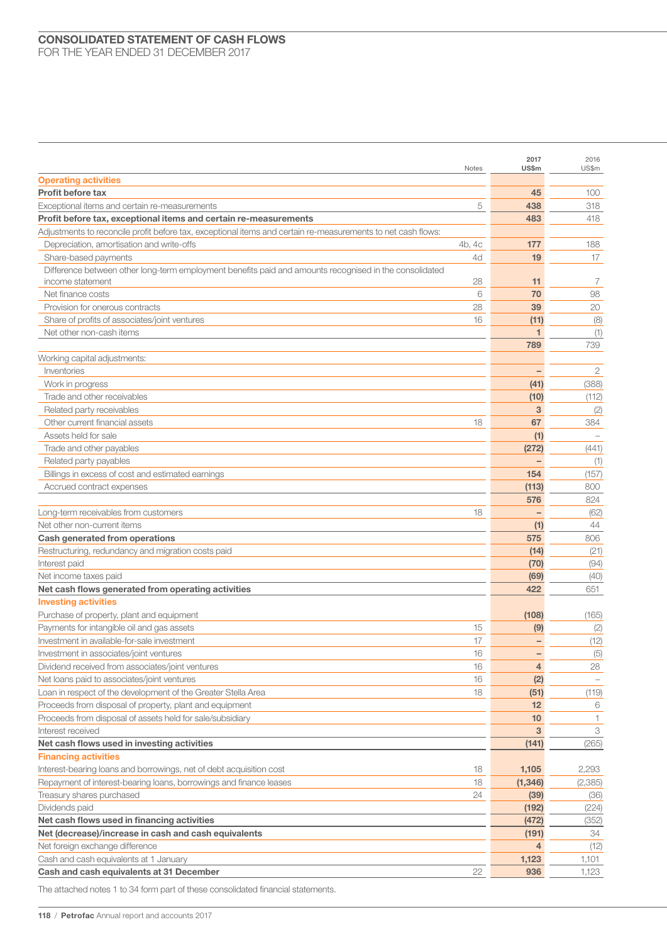|                                                                                                                      | Notes    | 2017<br>US\$m  | 2016<br>US\$m |
|----------------------------------------------------------------------------------------------------------------------|----------|----------------|---------------|
| <b>Operating activities</b>                                                                                          |          |                |               |
| Profit before tax                                                                                                    |          | 45             | 100           |
| Exceptional items and certain re-measurements                                                                        | 5        | 438            | 318           |
| Profit before tax, exceptional items and certain re-measurements                                                     |          | 483            | 418           |
| Adjustments to reconcile profit before tax, exceptional items and certain re-measurements to net cash flows:         |          |                |               |
| Depreciation, amortisation and write-offs                                                                            | 4b, 4c   | 177            | 188           |
| Share-based payments                                                                                                 | 4d       | 19             | 17            |
| Difference between other long-term employment benefits paid and amounts recognised in the consolidated               |          |                |               |
| income statement                                                                                                     | 28       | 11             | 7             |
| Net finance costs                                                                                                    | 6        | 70             | 98            |
| Provision for onerous contracts                                                                                      | 28       | 39             | 20            |
| Share of profits of associates/joint ventures                                                                        | 16       | (11)           | (8)           |
| Net other non-cash items                                                                                             |          |                | (1)           |
|                                                                                                                      |          | 789            | 739           |
| Working capital adjustments:                                                                                         |          |                |               |
| Inventories                                                                                                          |          |                | 2             |
| Work in progress                                                                                                     |          | (41)           | (388)         |
| Trade and other receivables                                                                                          |          | (10)           | (112)         |
| Related party receivables                                                                                            |          | 3              | (2)           |
| Other current financial assets                                                                                       | 18       | 67             | 384           |
| Assets held for sale                                                                                                 |          | (1)            |               |
| Trade and other payables                                                                                             |          | (272)          | (441)         |
| Related party payables                                                                                               |          |                | (1)           |
| Billings in excess of cost and estimated earnings                                                                    |          | 154            | (157)         |
| Accrued contract expenses                                                                                            |          | (113)          | 800           |
|                                                                                                                      |          | 576            | 824           |
| Long-term receivables from customers                                                                                 | 18       |                | (62)          |
| Net other non-current items                                                                                          |          | (1)            | 44            |
| Cash generated from operations                                                                                       |          | 575            | 806           |
| Restructuring, redundancy and migration costs paid                                                                   |          | (14)           | (21)          |
| Interest paid                                                                                                        |          | (70)           | (94)          |
| Net income taxes paid                                                                                                |          | (69)           | (40)          |
| Net cash flows generated from operating activities                                                                   |          | 422            | 651           |
| <b>Investing activities</b>                                                                                          |          |                |               |
| Purchase of property, plant and equipment                                                                            |          | (108)          | (165)         |
| Payments for intangible oil and gas assets                                                                           | 15       | (9)            | (2)           |
| Investment in available-for-sale investment                                                                          | 17       |                | (12)          |
| Investment in associates/joint ventures                                                                              | 16       |                | (5)           |
| Dividend received from associates/joint ventures                                                                     | 16<br>16 | $\overline{4}$ | 28            |
| Net loans paid to associates/joint ventures<br>Loan in respect of the development of the Greater Stella Area         | 18       | (2)            |               |
|                                                                                                                      |          | (51)<br>12     | (119)         |
| Proceeds from disposal of property, plant and equipment<br>Proceeds from disposal of assets held for sale/subsidiary |          | 10             | 6<br>1.       |
| Interest received                                                                                                    |          | 3              | 3             |
| Net cash flows used in investing activities                                                                          |          | (141)          | (265)         |
| <b>Financing activities</b>                                                                                          |          |                |               |
| Interest-bearing loans and borrowings, net of debt acquisition cost                                                  | 18       | 1,105          | 2,293         |
| Repayment of interest-bearing loans, borrowings and finance leases                                                   | 18       | (1, 346)       | (2,385)       |
| Treasury shares purchased                                                                                            | 24       | (39)           | (36)          |
| Dividends paid                                                                                                       |          | (192)          | (224)         |
| Net cash flows used in financing activities                                                                          |          | (472)          | (352)         |
| Net (decrease)/increase in cash and cash equivalents                                                                 |          | (191)          | 34            |
| Net foreign exchange difference                                                                                      |          | 4              | (12)          |
| Cash and cash equivalents at 1 January                                                                               |          | 1,123          | 1,101         |
| Cash and cash equivalents at 31 December                                                                             | 22       | 936            | 1,123         |
|                                                                                                                      |          |                |               |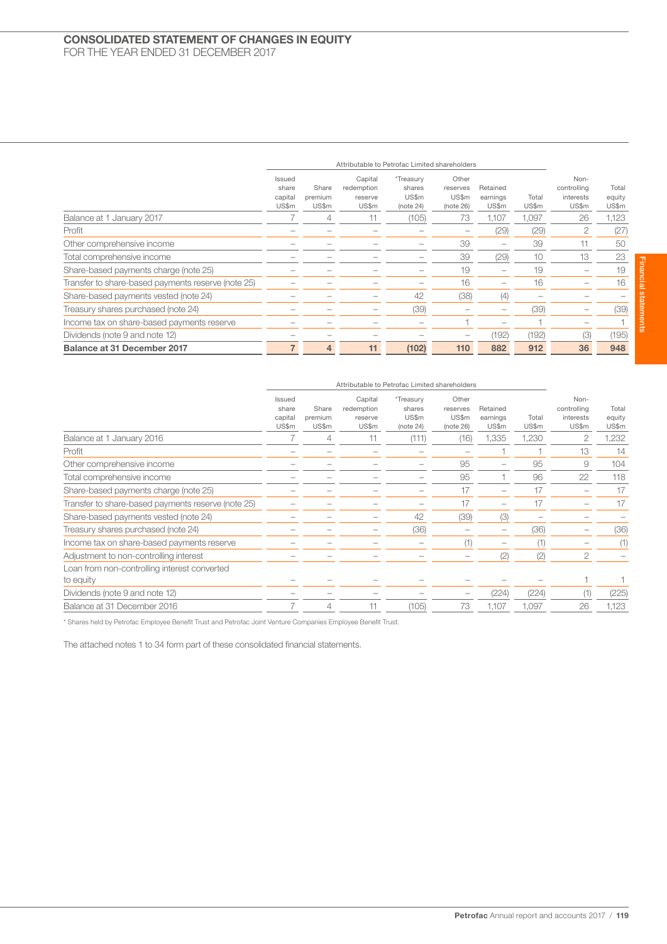## CONSOLIDATED STATEMENT OF CHANGES IN EQUITY FOR THE YEAR ENDED 31 DECEMBER 2017

|                                                    |                                     | Attributable to Petrofac Limited shareholders |                                           |                                           |                                         |                               |                |                                           |                          |
|----------------------------------------------------|-------------------------------------|-----------------------------------------------|-------------------------------------------|-------------------------------------------|-----------------------------------------|-------------------------------|----------------|-------------------------------------------|--------------------------|
|                                                    | Issued<br>share<br>capital<br>US\$m | Share<br>premium<br>US\$m                     | Capital<br>redemption<br>reserve<br>US\$m | *Treasury<br>shares<br>US\$m<br>(note 24) | Other<br>reserves<br>US\$m<br>(note 26) | Retained<br>earnings<br>US\$m | Total<br>US\$m | Non-<br>controlling<br>interests<br>US\$m | Total<br>equity<br>US\$m |
| Balance at 1 January 2017                          |                                     | 4                                             | 11                                        | (105)                                     | 73                                      | 1.107                         | 1.097          | 26                                        | 1,123                    |
| Profit                                             |                                     |                                               |                                           |                                           |                                         | (29)                          | (29)           | 2                                         | (27)                     |
| Other comprehensive income                         |                                     |                                               |                                           |                                           | 39                                      | $\overline{\phantom{0}}$      | 39             |                                           | 50                       |
| Total comprehensive income                         |                                     |                                               |                                           |                                           | 39                                      | (29)                          | 10             | 13                                        | 23                       |
| Share-based payments charge (note 25)              |                                     |                                               |                                           |                                           | 19                                      | -                             | 19             |                                           | 19                       |
| Transfer to share-based payments reserve (note 25) |                                     |                                               |                                           |                                           | 16                                      |                               | 16             |                                           | 16                       |
| Share-based payments vested (note 24)              |                                     |                                               |                                           | 42                                        | (38)                                    | (4)                           |                |                                           |                          |
| Treasury shares purchased (note 24)                |                                     |                                               |                                           | (39)                                      |                                         |                               | (39)           |                                           | (39)                     |
| Income tax on share-based payments reserve         |                                     |                                               |                                           |                                           |                                         |                               |                |                                           |                          |
| Dividends (note 9 and note 12)                     |                                     |                                               |                                           |                                           |                                         | (192)                         | (192)          | (3)                                       | (195)                    |
| <b>Balance at 31 December 2017</b>                 |                                     | 4                                             | 11                                        | (102)                                     | 110                                     | 882                           | 912            | 36                                        | 948                      |

|                                                    |                                     |                           | Attributable to Petrofac Limited shareholders |                                           |                                         |                               |                |                                           |                          |
|----------------------------------------------------|-------------------------------------|---------------------------|-----------------------------------------------|-------------------------------------------|-----------------------------------------|-------------------------------|----------------|-------------------------------------------|--------------------------|
|                                                    | Issued<br>share<br>capital<br>US\$m | Share<br>premium<br>US\$m | Capital<br>redemption<br>reserve<br>US\$m     | *Treasury<br>shares<br>US\$m<br>(note 24) | Other<br>reserves<br>US\$m<br>(note 26) | Retained<br>earnings<br>US\$m | Total<br>US\$m | Non-<br>controlling<br>interests<br>US\$m | Total<br>equity<br>US\$m |
| Balance at 1 January 2016                          |                                     | 4                         | 11                                            | (111)                                     | (16)                                    | 1,335                         | 1,230          | 2                                         | 1,232                    |
| Profit                                             |                                     |                           |                                               |                                           |                                         |                               |                | 13                                        | 14                       |
| Other comprehensive income                         |                                     |                           |                                               |                                           | 95                                      |                               | 95             | 9                                         | 104                      |
| Total comprehensive income                         |                                     |                           |                                               |                                           | 95                                      |                               | 96             | 22                                        | 118                      |
| Share-based payments charge (note 25)              |                                     |                           |                                               |                                           | 17                                      |                               | 17             |                                           | 17                       |
| Transfer to share-based payments reserve (note 25) |                                     |                           |                                               |                                           | 17                                      |                               | 17             |                                           | 17                       |
| Share-based payments vested (note 24)              |                                     |                           |                                               | 42                                        | (39)                                    | (3)                           |                |                                           |                          |
| Treasury shares purchased (note 24)                |                                     |                           |                                               | (36)                                      |                                         |                               | (36)           |                                           | (36)                     |
| Income tax on share-based payments reserve         |                                     |                           |                                               |                                           | (1)                                     |                               |                |                                           | (1)                      |
| Adjustment to non-controlling interest             |                                     |                           |                                               |                                           |                                         | (2)                           | (2)            | 2                                         |                          |
| Loan from non-controlling interest converted       |                                     |                           |                                               |                                           |                                         |                               |                |                                           |                          |
| to equity                                          |                                     |                           |                                               |                                           |                                         |                               |                |                                           |                          |
| Dividends (note 9 and note 12)                     |                                     |                           |                                               |                                           | $\overline{\phantom{0}}$                | (224)                         | (224)          | (1)                                       | (225)                    |
| Balance at 31 December 2016                        |                                     | 4                         | 11                                            | (105)                                     | 73                                      | 1,107                         | 1,097          | 26                                        | 1,123                    |
|                                                    |                                     |                           |                                               |                                           |                                         |                               |                |                                           |                          |

\* Shares held by Petrofac Employee Benefit Trust and Petrofac Joint Venture Companies Employee Benefit Trust.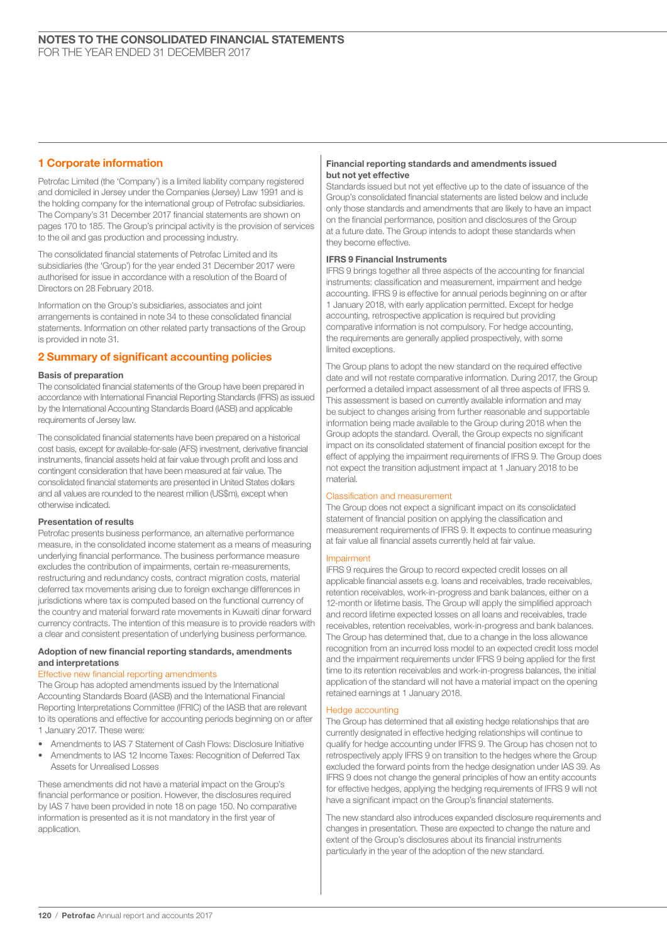# 1 Corporate information

Petrofac Limited (the 'Company') is a limited liability company registered and domiciled in Jersey under the Companies (Jersey) Law 1991 and is the holding company for the international group of Petrofac subsidiaries. The Company's 31 December 2017 financial statements are shown on pages 170 to 185. The Group's principal activity is the provision of services to the oil and gas production and processing industry.

The consolidated financial statements of Petrofac Limited and its subsidiaries (the 'Group') for the year ended 31 December 2017 were authorised for issue in accordance with a resolution of the Board of Directors on 28 February 2018.

Information on the Group's subsidiaries, associates and joint arrangements is contained in note 34 to these consolidated financial statements. Information on other related party transactions of the Group is provided in note 31.

## 2 Summary of significant accounting policies

## Basis of preparation

The consolidated financial statements of the Group have been prepared in accordance with International Financial Reporting Standards (IFRS) as issued by the International Accounting Standards Board (IASB) and applicable requirements of Jersey law.

The consolidated financial statements have been prepared on a historical cost basis, except for available-for-sale (AFS) investment, derivative financial instruments, financial assets held at fair value through profit and loss and contingent consideration that have been measured at fair value. The consolidated financial statements are presented in United States dollars and all values are rounded to the nearest million (US\$m), except when otherwise indicated.

## Presentation of results

Petrofac presents business performance, an alternative performance measure, in the consolidated income statement as a means of measuring underlying financial performance. The business performance measure excludes the contribution of impairments, certain re-measurements, restructuring and redundancy costs, contract migration costs, material deferred tax movements arising due to foreign exchange differences in jurisdictions where tax is computed based on the functional currency of the country and material forward rate movements in Kuwaiti dinar forward currency contracts. The intention of this measure is to provide readers with a clear and consistent presentation of underlying business performance.

## Adoption of new financial reporting standards, amendments and interpretations

## Effective new financial reporting amendments

The Group has adopted amendments issued by the International Accounting Standards Board (IASB) and the International Financial Reporting Interpretations Committee (IFRIC) of the IASB that are relevant to its operations and effective for accounting periods beginning on or after 1 January 2017. These were:

- Amendments to IAS 7 Statement of Cash Flows: Disclosure Initiative
- Amendments to IAS 12 Income Taxes: Recognition of Deferred Tax Assets for Unrealised Losses

These amendments did not have a material impact on the Group's financial performance or position. However, the disclosures required by IAS 7 have been provided in note 18 on page 150. No comparative information is presented as it is not mandatory in the first year of application.

## Financial reporting standards and amendments issued but not yet effective

Standards issued but not yet effective up to the date of issuance of the Group's consolidated financial statements are listed below and include only those standards and amendments that are likely to have an impact on the financial performance, position and disclosures of the Group at a future date. The Group intends to adopt these standards when they become effective.

## IFRS 9 Financial Instruments

IFRS 9 brings together all three aspects of the accounting for financial instruments: classification and measurement, impairment and hedge accounting. IFRS 9 is effective for annual periods beginning on or after 1 January 2018, with early application permitted. Except for hedge accounting, retrospective application is required but providing comparative information is not compulsory. For hedge accounting, the requirements are generally applied prospectively, with some limited exceptions.

The Group plans to adopt the new standard on the required effective date and will not restate comparative information. During 2017, the Group performed a detailed impact assessment of all three aspects of IFRS 9. This assessment is based on currently available information and may be subject to changes arising from further reasonable and supportable information being made available to the Group during 2018 when the Group adopts the standard. Overall, the Group expects no significant impact on its consolidated statement of financial position except for the effect of applying the impairment requirements of IFRS 9. The Group does not expect the transition adjustment impact at 1 January 2018 to be material.

## Classification and measurement

The Group does not expect a significant impact on its consolidated statement of financial position on applying the classification and measurement requirements of IFRS 9. It expects to continue measuring at fair value all financial assets currently held at fair value.

## Impairment

IFRS 9 requires the Group to record expected credit losses on all applicable financial assets e.g. loans and receivables, trade receivables, retention receivables, work-in-progress and bank balances, either on a 12-month or lifetime basis. The Group will apply the simplified approach and record lifetime expected losses on all loans and receivables, trade receivables, retention receivables, work-in-progress and bank balances. The Group has determined that, due to a change in the loss allowance recognition from an incurred loss model to an expected credit loss model and the impairment requirements under IFRS 9 being applied for the first time to its retention receivables and work-in-progress balances, the initial application of the standard will not have a material impact on the opening retained earnings at 1 January 2018.

## Hedge accounting

The Group has determined that all existing hedge relationships that are currently designated in effective hedging relationships will continue to qualify for hedge accounting under IFRS 9. The Group has chosen not to retrospectively apply IFRS 9 on transition to the hedges where the Group excluded the forward points from the hedge designation under IAS 39. As IFRS 9 does not change the general principles of how an entity accounts for effective hedges, applying the hedging requirements of IFRS 9 will not have a significant impact on the Group's financial statements.

The new standard also introduces expanded disclosure requirements and changes in presentation. These are expected to change the nature and extent of the Group's disclosures about its financial instruments particularly in the year of the adoption of the new standard.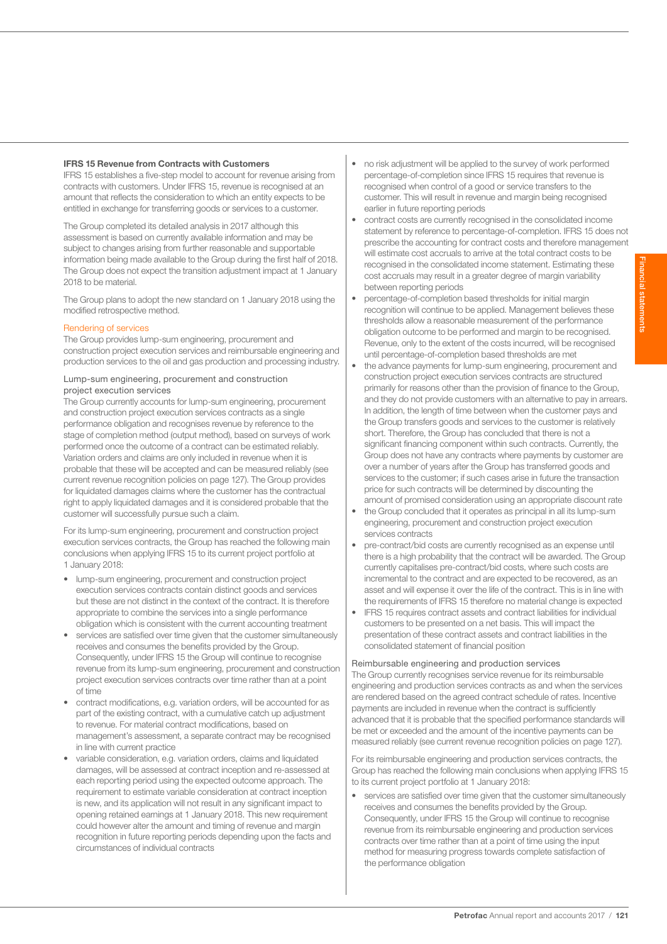## IFRS 15 Revenue from Contracts with Customers

IFRS 15 establishes a five-step model to account for revenue arising from contracts with customers. Under IFRS 15, revenue is recognised at an amount that reflects the consideration to which an entity expects to be entitled in exchange for transferring goods or services to a customer.

The Group completed its detailed analysis in 2017 although this assessment is based on currently available information and may be subject to changes arising from further reasonable and supportable information being made available to the Group during the first half of 2018. The Group does not expect the transition adjustment impact at 1 January 2018 to be material.

The Group plans to adopt the new standard on 1 January 2018 using the modified retrospective method.

## Rendering of services

The Group provides lump-sum engineering, procurement and construction project execution services and reimbursable engineering and production services to the oil and gas production and processing industry.

### Lump-sum engineering, procurement and construction project execution services

The Group currently accounts for lump-sum engineering, procurement and construction project execution services contracts as a single performance obligation and recognises revenue by reference to the stage of completion method (output method), based on surveys of work performed once the outcome of a contract can be estimated reliably. Variation orders and claims are only included in revenue when it is probable that these will be accepted and can be measured reliably (see current revenue recognition policies on page 127). The Group provides for liquidated damages claims where the customer has the contractual right to apply liquidated damages and it is considered probable that the customer will successfully pursue such a claim.

For its lump-sum engineering, procurement and construction project execution services contracts, the Group has reached the following main conclusions when applying IFRS 15 to its current project portfolio at 1 January 2018:

- lump-sum engineering, procurement and construction project execution services contracts contain distinct goods and services but these are not distinct in the context of the contract. It is therefore appropriate to combine the services into a single performance obligation which is consistent with the current accounting treatment
- services are satisfied over time given that the customer simultaneously receives and consumes the benefits provided by the Group. Consequently, under IFRS 15 the Group will continue to recognise revenue from its lump-sum engineering, procurement and construction project execution services contracts over time rather than at a point of time
- contract modifications, e.g. variation orders, will be accounted for as part of the existing contract, with a cumulative catch up adjustment to revenue. For material contract modifications, based on management's assessment, a separate contract may be recognised in line with current practice
- variable consideration, e.g. variation orders, claims and liquidated damages, will be assessed at contract inception and re-assessed at each reporting period using the expected outcome approach. The requirement to estimate variable consideration at contract inception is new, and its application will not result in any significant impact to opening retained earnings at 1 January 2018. This new requirement could however alter the amount and timing of revenue and margin recognition in future reporting periods depending upon the facts and circumstances of individual contracts
- no risk adjustment will be applied to the survey of work performed percentage-of-completion since IFRS 15 requires that revenue is recognised when control of a good or service transfers to the customer. This will result in revenue and margin being recognised earlier in future reporting periods
- contract costs are currently recognised in the consolidated income statement by reference to percentage-of-completion. IFRS 15 does not prescribe the accounting for contract costs and therefore management will estimate cost accruals to arrive at the total contract costs to be recognised in the consolidated income statement. Estimating these cost accruals may result in a greater degree of margin variability between reporting periods
- percentage-of-completion based thresholds for initial margin recognition will continue to be applied. Management believes these thresholds allow a reasonable measurement of the performance obligation outcome to be performed and margin to be recognised. Revenue, only to the extent of the costs incurred, will be recognised until percentage-of-completion based thresholds are met
- the advance payments for lump-sum engineering, procurement and construction project execution services contracts are structured primarily for reasons other than the provision of finance to the Group, and they do not provide customers with an alternative to pay in arrears. In addition, the length of time between when the customer pays and the Group transfers goods and services to the customer is relatively short. Therefore, the Group has concluded that there is not a significant financing component within such contracts. Currently, the Group does not have any contracts where payments by customer are over a number of years after the Group has transferred goods and services to the customer; if such cases arise in future the transaction price for such contracts will be determined by discounting the amount of promised consideration using an appropriate discount rate
- the Group concluded that it operates as principal in all its lump-sum engineering, procurement and construction project execution services contracts
- pre-contract/bid costs are currently recognised as an expense until there is a high probability that the contract will be awarded. The Group currently capitalises pre-contract/bid costs, where such costs are incremental to the contract and are expected to be recovered, as an asset and will expense it over the life of the contract. This is in line with the requirements of IFRS 15 therefore no material change is expected
- IFRS 15 requires contract assets and contract liabilities for individual customers to be presented on a net basis. This will impact the presentation of these contract assets and contract liabilities in the consolidated statement of financial position

## Reimbursable engineering and production services

The Group currently recognises service revenue for its reimbursable engineering and production services contracts as and when the services are rendered based on the agreed contract schedule of rates. Incentive payments are included in revenue when the contract is sufficiently advanced that it is probable that the specified performance standards will be met or exceeded and the amount of the incentive payments can be measured reliably (see current revenue recognition policies on page 127).

For its reimbursable engineering and production services contracts, the Group has reached the following main conclusions when applying IFRS 15 to its current project portfolio at 1 January 2018:

• services are satisfied over time given that the customer simultaneously receives and consumes the benefits provided by the Group. Consequently, under IFRS 15 the Group will continue to recognise revenue from its reimbursable engineering and production services contracts over time rather than at a point of time using the input method for measuring progress towards complete satisfaction of the performance obligation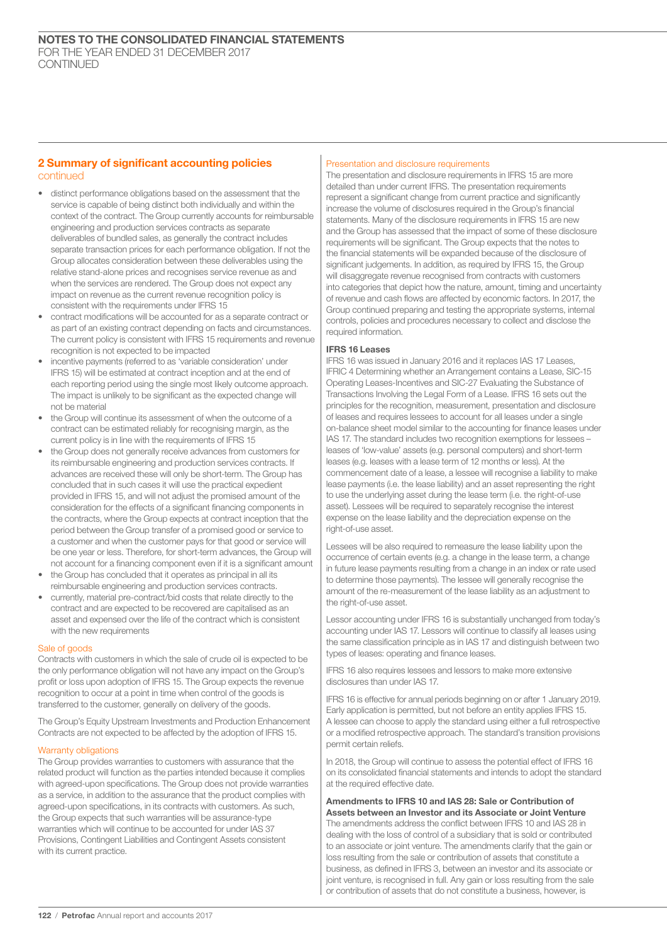## 2 Summary of significant accounting policies continued

- distinct performance obligations based on the assessment that the service is capable of being distinct both individually and within the context of the contract. The Group currently accounts for reimbursable engineering and production services contracts as separate deliverables of bundled sales, as generally the contract includes separate transaction prices for each performance obligation. If not the Group allocates consideration between these deliverables using the relative stand-alone prices and recognises service revenue as and when the services are rendered. The Group does not expect any impact on revenue as the current revenue recognition policy is consistent with the requirements under IFRS 15
- contract modifications will be accounted for as a separate contract or as part of an existing contract depending on facts and circumstances. The current policy is consistent with IFRS 15 requirements and revenue recognition is not expected to be impacted
- incentive payments (referred to as 'variable consideration' under IFRS 15) will be estimated at contract inception and at the end of each reporting period using the single most likely outcome approach. The impact is unlikely to be significant as the expected change will not be material
- the Group will continue its assessment of when the outcome of a contract can be estimated reliably for recognising margin, as the current policy is in line with the requirements of IFRS 15
- the Group does not generally receive advances from customers for its reimbursable engineering and production services contracts. If advances are received these will only be short-term. The Group has concluded that in such cases it will use the practical expedient provided in IFRS 15, and will not adjust the promised amount of the consideration for the effects of a significant financing components in the contracts, where the Group expects at contract inception that the period between the Group transfer of a promised good or service to a customer and when the customer pays for that good or service will be one year or less. Therefore, for short-term advances, the Group will not account for a financing component even if it is a significant amount
- the Group has concluded that it operates as principal in all its reimbursable engineering and production services contracts.
- currently, material pre-contract/bid costs that relate directly to the contract and are expected to be recovered are capitalised as an asset and expensed over the life of the contract which is consistent with the new requirements

## Sale of goods

Contracts with customers in which the sale of crude oil is expected to be the only performance obligation will not have any impact on the Group's profit or loss upon adoption of IFRS 15. The Group expects the revenue recognition to occur at a point in time when control of the goods is transferred to the customer, generally on delivery of the goods.

The Group's Equity Upstream Investments and Production Enhancement Contracts are not expected to be affected by the adoption of IFRS 15.

## Warranty obligations

The Group provides warranties to customers with assurance that the related product will function as the parties intended because it complies with agreed-upon specifications. The Group does not provide warranties as a service, in addition to the assurance that the product complies with agreed-upon specifications, in its contracts with customers. As such, the Group expects that such warranties will be assurance-type warranties which will continue to be accounted for under IAS 37 Provisions, Contingent Liabilities and Contingent Assets consistent with its current practice.

## Presentation and disclosure requirements

The presentation and disclosure requirements in IFRS 15 are more detailed than under current IFRS. The presentation requirements represent a significant change from current practice and significantly increase the volume of disclosures required in the Group's financial statements. Many of the disclosure requirements in IFRS 15 are new and the Group has assessed that the impact of some of these disclosure requirements will be significant. The Group expects that the notes to the financial statements will be expanded because of the disclosure of significant judgements. In addition, as required by IFRS 15, the Group will disaggregate revenue recognised from contracts with customers into categories that depict how the nature, amount, timing and uncertainty of revenue and cash flows are affected by economic factors. In 2017, the Group continued preparing and testing the appropriate systems, internal controls, policies and procedures necessary to collect and disclose the required information.

## IFRS 16 Leases

IFRS 16 was issued in January 2016 and it replaces IAS 17 Leases, IFRIC 4 Determining whether an Arrangement contains a Lease, SIC-15 Operating Leases-Incentives and SIC-27 Evaluating the Substance of Transactions Involving the Legal Form of a Lease. IFRS 16 sets out the principles for the recognition, measurement, presentation and disclosure of leases and requires lessees to account for all leases under a single on-balance sheet model similar to the accounting for finance leases under IAS 17. The standard includes two recognition exemptions for lessees – leases of 'low-value' assets (e.g. personal computers) and short-term leases (e.g. leases with a lease term of 12 months or less). At the commencement date of a lease, a lessee will recognise a liability to make lease payments (i.e. the lease liability) and an asset representing the right to use the underlying asset during the lease term (i.e. the right-of-use asset). Lessees will be required to separately recognise the interest expense on the lease liability and the depreciation expense on the right-of-use asset.

Lessees will be also required to remeasure the lease liability upon the occurrence of certain events (e.g. a change in the lease term, a change in future lease payments resulting from a change in an index or rate used to determine those payments). The lessee will generally recognise the amount of the re-measurement of the lease liability as an adjustment to the right-of-use asset

Lessor accounting under IFRS 16 is substantially unchanged from today's accounting under IAS 17. Lessors will continue to classify all leases using the same classification principle as in IAS 17 and distinguish between two types of leases: operating and finance leases.

IFRS 16 also requires lessees and lessors to make more extensive disclosures than under IAS 17

IFRS 16 is effective for annual periods beginning on or after 1 January 2019. Early application is permitted, but not before an entity applies IFRS 15. A lessee can choose to apply the standard using either a full retrospective or a modified retrospective approach. The standard's transition provisions permit certain reliefs.

In 2018, the Group will continue to assess the potential effect of IFRS 16 on its consolidated financial statements and intends to adopt the standard at the required effective date.

Amendments to IFRS 10 and IAS 28: Sale or Contribution of Assets between an Investor and its Associate or Joint Venture The amendments address the conflict between IFRS 10 and IAS 28 in dealing with the loss of control of a subsidiary that is sold or contributed to an associate or joint venture. The amendments clarify that the gain or loss resulting from the sale or contribution of assets that constitute a business, as defined in IFRS 3, between an investor and its associate or joint venture, is recognised in full. Any gain or loss resulting from the sale or contribution of assets that do not constitute a business, however, is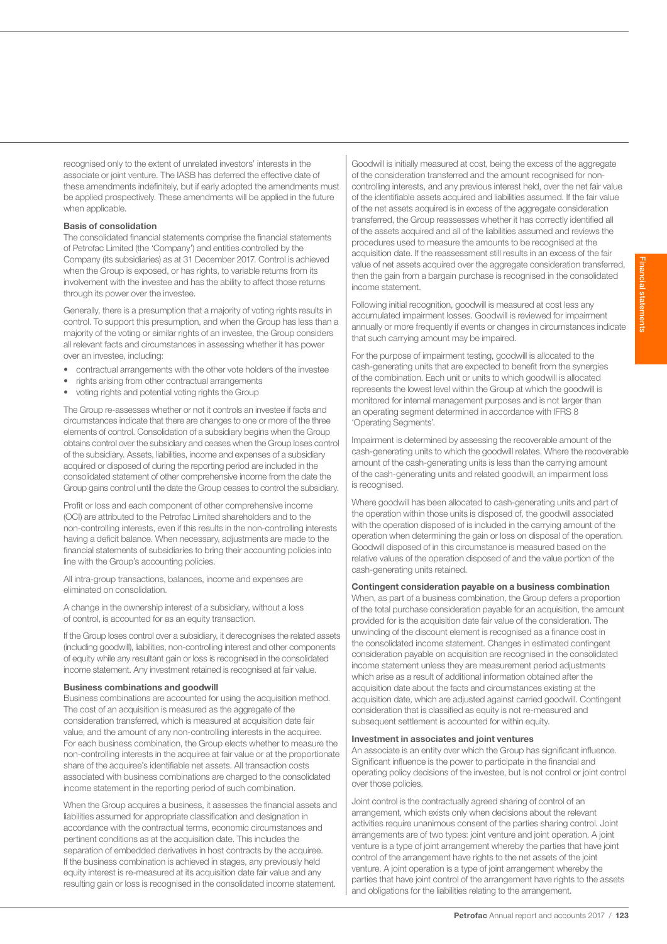recognised only to the extent of unrelated investors' interests in the associate or joint venture. The IASB has deferred the effective date of these amendments indefinitely, but if early adopted the amendments must be applied prospectively. These amendments will be applied in the future

## Basis of consolidation

when applicable.

The consolidated financial statements comprise the financial statements of Petrofac Limited (the 'Company') and entities controlled by the Company (its subsidiaries) as at 31 December 2017. Control is achieved when the Group is exposed, or has rights, to variable returns from its involvement with the investee and has the ability to affect those returns through its power over the investee.

Generally, there is a presumption that a majority of voting rights results in control. To support this presumption, and when the Group has less than a majority of the voting or similar rights of an investee, the Group considers all relevant facts and circumstances in assessing whether it has power over an investee, including:

- contractual arrangements with the other vote holders of the investee
- rights arising from other contractual arrangements
- voting rights and potential voting rights the Group

The Group re-assesses whether or not it controls an investee if facts and circumstances indicate that there are changes to one or more of the three elements of control. Consolidation of a subsidiary begins when the Group obtains control over the subsidiary and ceases when the Group loses control of the subsidiary. Assets, liabilities, income and expenses of a subsidiary acquired or disposed of during the reporting period are included in the consolidated statement of other comprehensive income from the date the Group gains control until the date the Group ceases to control the subsidiary.

Profit or loss and each component of other comprehensive income (OCI) are attributed to the Petrofac Limited shareholders and to the non-controlling interests, even if this results in the non-controlling interests having a deficit balance. When necessary, adjustments are made to the financial statements of subsidiaries to bring their accounting policies into line with the Group's accounting policies.

All intra-group transactions, balances, income and expenses are eliminated on consolidation.

A change in the ownership interest of a subsidiary, without a loss of control, is accounted for as an equity transaction.

If the Group loses control over a subsidiary, it derecognises the related assets (including goodwill), liabilities, non-controlling interest and other components of equity while any resultant gain or loss is recognised in the consolidated income statement. Any investment retained is recognised at fair value.

## Business combinations and goodwill

Business combinations are accounted for using the acquisition method. The cost of an acquisition is measured as the aggregate of the consideration transferred, which is measured at acquisition date fair value, and the amount of any non-controlling interests in the acquiree. For each business combination, the Group elects whether to measure the non-controlling interests in the acquiree at fair value or at the proportionate share of the acquiree's identifiable net assets. All transaction costs associated with business combinations are charged to the consolidated income statement in the reporting period of such combination.

When the Group acquires a business, it assesses the financial assets and liabilities assumed for appropriate classification and designation in accordance with the contractual terms, economic circumstances and pertinent conditions as at the acquisition date. This includes the separation of embedded derivatives in host contracts by the acquiree. If the business combination is achieved in stages, any previously held equity interest is re-measured at its acquisition date fair value and any resulting gain or loss is recognised in the consolidated income statement. Goodwill is initially measured at cost, being the excess of the aggregate of the consideration transferred and the amount recognised for noncontrolling interests, and any previous interest held, over the net fair value of the identifiable assets acquired and liabilities assumed. If the fair value of the net assets acquired is in excess of the aggregate consideration transferred, the Group reassesses whether it has correctly identified all of the assets acquired and all of the liabilities assumed and reviews the procedures used to measure the amounts to be recognised at the acquisition date. If the reassessment still results in an excess of the fair value of net assets acquired over the aggregate consideration transferred, then the gain from a bargain purchase is recognised in the consolidated income statement.

Following initial recognition, goodwill is measured at cost less any accumulated impairment losses. Goodwill is reviewed for impairment annually or more frequently if events or changes in circumstances indicate that such carrying amount may be impaired.

For the purpose of impairment testing, goodwill is allocated to the cash-generating units that are expected to benefit from the synergies of the combination. Each unit or units to which goodwill is allocated represents the lowest level within the Group at which the goodwill is monitored for internal management purposes and is not larger than an operating segment determined in accordance with IFRS 8 'Operating Segments'.

Impairment is determined by assessing the recoverable amount of the cash-generating units to which the goodwill relates. Where the recoverable amount of the cash-generating units is less than the carrying amount of the cash-generating units and related goodwill, an impairment loss is recognised.

Where goodwill has been allocated to cash-generating units and part of the operation within those units is disposed of, the goodwill associated with the operation disposed of is included in the carrying amount of the operation when determining the gain or loss on disposal of the operation. Goodwill disposed of in this circumstance is measured based on the relative values of the operation disposed of and the value portion of the cash-generating units retained.

## Contingent consideration payable on a business combination

When, as part of a business combination, the Group defers a proportion of the total purchase consideration payable for an acquisition, the amount provided for is the acquisition date fair value of the consideration. The unwinding of the discount element is recognised as a finance cost in the consolidated income statement. Changes in estimated contingent consideration payable on acquisition are recognised in the consolidated income statement unless they are measurement period adjustments which arise as a result of additional information obtained after the acquisition date about the facts and circumstances existing at the acquisition date, which are adjusted against carried goodwill. Contingent consideration that is classified as equity is not re-measured and subsequent settlement is accounted for within equity.

## Investment in associates and joint ventures

An associate is an entity over which the Group has significant influence. Significant influence is the power to participate in the financial and operating policy decisions of the investee, but is not control or joint control over those policies.

Joint control is the contractually agreed sharing of control of an arrangement, which exists only when decisions about the relevant activities require unanimous consent of the parties sharing control. Joint arrangements are of two types: joint venture and joint operation. A joint venture is a type of joint arrangement whereby the parties that have joint control of the arrangement have rights to the net assets of the joint venture. A joint operation is a type of joint arrangement whereby the parties that have joint control of the arrangement have rights to the assets and obligations for the liabilities relating to the arrangement.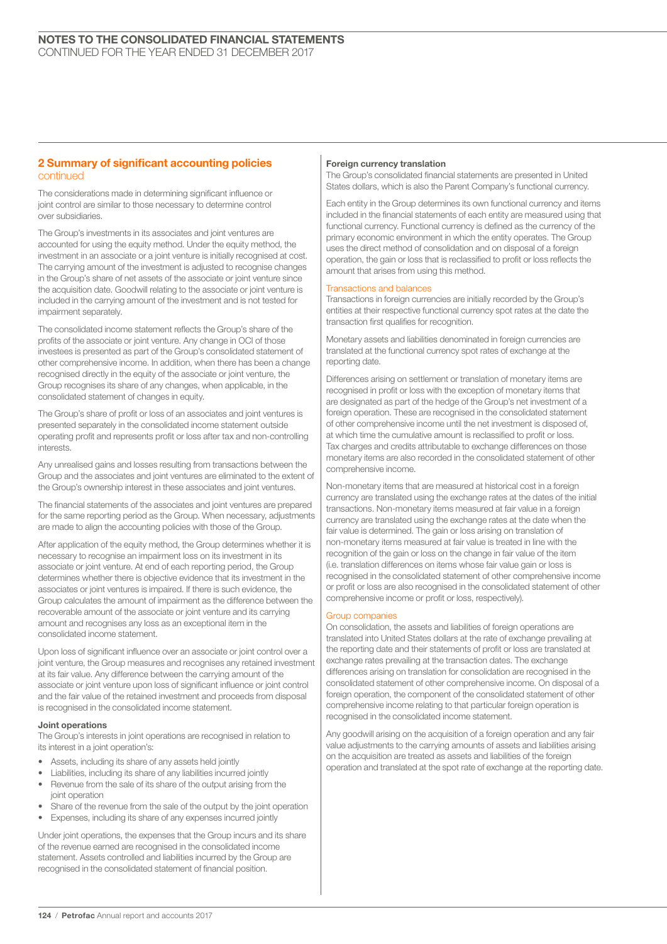## 2 Summary of significant accounting policies continued

The considerations made in determining significant influence or joint control are similar to those necessary to determine control over subsidiaries.

The Group's investments in its associates and joint ventures are accounted for using the equity method. Under the equity method, the investment in an associate or a joint venture is initially recognised at cost. The carrying amount of the investment is adjusted to recognise changes in the Group's share of net assets of the associate or joint venture since the acquisition date. Goodwill relating to the associate or joint venture is included in the carrying amount of the investment and is not tested for impairment separately.

The consolidated income statement reflects the Group's share of the profits of the associate or joint venture. Any change in OCI of those investees is presented as part of the Group's consolidated statement of other comprehensive income. In addition, when there has been a change recognised directly in the equity of the associate or joint venture, the Group recognises its share of any changes, when applicable, in the consolidated statement of changes in equity.

The Group's share of profit or loss of an associates and joint ventures is presented separately in the consolidated income statement outside operating profit and represents profit or loss after tax and non-controlling interests.

Any unrealised gains and losses resulting from transactions between the Group and the associates and joint ventures are eliminated to the extent of the Group's ownership interest in these associates and joint ventures.

The financial statements of the associates and joint ventures are prepared for the same reporting period as the Group. When necessary, adjustments are made to align the accounting policies with those of the Group.

After application of the equity method, the Group determines whether it is necessary to recognise an impairment loss on its investment in its associate or joint venture. At end of each reporting period, the Group determines whether there is objective evidence that its investment in the associates or joint ventures is impaired. If there is such evidence, the Group calculates the amount of impairment as the difference between the recoverable amount of the associate or joint venture and its carrying amount and recognises any loss as an exceptional item in the consolidated income statement.

Upon loss of significant influence over an associate or joint control over a joint venture, the Group measures and recognises any retained investment at its fair value. Any difference between the carrying amount of the associate or joint venture upon loss of significant influence or joint control and the fair value of the retained investment and proceeds from disposal is recognised in the consolidated income statement.

## Joint operations

The Group's interests in joint operations are recognised in relation to its interest in a joint operation's:

- Assets, including its share of any assets held jointly
- Liabilities, including its share of any liabilities incurred jointly
- Revenue from the sale of its share of the output arising from the joint operation
- Share of the revenue from the sale of the output by the joint operation
- Expenses, including its share of any expenses incurred jointly

Under joint operations, the expenses that the Group incurs and its share of the revenue earned are recognised in the consolidated income statement. Assets controlled and liabilities incurred by the Group are recognised in the consolidated statement of financial position.

#### Foreign currency translation

The Group's consolidated financial statements are presented in United States dollars, which is also the Parent Company's functional currency.

Each entity in the Group determines its own functional currency and items included in the financial statements of each entity are measured using that functional currency. Functional currency is defined as the currency of the primary economic environment in which the entity operates. The Group uses the direct method of consolidation and on disposal of a foreign operation, the gain or loss that is reclassified to profit or loss reflects the amount that arises from using this method.

#### Transactions and balances

Transactions in foreign currencies are initially recorded by the Group's entities at their respective functional currency spot rates at the date the transaction first qualifies for recognition.

Monetary assets and liabilities denominated in foreign currencies are translated at the functional currency spot rates of exchange at the reporting date.

Differences arising on settlement or translation of monetary items are recognised in profit or loss with the exception of monetary items that are designated as part of the hedge of the Group's net investment of a foreign operation. These are recognised in the consolidated statement of other comprehensive income until the net investment is disposed of, at which time the cumulative amount is reclassified to profit or loss. Tax charges and credits attributable to exchange differences on those monetary items are also recorded in the consolidated statement of other comprehensive income.

Non-monetary items that are measured at historical cost in a foreign currency are translated using the exchange rates at the dates of the initial transactions. Non-monetary items measured at fair value in a foreign currency are translated using the exchange rates at the date when the fair value is determined. The gain or loss arising on translation of non-monetary items measured at fair value is treated in line with the recognition of the gain or loss on the change in fair value of the item (i.e. translation differences on items whose fair value gain or loss is recognised in the consolidated statement of other comprehensive income or profit or loss are also recognised in the consolidated statement of other comprehensive income or profit or loss, respectively).

## Group companies

On consolidation, the assets and liabilities of foreign operations are translated into United States dollars at the rate of exchange prevailing at the reporting date and their statements of profit or loss are translated at exchange rates prevailing at the transaction dates. The exchange differences arising on translation for consolidation are recognised in the consolidated statement of other comprehensive income. On disposal of a foreign operation, the component of the consolidated statement of other comprehensive income relating to that particular foreign operation is recognised in the consolidated income statement.

Any goodwill arising on the acquisition of a foreign operation and any fair value adjustments to the carrying amounts of assets and liabilities arising on the acquisition are treated as assets and liabilities of the foreign operation and translated at the spot rate of exchange at the reporting date.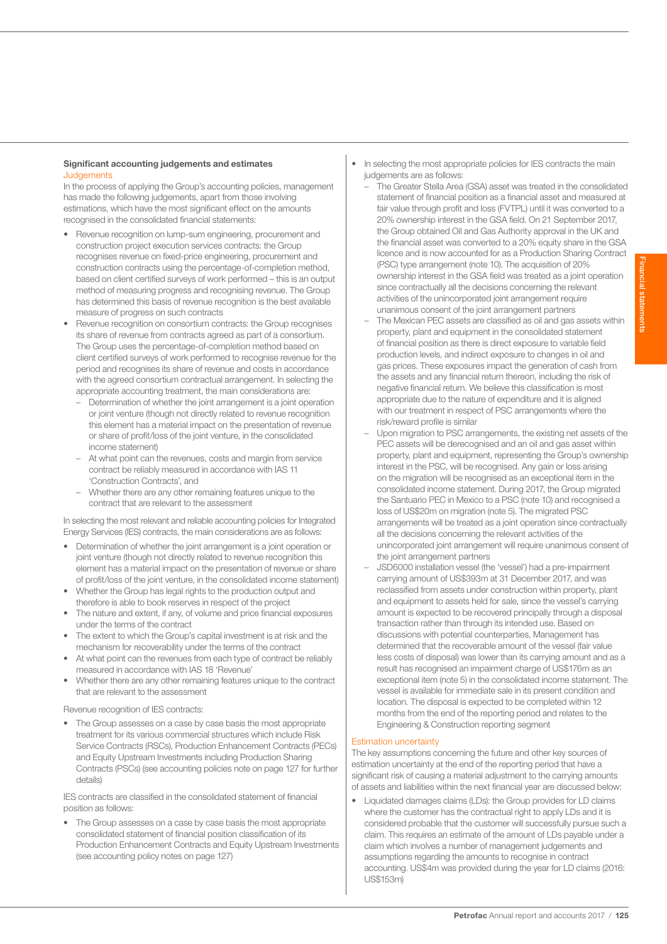## Significant accounting judgements and estimates **Judgements**

In the process of applying the Group's accounting policies, management has made the following judgements, apart from those involving estimations, which have the most significant effect on the amounts recognised in the consolidated financial statements:

- Revenue recognition on lump-sum engineering, procurement and construction project execution services contracts: the Group recognises revenue on fixed-price engineering, procurement and construction contracts using the percentage-of-completion method, based on client certified surveys of work performed – this is an output method of measuring progress and recognising revenue. The Group has determined this basis of revenue recognition is the best available measure of progress on such contracts
- Revenue recognition on consortium contracts: the Group recognises its share of revenue from contracts agreed as part of a consortium. The Group uses the percentage-of-completion method based on client certified surveys of work performed to recognise revenue for the period and recognises its share of revenue and costs in accordance with the agreed consortium contractual arrangement. In selecting the appropriate accounting treatment, the main considerations are:
	- Determination of whether the joint arrangement is a joint operation or joint venture (though not directly related to revenue recognition this element has a material impact on the presentation of revenue or share of profit/loss of the joint venture, in the consolidated income statement)
	- At what point can the revenues, costs and margin from service contract be reliably measured in accordance with IAS 11 'Construction Contracts', and
	- Whether there are any other remaining features unique to the contract that are relevant to the assessment

In selecting the most relevant and reliable accounting policies for Integrated Energy Services (IES) contracts, the main considerations are as follows:

- Determination of whether the joint arrangement is a joint operation or joint venture (though not directly related to revenue recognition this element has a material impact on the presentation of revenue or share of profit/loss of the joint venture, in the consolidated income statement)
- Whether the Group has legal rights to the production output and therefore is able to book reserves in respect of the project
- The nature and extent, if any, of volume and price financial exposures under the terms of the contract
- The extent to which the Group's capital investment is at risk and the mechanism for recoverability under the terms of the contract
- At what point can the revenues from each type of contract be reliably measured in accordance with IAS 18 'Revenue'
- Whether there are any other remaining features unique to the contract that are relevant to the assessment

Revenue recognition of IES contracts:

The Group assesses on a case by case basis the most appropriate treatment for its various commercial structures which include Risk Service Contracts (RSCs), Production Enhancement Contracts (PECs) and Equity Upstream Investments including Production Sharing Contracts (PSCs) (see accounting policies note on page 127 for further details)

IES contracts are classified in the consolidated statement of financial position as follows:

The Group assesses on a case by case basis the most appropriate consolidated statement of financial position classification of its Production Enhancement Contracts and Equity Upstream Investments (see accounting policy notes on page 127)

- In selecting the most appropriate policies for IES contracts the main judgements are as follows:
	- The Greater Stella Area (GSA) asset was treated in the consolidated statement of financial position as a financial asset and measured at fair value through profit and loss (FVTPL) until it was converted to a 20% ownership interest in the GSA field. On 21 September 2017, the Group obtained Oil and Gas Authority approval in the UK and the financial asset was converted to a 20% equity share in the GSA licence and is now accounted for as a Production Sharing Contract (PSC) type arrangement (note 10). The acquisition of 20% ownership interest in the GSA field was treated as a joint operation since contractually all the decisions concerning the relevant activities of the unincorporated joint arrangement require unanimous consent of the joint arrangement partners
	- The Mexican PEC assets are classified as oil and gas assets within property, plant and equipment in the consolidated statement of financial position as there is direct exposure to variable field production levels, and indirect exposure to changes in oil and gas prices. These exposures impact the generation of cash from the assets and any financial return thereon, including the risk of negative financial return. We believe this classification is most appropriate due to the nature of expenditure and it is aligned with our treatment in respect of PSC arrangements where the risk/reward profile is similar
	- Upon migration to PSC arrangements, the existing net assets of the PEC assets will be derecognised and an oil and gas asset within property, plant and equipment, representing the Group's ownership interest in the PSC, will be recognised. Any gain or loss arising on the migration will be recognised as an exceptional item in the consolidated income statement. During 2017, the Group migrated the Santuario PEC in Mexico to a PSC (note 10) and recognised a loss of US\$20m on migration (note 5). The migrated PSC arrangements will be treated as a joint operation since contractually all the decisions concerning the relevant activities of the unincorporated joint arrangement will require unanimous consent of the joint arrangement partners
	- JSD6000 installation vessel (the 'vessel') had a pre-impairment carrying amount of US\$393m at 31 December 2017, and was reclassified from assets under construction within property, plant and equipment to assets held for sale, since the vessel's carrying amount is expected to be recovered principally through a disposal transaction rather than through its intended use. Based on discussions with potential counterparties, Management has determined that the recoverable amount of the vessel (fair value less costs of disposal) was lower than its carrying amount and as a result has recognised an impairment charge of US\$176m as an exceptional item (note 5) in the consolidated income statement. The vessel is available for immediate sale in its present condition and location. The disposal is expected to be completed within 12 months from the end of the reporting period and relates to the Engineering & Construction reporting segment

## Estimation uncertainty

The key assumptions concerning the future and other key sources of estimation uncertainty at the end of the reporting period that have a significant risk of causing a material adjustment to the carrying amounts of assets and liabilities within the next financial year are discussed below:

• Liquidated damages claims (LDs): the Group provides for LD claims where the customer has the contractual right to apply LDs and it is considered probable that the customer will successfully pursue such a claim. This requires an estimate of the amount of LDs payable under a claim which involves a number of management judgements and assumptions regarding the amounts to recognise in contract accounting. US\$4m was provided during the year for LD claims (2016: US\$153m)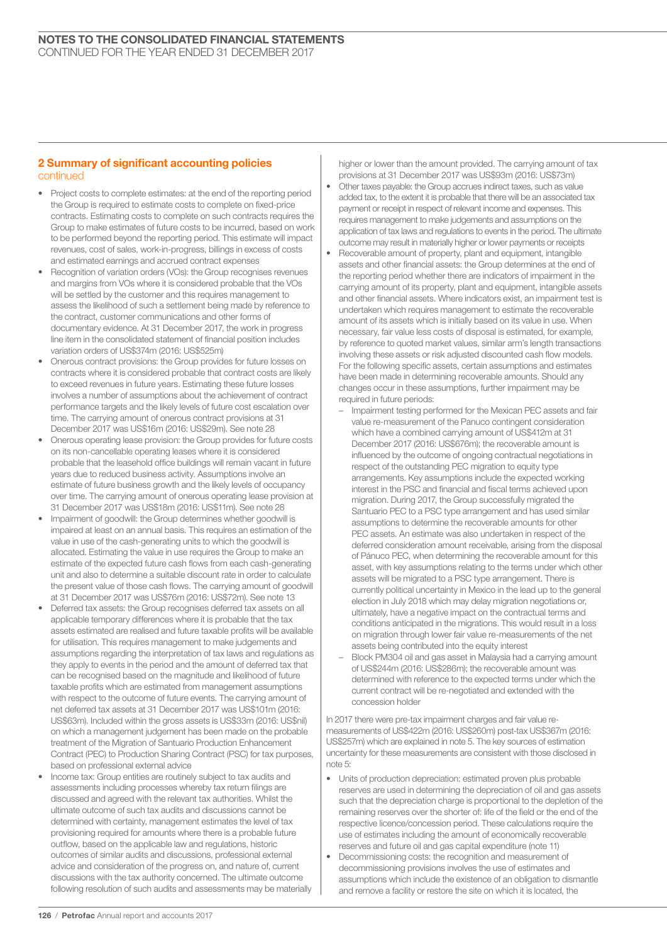## 2 Summary of significant accounting policies continued

- Project costs to complete estimates: at the end of the reporting period the Group is required to estimate costs to complete on fixed-price contracts. Estimating costs to complete on such contracts requires the Group to make estimates of future costs to be incurred, based on work to be performed beyond the reporting period. This estimate will impact revenues, cost of sales, work-in-progress, billings in excess of costs and estimated earnings and accrued contract expenses
- Recognition of variation orders (VOs): the Group recognises revenues and margins from VOs where it is considered probable that the VOs will be settled by the customer and this requires management to assess the likelihood of such a settlement being made by reference to the contract, customer communications and other forms of documentary evidence. At 31 December 2017, the work in progress line item in the consolidated statement of financial position includes variation orders of US\$374m (2016: US\$525m)
- Onerous contract provisions: the Group provides for future losses on contracts where it is considered probable that contract costs are likely to exceed revenues in future years. Estimating these future losses involves a number of assumptions about the achievement of contract performance targets and the likely levels of future cost escalation over time. The carrying amount of onerous contract provisions at 31 December 2017 was US\$16m (2016: US\$29m). See note 28
- Onerous operating lease provision: the Group provides for future costs on its non-cancellable operating leases where it is considered probable that the leasehold office buildings will remain vacant in future years due to reduced business activity. Assumptions involve an estimate of future business growth and the likely levels of occupancy over time. The carrying amount of onerous operating lease provision at 31 December 2017 was US\$18m (2016: US\$11m). See note 28
- Impairment of goodwill: the Group determines whether goodwill is impaired at least on an annual basis. This requires an estimation of the value in use of the cash-generating units to which the goodwill is allocated. Estimating the value in use requires the Group to make an estimate of the expected future cash flows from each cash-generating unit and also to determine a suitable discount rate in order to calculate the present value of those cash flows. The carrying amount of goodwill at 31 December 2017 was US\$76m (2016: US\$72m). See note 13
- Deferred tax assets: the Group recognises deferred tax assets on all applicable temporary differences where it is probable that the tax assets estimated are realised and future taxable profits will be available for utilisation. This requires management to make judgements and assumptions regarding the interpretation of tax laws and regulations as they apply to events in the period and the amount of deferred tax that can be recognised based on the magnitude and likelihood of future taxable profits which are estimated from management assumptions with respect to the outcome of future events. The carrying amount of net deferred tax assets at 31 December 2017 was US\$101m (2016: US\$63m). Included within the gross assets is US\$33m (2016: US\$nil) on which a management judgement has been made on the probable treatment of the Migration of Santuario Production Enhancement Contract (PEC) to Production Sharing Contract (PSC) for tax purposes, based on professional external advice
- Income tax: Group entities are routinely subject to tax audits and assessments including processes whereby tax return filings are discussed and agreed with the relevant tax authorities. Whilst the ultimate outcome of such tax audits and discussions cannot be determined with certainty, management estimates the level of tax provisioning required for amounts where there is a probable future outflow, based on the applicable law and regulations, historic outcomes of similar audits and discussions, professional external advice and consideration of the progress on, and nature of, current discussions with the tax authority concerned. The ultimate outcome following resolution of such audits and assessments may be materially

higher or lower than the amount provided. The carrying amount of tax provisions at 31 December 2017 was US\$93m (2016: US\$73m)

- Other taxes payable: the Group accrues indirect taxes, such as value added tax, to the extent it is probable that there will be an associated tax payment or receipt in respect of relevant income and expenses. This requires management to make judgements and assumptions on the application of tax laws and regulations to events in the period. The ultimate outcome may result in materially higher or lower payments or receipts
- Recoverable amount of property, plant and equipment, intangible assets and other financial assets: the Group determines at the end of the reporting period whether there are indicators of impairment in the carrying amount of its property, plant and equipment, intangible assets and other financial assets. Where indicators exist, an impairment test is undertaken which requires management to estimate the recoverable amount of its assets which is initially based on its value in use. When necessary, fair value less costs of disposal is estimated, for example, by reference to quoted market values, similar arm's length transactions involving these assets or risk adjusted discounted cash flow models. For the following specific assets, certain assumptions and estimates have been made in determining recoverable amounts. Should any changes occur in these assumptions, further impairment may be required in future periods:
	- Impairment testing performed for the Mexican PEC assets and fair value re-measurement of the Panuco contingent consideration which have a combined carrying amount of US\$412m at 31 December 2017 (2016: US\$676m); the recoverable amount is influenced by the outcome of ongoing contractual negotiations in respect of the outstanding PEC migration to equity type arrangements. Key assumptions include the expected working interest in the PSC and financial and fiscal terms achieved upon migration. During 2017, the Group successfully migrated the Santuario PEC to a PSC type arrangement and has used similar assumptions to determine the recoverable amounts for other PEC assets. An estimate was also undertaken in respect of the deferred consideration amount receivable, arising from the disposal of Pánuco PEC, when determining the recoverable amount for this asset, with key assumptions relating to the terms under which other assets will be migrated to a PSC type arrangement. There is currently political uncertainty in Mexico in the lead up to the general election in July 2018 which may delay migration negotiations or, ultimately, have a negative impact on the contractual terms and conditions anticipated in the migrations. This would result in a loss on migration through lower fair value re-measurements of the net assets being contributed into the equity interest
	- Block PM304 oil and gas asset in Malaysia had a carrying amount of US\$244m (2016: US\$286m); the recoverable amount was determined with reference to the expected terms under which the current contract will be re-negotiated and extended with the concession holder

In 2017 there were pre-tax impairment charges and fair value remeasurements of US\$422m (2016: US\$260m) post-tax US\$367m (2016: US\$257m) which are explained in note 5. The key sources of estimation uncertainty for these measurements are consistent with those disclosed in note 5:

- Units of production depreciation: estimated proven plus probable reserves are used in determining the depreciation of oil and gas assets such that the depreciation charge is proportional to the depletion of the remaining reserves over the shorter of: life of the field or the end of the respective licence/concession period. These calculations require the use of estimates including the amount of economically recoverable reserves and future oil and gas capital expenditure (note 11)
- Decommissioning costs: the recognition and measurement of decommissioning provisions involves the use of estimates and assumptions which include the existence of an obligation to dismantle and remove a facility or restore the site on which it is located, the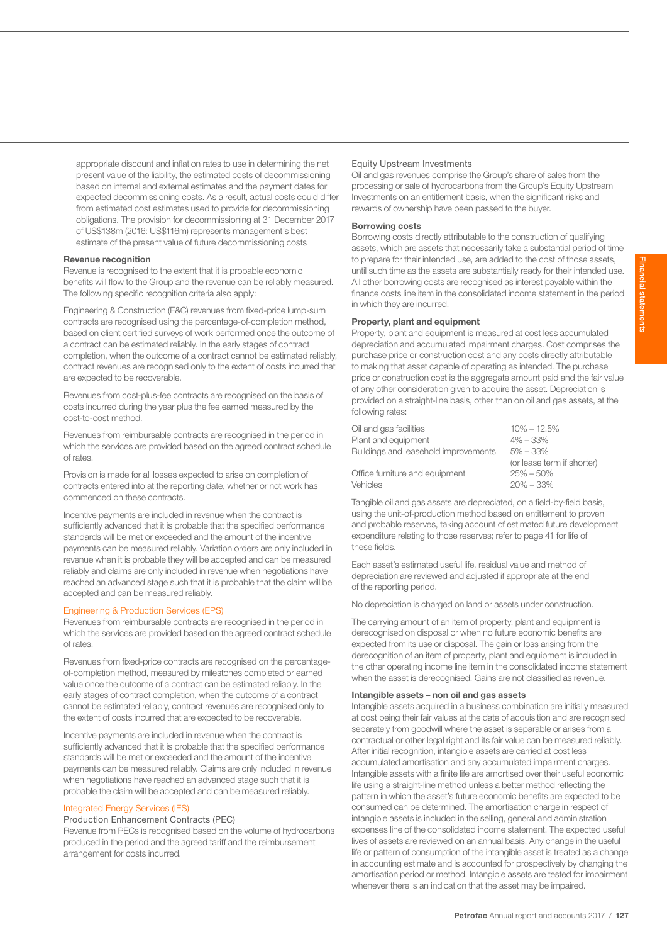appropriate discount and inflation rates to use in determining the net present value of the liability, the estimated costs of decommissioning based on internal and external estimates and the payment dates for expected decommissioning costs. As a result, actual costs could differ from estimated cost estimates used to provide for decommissioning obligations. The provision for decommissioning at 31 December 2017 of US\$138m (2016: US\$116m) represents management's best estimate of the present value of future decommissioning costs

#### Revenue recognition

Revenue is recognised to the extent that it is probable economic benefits will flow to the Group and the revenue can be reliably measured. The following specific recognition criteria also apply:

Engineering & Construction (E&C) revenues from fixed-price lump-sum contracts are recognised using the percentage-of-completion method, based on client certified surveys of work performed once the outcome of a contract can be estimated reliably. In the early stages of contract completion, when the outcome of a contract cannot be estimated reliably, contract revenues are recognised only to the extent of costs incurred that are expected to be recoverable.

Revenues from cost-plus-fee contracts are recognised on the basis of costs incurred during the year plus the fee earned measured by the cost-to-cost method.

Revenues from reimbursable contracts are recognised in the period in which the services are provided based on the agreed contract schedule of rates.

Provision is made for all losses expected to arise on completion of contracts entered into at the reporting date, whether or not work has commenced on these contracts.

Incentive payments are included in revenue when the contract is sufficiently advanced that it is probable that the specified performance standards will be met or exceeded and the amount of the incentive payments can be measured reliably. Variation orders are only included in revenue when it is probable they will be accepted and can be measured reliably and claims are only included in revenue when negotiations have reached an advanced stage such that it is probable that the claim will be accepted and can be measured reliably.

## Engineering & Production Services (EPS)

Revenues from reimbursable contracts are recognised in the period in which the services are provided based on the agreed contract schedule of rates.

Revenues from fixed-price contracts are recognised on the percentageof-completion method, measured by milestones completed or earned value once the outcome of a contract can be estimated reliably. In the early stages of contract completion, when the outcome of a contract cannot be estimated reliably, contract revenues are recognised only to the extent of costs incurred that are expected to be recoverable.

Incentive payments are included in revenue when the contract is sufficiently advanced that it is probable that the specified performance standards will be met or exceeded and the amount of the incentive payments can be measured reliably. Claims are only included in revenue when negotiations have reached an advanced stage such that it is probable the claim will be accepted and can be measured reliably.

#### Integrated Energy Services (IES)

Production Enhancement Contracts (PEC)

Revenue from PECs is recognised based on the volume of hydrocarbons produced in the period and the agreed tariff and the reimbursement arrangement for costs incurred.

## Equity Upstream Investments

Oil and gas revenues comprise the Group's share of sales from the processing or sale of hydrocarbons from the Group's Equity Upstream Investments on an entitlement basis, when the significant risks and rewards of ownership have been passed to the buyer.

#### Borrowing costs

Borrowing costs directly attributable to the construction of qualifying assets, which are assets that necessarily take a substantial period of time to prepare for their intended use, are added to the cost of those assets, until such time as the assets are substantially ready for their intended use. All other borrowing costs are recognised as interest payable within the finance costs line item in the consolidated income statement in the period in which they are incurred.

## Property, plant and equipment

Property, plant and equipment is measured at cost less accumulated depreciation and accumulated impairment charges. Cost comprises the purchase price or construction cost and any costs directly attributable to making that asset capable of operating as intended. The purchase price or construction cost is the aggregate amount paid and the fair value of any other consideration given to acquire the asset. Depreciation is provided on a straight-line basis, other than on oil and gas assets, at the following rates:

| Oil and gas facilities               | $10\% - 12.5\%$            |
|--------------------------------------|----------------------------|
| Plant and equipment                  | $4\% - 33\%$               |
| Buildings and leasehold improvements | $5\% - 33\%$               |
|                                      | (or lease term if shorter) |
| Office furniture and equipment       | $25\% - 50\%$              |
| Vehicles                             | $20\% - 33\%$              |
|                                      |                            |

Tangible oil and gas assets are depreciated, on a field-by-field basis, using the unit-of-production method based on entitlement to proven and probable reserves, taking account of estimated future development expenditure relating to those reserves; refer to page 41 for life of these fields.

Each asset's estimated useful life, residual value and method of depreciation are reviewed and adjusted if appropriate at the end of the reporting period.

No depreciation is charged on land or assets under construction.

The carrying amount of an item of property, plant and equipment is derecognised on disposal or when no future economic benefits are expected from its use or disposal. The gain or loss arising from the derecognition of an item of property, plant and equipment is included in the other operating income line item in the consolidated income statement when the asset is derecognised. Gains are not classified as revenue.

## Intangible assets – non oil and gas assets

Intangible assets acquired in a business combination are initially measured at cost being their fair values at the date of acquisition and are recognised separately from goodwill where the asset is separable or arises from a contractual or other legal right and its fair value can be measured reliably. After initial recognition, intangible assets are carried at cost less accumulated amortisation and any accumulated impairment charges. Intangible assets with a finite life are amortised over their useful economic life using a straight-line method unless a better method reflecting the pattern in which the asset's future economic benefits are expected to be consumed can be determined. The amortisation charge in respect of intangible assets is included in the selling, general and administration expenses line of the consolidated income statement. The expected useful lives of assets are reviewed on an annual basis. Any change in the useful life or pattern of consumption of the intangible asset is treated as a change in accounting estimate and is accounted for prospectively by changing the amortisation period or method. Intangible assets are tested for impairment whenever there is an indication that the asset may be impaired.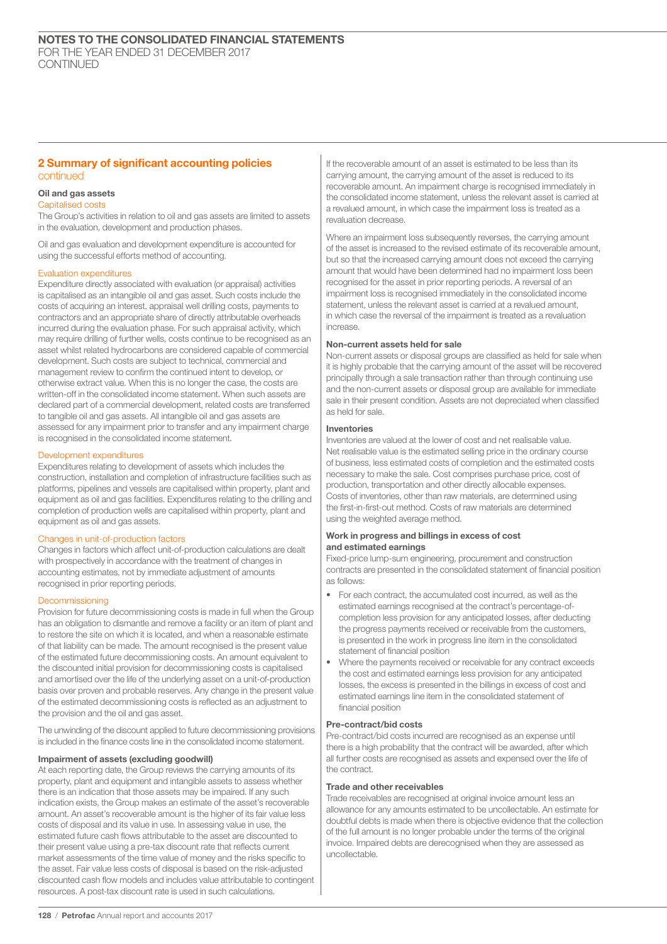## 2 Summary of significant accounting policies continued

## Oil and gas assets

#### Capitalised costs

The Group's activities in relation to oil and gas assets are limited to assets in the evaluation, development and production phases.

Oil and gas evaluation and development expenditure is accounted for using the successful efforts method of accounting.

## Evaluation expenditures

Expenditure directly associated with evaluation (or appraisal) activities is capitalised as an intangible oil and gas asset. Such costs include the costs of acquiring an interest, appraisal well drilling costs, payments to contractors and an appropriate share of directly attributable overheads incurred during the evaluation phase. For such appraisal activity, which may require drilling of further wells, costs continue to be recognised as an asset whilst related hydrocarbons are considered capable of commercial development. Such costs are subject to technical, commercial and management review to confirm the continued intent to develop, or otherwise extract value. When this is no longer the case, the costs are written-off in the consolidated income statement. When such assets are declared part of a commercial development, related costs are transferred to tangible oil and gas assets. All intangible oil and gas assets are assessed for any impairment prior to transfer and any impairment charge is recognised in the consolidated income statement.

#### Development expenditures

Expenditures relating to development of assets which includes the construction, installation and completion of infrastructure facilities such as platforms, pipelines and vessels are capitalised within property, plant and equipment as oil and gas facilities. Expenditures relating to the drilling and completion of production wells are capitalised within property, plant and equipment as oil and gas assets.

## Changes in unit-of-production factors

Changes in factors which affect unit-of-production calculations are dealt with prospectively in accordance with the treatment of changes in accounting estimates, not by immediate adjustment of amounts recognised in prior reporting periods.

## Decommissioning

Provision for future decommissioning costs is made in full when the Group has an obligation to dismantle and remove a facility or an item of plant and to restore the site on which it is located, and when a reasonable estimate of that liability can be made. The amount recognised is the present value of the estimated future decommissioning costs. An amount equivalent to the discounted initial provision for decommissioning costs is capitalised and amortised over the life of the underlying asset on a unit-of-production basis over proven and probable reserves. Any change in the present value of the estimated decommissioning costs is reflected as an adjustment to the provision and the oil and gas asset.

The unwinding of the discount applied to future decommissioning provisions is included in the finance costs line in the consolidated income statement.

## Impairment of assets (excluding goodwill)

At each reporting date, the Group reviews the carrying amounts of its property, plant and equipment and intangible assets to assess whether there is an indication that those assets may be impaired. If any such indication exists, the Group makes an estimate of the asset's recoverable amount. An asset's recoverable amount is the higher of its fair value less costs of disposal and its value in use. In assessing value in use, the estimated future cash flows attributable to the asset are discounted to their present value using a pre-tax discount rate that reflects current market assessments of the time value of money and the risks specific to the asset. Fair value less costs of disposal is based on the risk-adjusted discounted cash flow models and includes value attributable to contingent resources. A post-tax discount rate is used in such calculations.

If the recoverable amount of an asset is estimated to be less than its carrying amount, the carrying amount of the asset is reduced to its recoverable amount. An impairment charge is recognised immediately in the consolidated income statement, unless the relevant asset is carried at a revalued amount, in which case the impairment loss is treated as a revaluation decrease.

Where an impairment loss subsequently reverses, the carrying amount of the asset is increased to the revised estimate of its recoverable amount, but so that the increased carrying amount does not exceed the carrying amount that would have been determined had no impairment loss been recognised for the asset in prior reporting periods. A reversal of an impairment loss is recognised immediately in the consolidated income statement, unless the relevant asset is carried at a revalued amount, in which case the reversal of the impairment is treated as a revaluation increase.

## Non-current assets held for sale

Non-current assets or disposal groups are classified as held for sale when it is highly probable that the carrying amount of the asset will be recovered principally through a sale transaction rather than through continuing use and the non-current assets or disposal group are available for immediate sale in their present condition. Assets are not depreciated when classified as held for sale.

## Inventories

Inventories are valued at the lower of cost and net realisable value. Net realisable value is the estimated selling price in the ordinary course of business, less estimated costs of completion and the estimated costs necessary to make the sale. Cost comprises purchase price, cost of production, transportation and other directly allocable expenses. Costs of inventories, other than raw materials, are determined using the first-in-first-out method. Costs of raw materials are determined using the weighted average method.

## Work in progress and billings in excess of cost and estimated earnings

Fixed-price lump-sum engineering, procurement and construction contracts are presented in the consolidated statement of financial position as follows:

- For each contract, the accumulated cost incurred, as well as the estimated earnings recognised at the contract's percentage-ofcompletion less provision for any anticipated losses, after deducting the progress payments received or receivable from the customers, is presented in the work in progress line item in the consolidated statement of financial position
- Where the payments received or receivable for any contract exceeds the cost and estimated earnings less provision for any anticipated losses, the excess is presented in the billings in excess of cost and estimated earnings line item in the consolidated statement of financial position

#### Pre-contract/bid costs

Pre-contract/bid costs incurred are recognised as an expense until there is a high probability that the contract will be awarded, after which all further costs are recognised as assets and expensed over the life of the contract.

## Trade and other receivables

Trade receivables are recognised at original invoice amount less an allowance for any amounts estimated to be uncollectable. An estimate for doubtful debts is made when there is objective evidence that the collection of the full amount is no longer probable under the terms of the original invoice. Impaired debts are derecognised when they are assessed as uncollectable.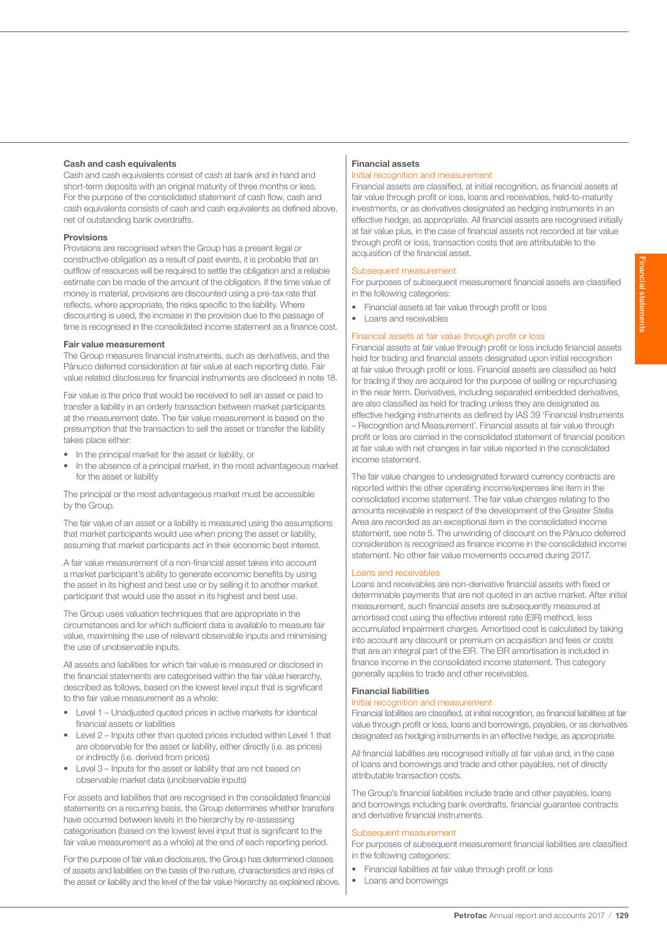## Cash and cash equivalents

Cash and cash equivalents consist of cash at bank and in hand and short-term deposits with an original maturity of three months or less. For the purpose of the consolidated statement of cash flow, cash and cash equivalents consists of cash and cash equivalents as defined above, net of outstanding bank overdrafts.

## Provisions

Provisions are recognised when the Group has a present legal or constructive obligation as a result of past events, it is probable that an outflow of resources will be required to settle the obligation and a reliable estimate can be made of the amount of the obligation. If the time value of money is material, provisions are discounted using a pre-tax rate that reflects, where appropriate, the risks specific to the liability. Where discounting is used, the increase in the provision due to the passage of time is recognised in the consolidated income statement as a finance cost.

## Fair value measurement

The Group measures financial instruments, such as derivatives, and the Pánuco deferred consideration at fair value at each reporting date. Fair value related disclosures for financial instruments are disclosed in note 18.

Fair value is the price that would be received to sell an asset or paid to transfer a liability in an orderly transaction between market participants at the measurement date. The fair value measurement is based on the presumption that the transaction to sell the asset or transfer the liability takes place either:

- In the principal market for the asset or liability, or
- In the absence of a principal market, in the most advantageous market for the asset or liability

The principal or the most advantageous market must be accessible by the Group.

The fair value of an asset or a liability is measured using the assumptions that market participants would use when pricing the asset or liability, assuming that market participants act in their economic best interest.

A fair value measurement of a non-financial asset takes into account a market participant's ability to generate economic benefits by using the asset in its highest and best use or by selling it to another market participant that would use the asset in its highest and best use.

The Group uses valuation techniques that are appropriate in the circumstances and for which sufficient data is available to measure fair value, maximising the use of relevant observable inputs and minimising the use of unobservable inputs.

All assets and liabilities for which fair value is measured or disclosed in the financial statements are categorised within the fair value hierarchy, described as follows, based on the lowest level input that is significant to the fair value measurement as a whole:

- Level 1 Unadjusted quoted prices in active markets for identical financial assets or liabilities
- Level 2 Inputs other than quoted prices included within Level 1 that are observable for the asset or liability, either directly (i.e. as prices) or indirectly (i.e. derived from prices)
- Level 3 Inputs for the asset or liability that are not based on observable market data (unobservable inputs)

For assets and liabilities that are recognised in the consolidated financial statements on a recurring basis, the Group determines whether transfers have occurred between levels in the hierarchy by re-assessing categorisation (based on the lowest level input that is significant to the fair value measurement as a whole) at the end of each reporting period.

For the purpose of fair value disclosures, the Group has determined classes of assets and liabilities on the basis of the nature, characteristics and risks of the asset or liability and the level of the fair value hierarchy as explained above.

## Financial assets

### Initial recognition and measurement

Financial assets are classified, at initial recognition, as financial assets at fair value through profit or loss, loans and receivables, held-to-maturity investments, or as derivatives designated as hedging instruments in an effective hedge, as appropriate. All financial assets are recognised initially at fair value plus, in the case of financial assets not recorded at fair value through profit or loss, transaction costs that are attributable to the acquisition of the financial asset.

## Subsequent measurement

For purposes of subsequent measurement financial assets are classified in the following categories:

- Financial assets at fair value through profit or loss
- Loans and receivables

## Financial assets at fair value through profit or loss

Financial assets at fair value through profit or loss include financial assets held for trading and financial assets designated upon initial recognition at fair value through profit or loss. Financial assets are classified as held for trading if they are acquired for the purpose of selling or repurchasing in the near term. Derivatives, including separated embedded derivatives, are also classified as held for trading unless they are designated as effective hedging instruments as defined by IAS 39 'Financial Instruments – Recognition and Measurement'. Financial assets at fair value through profit or loss are carried in the consolidated statement of financial position at fair value with net changes in fair value reported in the consolidated income statement.

The fair value changes to undesignated forward currency contracts are reported within the other operating income/expenses line item in the consolidated income statement. The fair value changes relating to the amounts receivable in respect of the development of the Greater Stella Area are recorded as an exceptional item in the consolidated income statement, see note 5. The unwinding of discount on the Pánuco deferred consideration is recognised as finance income in the consolidated income statement. No other fair value movements occurred during 2017.

## Loans and receivables

Loans and receivables are non-derivative financial assets with fixed or determinable payments that are not quoted in an active market. After initial measurement, such financial assets are subsequently measured at amortised cost using the effective interest rate (EIR) method, less accumulated impairment charges. Amortised cost is calculated by taking into account any discount or premium on acquisition and fees or costs that are an integral part of the EIR. The EIR amortisation is included in finance income in the consolidated income statement. This category generally applies to trade and other receivables.

## Financial liabilities

#### Initial recognition and measurement

Financial liabilities are classified, at initial recognition, as financial liabilities at fair value through profit or loss, loans and borrowings, payables, or as derivatives designated as hedging instruments in an effective hedge, as appropriate.

All financial liabilities are recognised initially at fair value and, in the case of loans and borrowings and trade and other payables, net of directly attributable transaction costs.

The Group's financial liabilities include trade and other payables, loans and borrowings including bank overdrafts, financial guarantee contracts and derivative financial instruments.

## Subsequent measurement

For purposes of subsequent measurement financial liabilities are classified in the following categories:

- Financial liabilities at fair value through profit or loss
- Loans and borrowings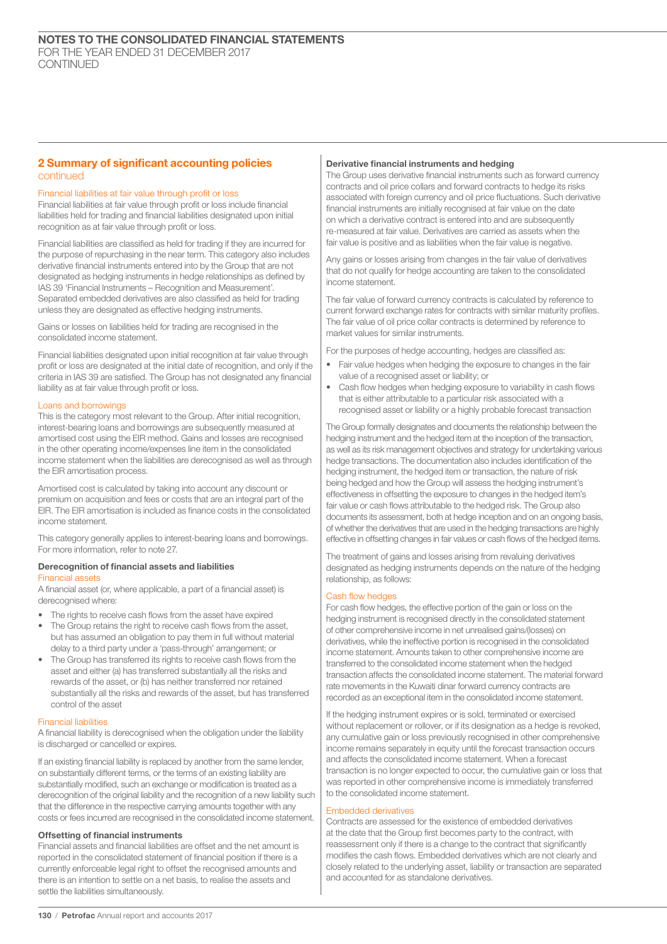## 2 Summary of significant accounting policies continued

## Financial liabilities at fair value through profit or loss

Financial liabilities at fair value through profit or loss include financial liabilities held for trading and financial liabilities designated upon initial recognition as at fair value through profit or loss.

Financial liabilities are classified as held for trading if they are incurred for the purpose of repurchasing in the near term. This category also includes derivative financial instruments entered into by the Group that are not designated as hedging instruments in hedge relationships as defined by IAS 39 'Financial Instruments – Recognition and Measurement'. Separated embedded derivatives are also classified as held for trading unless they are designated as effective hedging instruments.

Gains or losses on liabilities held for trading are recognised in the consolidated income statement.

Financial liabilities designated upon initial recognition at fair value through profit or loss are designated at the initial date of recognition, and only if the criteria in IAS 39 are satisfied. The Group has not designated any financial liability as at fair value through profit or loss.

## Loans and borrowings

This is the category most relevant to the Group. After initial recognition, interest-bearing loans and borrowings are subsequently measured at amortised cost using the EIR method. Gains and losses are recognised in the other operating income/expenses line item in the consolidated income statement when the liabilities are derecognised as well as through the EIR amortisation process.

Amortised cost is calculated by taking into account any discount or premium on acquisition and fees or costs that are an integral part of the EIR. The EIR amortisation is included as finance costs in the consolidated income statement.

This category generally applies to interest-bearing loans and borrowings. For more information, refer to note 27.

## Derecognition of financial assets and liabilities

## Financial assets

A financial asset (or, where applicable, a part of a financial asset) is derecognised where:

- The rights to receive cash flows from the asset have expired
- The Group retains the right to receive cash flows from the asset, but has assumed an obligation to pay them in full without material delay to a third party under a 'pass-through' arrangement; or
- The Group has transferred its rights to receive cash flows from the asset and either (a) has transferred substantially all the risks and rewards of the asset, or (b) has neither transferred nor retained substantially all the risks and rewards of the asset, but has transferred control of the asset

#### Financial liabilities

A financial liability is derecognised when the obligation under the liability is discharged or cancelled or expires.

If an existing financial liability is replaced by another from the same lender, on substantially different terms, or the terms of an existing liability are substantially modified, such an exchange or modification is treated as a derecognition of the original liability and the recognition of a new liability such that the difference in the respective carrying amounts together with any costs or fees incurred are recognised in the consolidated income statement.

## Offsetting of financial instruments

Financial assets and financial liabilities are offset and the net amount is reported in the consolidated statement of financial position if there is a currently enforceable legal right to offset the recognised amounts and there is an intention to settle on a net basis, to realise the assets and settle the liabilities simultaneously.

## Derivative financial instruments and hedging

The Group uses derivative financial instruments such as forward currency contracts and oil price collars and forward contracts to hedge its risks associated with foreign currency and oil price fluctuations. Such derivative financial instruments are initially recognised at fair value on the date on which a derivative contract is entered into and are subsequently re-measured at fair value. Derivatives are carried as assets when the fair value is positive and as liabilities when the fair value is negative.

Any gains or losses arising from changes in the fair value of derivatives that do not qualify for hedge accounting are taken to the consolidated income statement.

The fair value of forward currency contracts is calculated by reference to current forward exchange rates for contracts with similar maturity profiles. The fair value of oil price collar contracts is determined by reference to market values for similar instruments.

For the purposes of hedge accounting, hedges are classified as:

- Fair value hedges when hedging the exposure to changes in the fair value of a recognised asset or liability; or
- Cash flow hedges when hedging exposure to variability in cash flows that is either attributable to a particular risk associated with a recognised asset or liability or a highly probable forecast transaction

The Group formally designates and documents the relationship between the hedging instrument and the hedged item at the inception of the transaction, as well as its risk management objectives and strategy for undertaking various hedge transactions. The documentation also includes identification of the hedging instrument, the hedged item or transaction, the nature of risk being hedged and how the Group will assess the hedging instrument's effectiveness in offsetting the exposure to changes in the hedged item's fair value or cash flows attributable to the hedged risk. The Group also documents its assessment, both at hedge inception and on an ongoing basis, of whether the derivatives that are used in the hedging transactions are highly effective in offsetting changes in fair values or cash flows of the hedged items.

The treatment of gains and losses arising from revaluing derivatives designated as hedging instruments depends on the nature of the hedging relationship, as follows:

## Cash flow hedges

For cash flow hedges, the effective portion of the gain or loss on the hedging instrument is recognised directly in the consolidated statement of other comprehensive income in net unrealised gains/(losses) on derivatives, while the ineffective portion is recognised in the consolidated income statement. Amounts taken to other comprehensive income are transferred to the consolidated income statement when the hedged transaction affects the consolidated income statement. The material forward rate movements in the Kuwaiti dinar forward currency contracts are recorded as an exceptional item in the consolidated income statement.

If the hedging instrument expires or is sold, terminated or exercised without replacement or rollover, or if its designation as a hedge is revoked, any cumulative gain or loss previously recognised in other comprehensive income remains separately in equity until the forecast transaction occurs and affects the consolidated income statement. When a forecast transaction is no longer expected to occur, the cumulative gain or loss that was reported in other comprehensive income is immediately transferred to the consolidated income statement.

#### Embedded derivatives

Contracts are assessed for the existence of embedded derivatives at the date that the Group first becomes party to the contract, with reassessment only if there is a change to the contract that significantly modifies the cash flows. Embedded derivatives which are not clearly and closely related to the underlying asset, liability or transaction are separated and accounted for as standalone derivatives.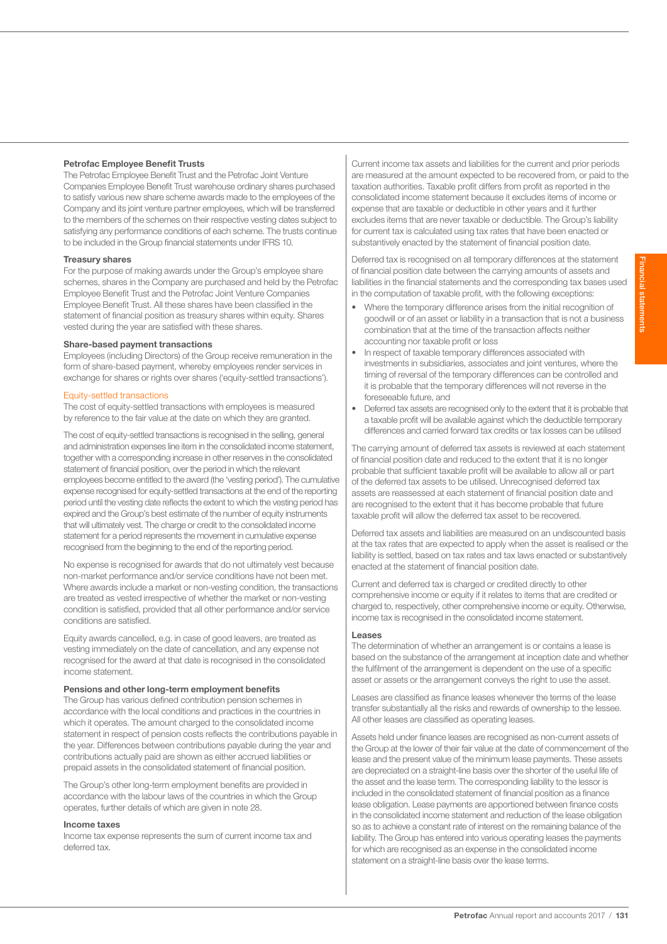## Petrofac Employee Benefit Trusts

The Petrofac Employee Benefit Trust and the Petrofac Joint Venture Companies Employee Benefit Trust warehouse ordinary shares purchased to satisfy various new share scheme awards made to the employees of the Company and its joint venture partner employees, which will be transferred to the members of the schemes on their respective vesting dates subject to satisfying any performance conditions of each scheme. The trusts continue to be included in the Group financial statements under IFRS 10.

#### Treasury shares

For the purpose of making awards under the Group's employee share schemes, shares in the Company are purchased and held by the Petrofac Employee Benefit Trust and the Petrofac Joint Venture Companies Employee Benefit Trust. All these shares have been classified in the statement of financial position as treasury shares within equity. Shares vested during the year are satisfied with these shares.

## Share-based payment transactions

Employees (including Directors) of the Group receive remuneration in the form of share-based payment, whereby employees render services in exchange for shares or rights over shares ('equity-settled transactions').

#### Equity-settled transactions

The cost of equity-settled transactions with employees is measured by reference to the fair value at the date on which they are granted.

The cost of equity-settled transactions is recognised in the selling, general and administration expenses line item in the consolidated income statement, together with a corresponding increase in other reserves in the consolidated statement of financial position, over the period in which the relevant employees become entitled to the award (the 'vesting period'). The cumulative expense recognised for equity-settled transactions at the end of the reporting period until the vesting date reflects the extent to which the vesting period has expired and the Group's best estimate of the number of equity instruments that will ultimately vest. The charge or credit to the consolidated income statement for a period represents the movement in cumulative expense recognised from the beginning to the end of the reporting period.

No expense is recognised for awards that do not ultimately vest because non-market performance and/or service conditions have not been met. Where awards include a market or non-vesting condition, the transactions are treated as vested irrespective of whether the market or non-vesting condition is satisfied, provided that all other performance and/or service conditions are satisfied.

Equity awards cancelled, e.g. in case of good leavers, are treated as vesting immediately on the date of cancellation, and any expense not recognised for the award at that date is recognised in the consolidated income statement.

### Pensions and other long-term employment benefits

The Group has various defined contribution pension schemes in accordance with the local conditions and practices in the countries in which it operates. The amount charged to the consolidated income statement in respect of pension costs reflects the contributions payable in the year. Differences between contributions payable during the year and contributions actually paid are shown as either accrued liabilities or prepaid assets in the consolidated statement of financial position.

The Group's other long-term employment benefits are provided in accordance with the labour laws of the countries in which the Group operates, further details of which are given in note 28.

## Income taxes

Income tax expense represents the sum of current income tax and deferred tax.

Current income tax assets and liabilities for the current and prior periods are measured at the amount expected to be recovered from, or paid to the taxation authorities. Taxable profit differs from profit as reported in the consolidated income statement because it excludes items of income or expense that are taxable or deductible in other years and it further excludes items that are never taxable or deductible. The Group's liability for current tax is calculated using tax rates that have been enacted or substantively enacted by the statement of financial position date.

Deferred tax is recognised on all temporary differences at the statement of financial position date between the carrying amounts of assets and liabilities in the financial statements and the corresponding tax bases used in the computation of taxable profit, with the following exceptions:

- Where the temporary difference arises from the initial recognition of goodwill or of an asset or liability in a transaction that is not a business combination that at the time of the transaction affects neither accounting nor taxable profit or loss
- In respect of taxable temporary differences associated with investments in subsidiaries, associates and joint ventures, where the timing of reversal of the temporary differences can be controlled and it is probable that the temporary differences will not reverse in the foreseeable future, and
- Deferred tax assets are recognised only to the extent that it is probable that a taxable profit will be available against which the deductible temporary differences and carried forward tax credits or tax losses can be utilised

The carrying amount of deferred tax assets is reviewed at each statement of financial position date and reduced to the extent that it is no longer probable that sufficient taxable profit will be available to allow all or part of the deferred tax assets to be utilised. Unrecognised deferred tax assets are reassessed at each statement of financial position date and are recognised to the extent that it has become probable that future taxable profit will allow the deferred tax asset to be recovered.

Deferred tax assets and liabilities are measured on an undiscounted basis at the tax rates that are expected to apply when the asset is realised or the liability is settled, based on tax rates and tax laws enacted or substantively enacted at the statement of financial position date.

Current and deferred tax is charged or credited directly to other comprehensive income or equity if it relates to items that are credited or charged to, respectively, other comprehensive income or equity. Otherwise, income tax is recognised in the consolidated income statement.

#### Leases

The determination of whether an arrangement is or contains a lease is based on the substance of the arrangement at inception date and whether the fulfilment of the arrangement is dependent on the use of a specific asset or assets or the arrangement conveys the right to use the asset.

Leases are classified as finance leases whenever the terms of the lease transfer substantially all the risks and rewards of ownership to the lessee. All other leases are classified as operating leases.

Assets held under finance leases are recognised as non-current assets of the Group at the lower of their fair value at the date of commencement of the lease and the present value of the minimum lease payments. These assets are depreciated on a straight-line basis over the shorter of the useful life of the asset and the lease term. The corresponding liability to the lessor is included in the consolidated statement of financial position as a finance lease obligation. Lease payments are apportioned between finance costs in the consolidated income statement and reduction of the lease obligation so as to achieve a constant rate of interest on the remaining balance of the liability. The Group has entered into various operating leases the payments for which are recognised as an expense in the consolidated income statement on a straight-line basis over the lease terms.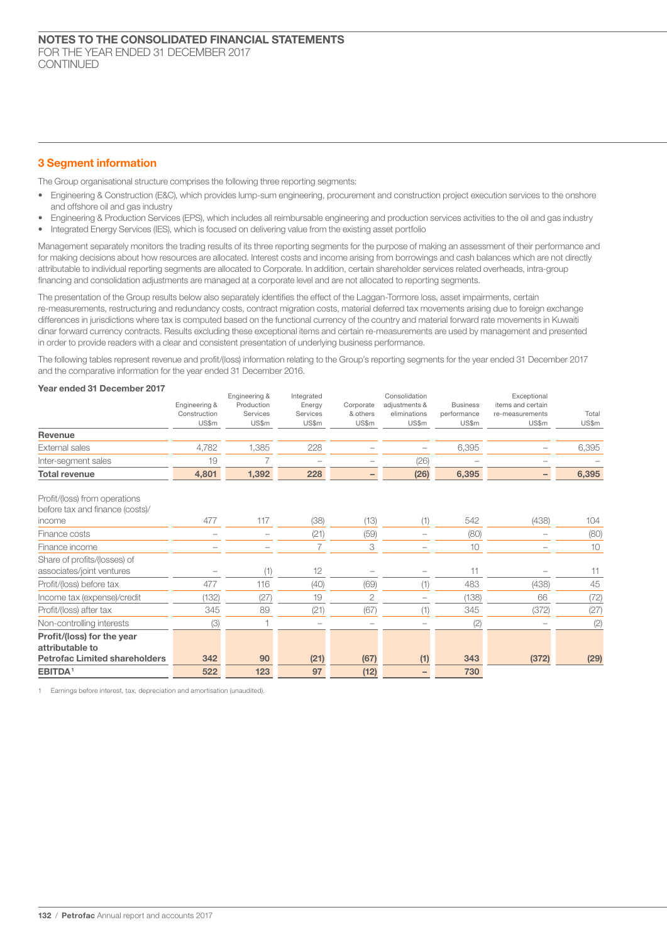## 3 Segment information

The Group organisational structure comprises the following three reporting segments:

- Engineering & Construction (E&C), which provides lump-sum engineering, procurement and construction project execution services to the onshore and offshore oil and gas industry
- Engineering & Production Services (EPS), which includes all reimbursable engineering and production services activities to the oil and gas industry
- Integrated Energy Services (IES), which is focused on delivering value from the existing asset portfolio

Management separately monitors the trading results of its three reporting segments for the purpose of making an assessment of their performance and for making decisions about how resources are allocated. Interest costs and income arising from borrowings and cash balances which are not directly attributable to individual reporting segments are allocated to Corporate. In addition, certain shareholder services related overheads, intra-group financing and consolidation adjustments are managed at a corporate level and are not allocated to reporting segments.

The presentation of the Group results below also separately identifies the effect of the Laggan-Tormore loss, asset impairments, certain re-measurements, restructuring and redundancy costs, contract migration costs, material deferred tax movements arising due to foreign exchange differences in jurisdictions where tax is computed based on the functional currency of the country and material forward rate movements in Kuwaiti dinar forward currency contracts. Results excluding these exceptional items and certain re-measurements are used by management and presented in order to provide readers with a clear and consistent presentation of underlying business performance.

The following tables represent revenue and profit/(loss) information relating to the Group's reporting segments for the year ended 31 December 2017 and the comparative information for the year ended 31 December 2016.

## Year ended 31 December 2017

|                                      |               | Engineering & | Integrated |                | Consolidation |                 | Exceptional       |       |
|--------------------------------------|---------------|---------------|------------|----------------|---------------|-----------------|-------------------|-------|
|                                      | Engineering & | Production    | Energy     | Corporate      | adjustments & | <b>Business</b> | items and certain |       |
|                                      | Construction  | Services      | Services   | & others       | eliminations  | performance     | re-measurements   | Total |
|                                      | US\$m         | US\$m         | US\$m      | US\$m          | US\$m         | US\$m           | US\$m             | US\$m |
| Revenue                              |               |               |            |                |               |                 |                   |       |
| External sales                       | 4,782         | 1,385         | 228        |                |               | 6,395           |                   | 6,395 |
| Inter-segment sales                  | 19            | 7             |            |                | (26)          |                 |                   |       |
| <b>Total revenue</b>                 | 4,801         | 1,392         | 228        | -              | (26)          | 6,395           |                   | 6,395 |
| Profit/(loss) from operations        |               |               |            |                |               |                 |                   |       |
| before tax and finance (costs)/      |               |               |            |                |               |                 |                   |       |
| income                               | 477           | 117           | (38)       | (13)           | (1)           | 542             | (438)             | 104   |
| Finance costs                        |               |               | (21)       | (59)           |               | (80)            |                   | (80)  |
| Finance income                       |               |               | 7          | 3              |               | 10              |                   | 10    |
| Share of profits/(losses) of         |               |               |            |                |               |                 |                   |       |
| associates/joint ventures            |               | (1)           | 12         |                |               | 11              |                   | 11    |
| Profit/(loss) before tax             | 477           | 116           | (40)       | (69)           | (1)           | 483             | (438)             | 45    |
| Income tax (expense)/credit          | (132)         | (27)          | 19         | $\overline{2}$ |               | (138)           | 66                | (72)  |
| Profit/(loss) after tax              | 345           | 89            | (21)       | (67)           | (1)           | 345             | (372)             | (27)  |
| Non-controlling interests            | (3)           |               |            |                |               | (2)             |                   | (2)   |
| Profit/(loss) for the year           |               |               |            |                |               |                 |                   |       |
| attributable to                      |               |               |            |                |               |                 |                   |       |
| <b>Petrofac Limited shareholders</b> | 342           | 90            | (21)       | (67)           | (1)           | 343             | (372)             | (29)  |
| EBITDA <sup>1</sup>                  | 522           | 123           | 97         | (12)           |               | 730             |                   |       |

1 Earnings before interest, tax, depreciation and amortisation (unaudited).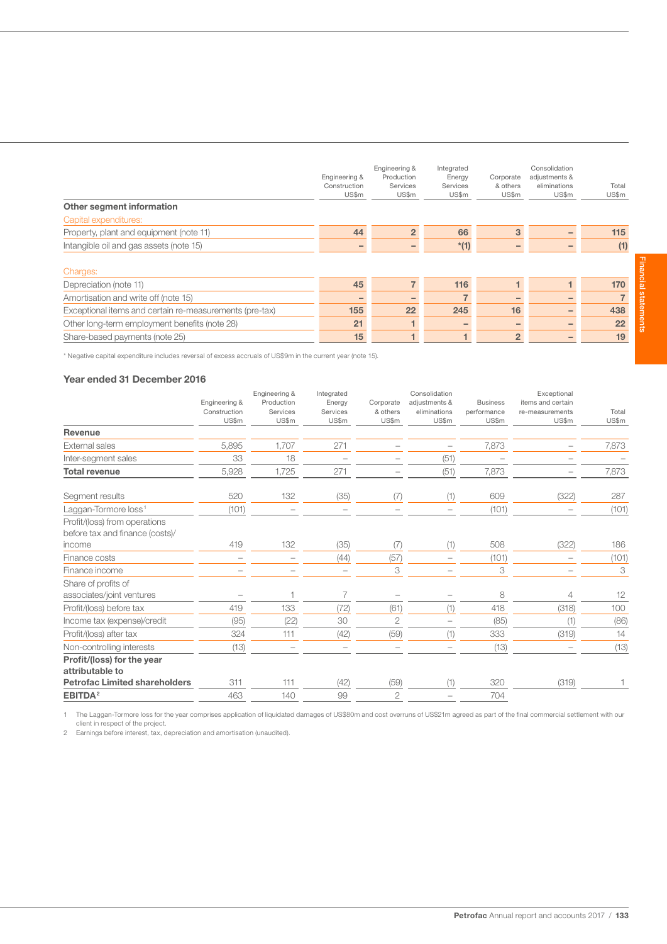| Other segment information                               | Engineering &<br>Construction<br>US\$m | Engineering &<br>Production<br>Services<br>US\$m | Integrated<br>Energy<br>Services<br>US\$m | Corporate<br>& others<br>US\$m | Consolidation<br>adjustments &<br>eliminations<br>US\$m | Total<br>US\$m |
|---------------------------------------------------------|----------------------------------------|--------------------------------------------------|-------------------------------------------|--------------------------------|---------------------------------------------------------|----------------|
| Capital expenditures:                                   |                                        |                                                  |                                           |                                |                                                         |                |
| Property, plant and equipment (note 11)                 | 44                                     | $\overline{2}$                                   | 66                                        | 3                              |                                                         | 115            |
| Intangible oil and gas assets (note 15)                 |                                        |                                                  | $*(1)$                                    |                                |                                                         | (1)            |
| Charges:                                                |                                        |                                                  |                                           |                                |                                                         |                |
| Depreciation (note 11)                                  | 45                                     | 7                                                | 116                                       |                                |                                                         | 170            |
| Amortisation and write off (note 15)                    |                                        |                                                  |                                           |                                |                                                         | $\overline{7}$ |
| Exceptional items and certain re-measurements (pre-tax) | 155                                    | 22                                               | 245                                       | 16                             |                                                         | 438            |
| Other long-term employment benefits (note 28)           | 21                                     |                                                  |                                           | -                              |                                                         | 22             |
| Share-based payments (note 25)                          | 15                                     |                                                  |                                           | $\overline{2}$                 |                                                         | 19             |

\* Negative capital expenditure includes reversal of excess accruals of US\$9m in the current year (note 15).

## Year ended 31 December 2016

|                                                                            | Engineering &<br>Construction<br>US\$m | Engineering &<br>Production<br>Services<br>US\$m | Integrated<br>Energy<br>Services<br>US\$m | Corporate<br>& others<br>US\$m | Consolidation<br>adjustments &<br>eliminations<br>US\$m | <b>Business</b><br>performance<br>US\$m | Exceptional<br>items and certain<br>re-measurements<br>US\$m | Total<br>US\$m |
|----------------------------------------------------------------------------|----------------------------------------|--------------------------------------------------|-------------------------------------------|--------------------------------|---------------------------------------------------------|-----------------------------------------|--------------------------------------------------------------|----------------|
| Revenue                                                                    |                                        |                                                  |                                           |                                |                                                         |                                         |                                                              |                |
| External sales                                                             | 5,895                                  | 1,707                                            | 271                                       |                                |                                                         | 7,873                                   |                                                              | 7,873          |
| Inter-segment sales                                                        | 33                                     | 18                                               |                                           |                                | (51)                                                    |                                         |                                                              |                |
| <b>Total revenue</b>                                                       | 5,928                                  | 1,725                                            | 271                                       |                                | (51)                                                    | 7,873                                   |                                                              | 7,873          |
| Segment results                                                            | 520                                    | 132                                              | (35)                                      | (7)                            | (1)                                                     | 609                                     | (322)                                                        | 287            |
| Laggan-Tormore loss <sup>1</sup>                                           | (101)                                  |                                                  |                                           |                                |                                                         | (101)                                   |                                                              | (101)          |
| Profit/(loss) from operations<br>before tax and finance (costs)/<br>income | 419                                    | 132                                              | (35)                                      | (7)                            | (1)                                                     | 508                                     | (322)                                                        | 186            |
| Finance costs                                                              |                                        | $\overline{\phantom{0}}$                         | (44)                                      | (57)                           |                                                         | (101)                                   |                                                              | (101)          |
| Finance income                                                             |                                        |                                                  |                                           | 3                              |                                                         | 3                                       |                                                              | 3              |
| Share of profits of<br>associates/joint ventures                           |                                        | 1                                                | 7                                         | $\overline{\phantom{0}}$       |                                                         | 8                                       | 4                                                            | 12             |
| Profit/(loss) before tax                                                   | 419                                    | 133                                              | (72)                                      | (61)                           | (1)                                                     | 418                                     | (318)                                                        | 100            |
| Income tax (expense)/credit                                                | (95)                                   | (22)                                             | 30                                        | $\overline{c}$                 |                                                         | (85)                                    | (1)                                                          | (86)           |
| Profit/(loss) after tax                                                    | 324                                    | 111                                              | (42)                                      | (59)                           | (1)                                                     | 333                                     | (319)                                                        | 14             |
| Non-controlling interests                                                  | (13)                                   |                                                  |                                           |                                |                                                         | (13)                                    |                                                              | (13)           |
| Profit/(loss) for the year<br>attributable to                              |                                        |                                                  |                                           |                                |                                                         |                                         |                                                              |                |
| <b>Petrofac Limited shareholders</b>                                       | 311                                    | 111                                              | (42)                                      | (59)                           | (1)                                                     | 320                                     | (319)                                                        |                |
| EBITDA <sup>2</sup>                                                        | 463                                    | 140                                              | 99                                        | $\overline{2}$                 |                                                         | 704                                     |                                                              |                |

1 The Laggan-Tormore loss for the year comprises application of liquidated damages of US\$80m and cost overruns of US\$21m agreed as part of the final commercial settlement with our

client in respect of the project. 2 Earnings before interest, tax, depreciation and amortisation (unaudited).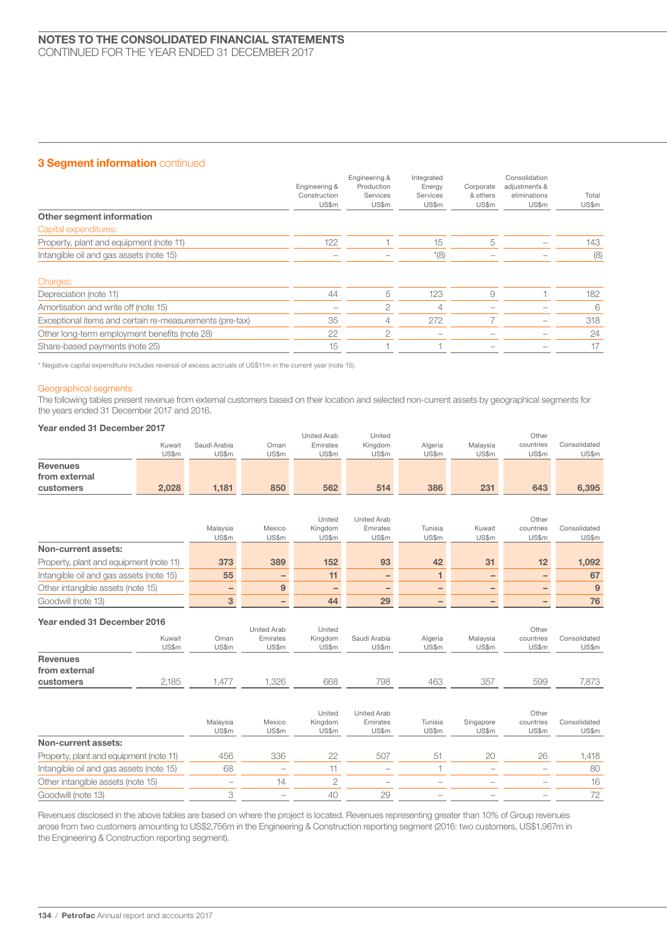## 3 Segment information continued

|                                                         | Engineering &<br>Construction<br>US\$m | Engineering &<br>Production<br>Services<br>US\$m | Integrated<br>Energy<br>Services<br>US\$m | Corporate<br>& others<br>US\$m | Consolidation<br>adjustments &<br>eliminations<br>US\$m | Total<br>US\$m |
|---------------------------------------------------------|----------------------------------------|--------------------------------------------------|-------------------------------------------|--------------------------------|---------------------------------------------------------|----------------|
| Other segment information                               |                                        |                                                  |                                           |                                |                                                         |                |
| Capital expenditures:                                   |                                        |                                                  |                                           |                                |                                                         |                |
| Property, plant and equipment (note 11)                 | 122                                    |                                                  | 15                                        | 5                              |                                                         | 143            |
| Intangible oil and gas assets (note 15)                 |                                        |                                                  | $*(8)$                                    |                                |                                                         | (8)            |
| Charges:                                                |                                        |                                                  |                                           |                                |                                                         |                |
| Depreciation (note 11)                                  | 44                                     | 5                                                | 123                                       | 9                              |                                                         | 182            |
| Amortisation and write off (note 15)                    |                                        | $\overline{2}$                                   | 4                                         |                                |                                                         | 6              |
| Exceptional items and certain re-measurements (pre-tax) | 35                                     | 4                                                | 272                                       |                                |                                                         | 318            |
| Other long-term employment benefits (note 28)           | 22                                     | $\overline{2}$                                   |                                           |                                |                                                         | 24             |
| Share-based payments (note 25)                          | 15                                     |                                                  |                                           |                                |                                                         | 17             |

\* Negative capital expenditure includes reversal of excess accruals of US\$11m in the current year (note 15).

## Geographical segments

The following tables present revenue from external customers based on their location and selected non-current assets by geographical segments for the years ended 31 December 2017 and 2016.

## Year ended 31 December 2017

|                 |        |              |           | <b>United Arab</b> | United  |         |          | Other     |              |
|-----------------|--------|--------------|-----------|--------------------|---------|---------|----------|-----------|--------------|
|                 | Kuwait | Saudi Arabia | .<br>Jman | Emirates           | Kingdom | Algeria | Malavsia | countries | Consolidated |
|                 | US\$m  | US\$m        | US\$m     | US\$m              | US\$m   | US\$m   | US\$m    | US\$m     | US\$m        |
| <b>Revenues</b> |        |              |           |                    |         |         |          |           |              |
| from external   |        |              |           |                    |         |         |          |           |              |
| customers       | 2.028  | 1.181        | 850       | 562                | 514     | 386     | 231      | 643       | 6.395        |

|                                         |          |                 | United  | United Arab              |         |        | Other     |              |
|-----------------------------------------|----------|-----------------|---------|--------------------------|---------|--------|-----------|--------------|
|                                         | Malaysia | Mexico          | Kingdom | Emirates                 | Tunisia | Kuwait | countries | Consolidated |
|                                         | US\$m    | US\$m           | US\$m   | US\$m                    | US\$m   | US\$m  | US\$m     | US\$m        |
| Non-current assets:                     |          |                 |         |                          |         |        |           |              |
| Property, plant and equipment (note 11) | 373      | 389             | 152     | 93                       | 42      | 31     | 12        | 1.092        |
| Intangible oil and gas assets (note 15) | 55       | $\qquad \qquad$ | 11      | $\overline{\phantom{0}}$ |         |        |           | 67           |
| Other intangible assets (note 15)       |          | 9               |         |                          |         |        |           | 9            |
| Goodwill (note 13)                      |          |                 | 44      | 29                       |         |        |           | 76           |

## Year ended 31 December 2016

|                                  | Kuwait<br>US\$m | Oman<br>US\$m     | <b>United Arab</b><br>Emirates<br>US\$m | United<br>Kingdom<br>US\$m | Saudi Arabia<br>US\$m            | Algeria<br>US\$m | Malaysia<br>US\$m  | Other<br>countries<br>US\$m | Consolidated<br>US\$m |
|----------------------------------|-----------------|-------------------|-----------------------------------------|----------------------------|----------------------------------|------------------|--------------------|-----------------------------|-----------------------|
| <b>Revenues</b><br>from external |                 |                   |                                         |                            |                                  |                  |                    |                             |                       |
| customers                        | 2,185           | ,477              | 1,326                                   | 668                        | 798                              | 463              | 357                | 599                         | 7,873                 |
|                                  |                 | Malaysia<br>US\$m | Mexico<br>US\$m                         | United<br>Kingdom<br>US\$m | United Arab<br>Emirates<br>US\$m | Tunisia<br>US\$m | Singapore<br>US\$m | Other<br>countries<br>US\$m | Consolidated<br>US\$m |
| Non-currant accater              |                 |                   |                                         |                            |                                  |                  |                    |                             |                       |

| Non-current assets:                     |        |                                 |    |                                 |                          |                          |                          |     |
|-----------------------------------------|--------|---------------------------------|----|---------------------------------|--------------------------|--------------------------|--------------------------|-----|
| Property, plant and equipment (note 11) | 456    | 336                             |    | 507                             |                          |                          |                          | 418 |
| Intangible oil and gas assets (note 15) | 68     | $\hspace{0.5cm}$                |    | $\hspace{0.1mm}-\hspace{0.1mm}$ |                          | $\qquad \qquad$          |                          | 80  |
| Other intangible assets (note 15)       | $\sim$ |                                 |    | $\hspace{0.05cm}$               | $\sim$                   | $\overline{\phantom{a}}$ |                          |     |
| Goodwill (note 13)                      |        | $\hspace{0.1mm}-\hspace{0.1mm}$ | 40 |                                 | $\overline{\phantom{a}}$ | $\overline{\phantom{a}}$ | $\overline{\phantom{a}}$ |     |
|                                         |        |                                 |    |                                 |                          |                          |                          |     |

Revenues disclosed in the above tables are based on where the project is located. Revenues representing greater than 10% of Group revenues arose from two customers amounting to US\$2,756m in the Engineering & Construction reporting segment (2016: two customers, US\$1,967m in the Engineering & Construction reporting segment).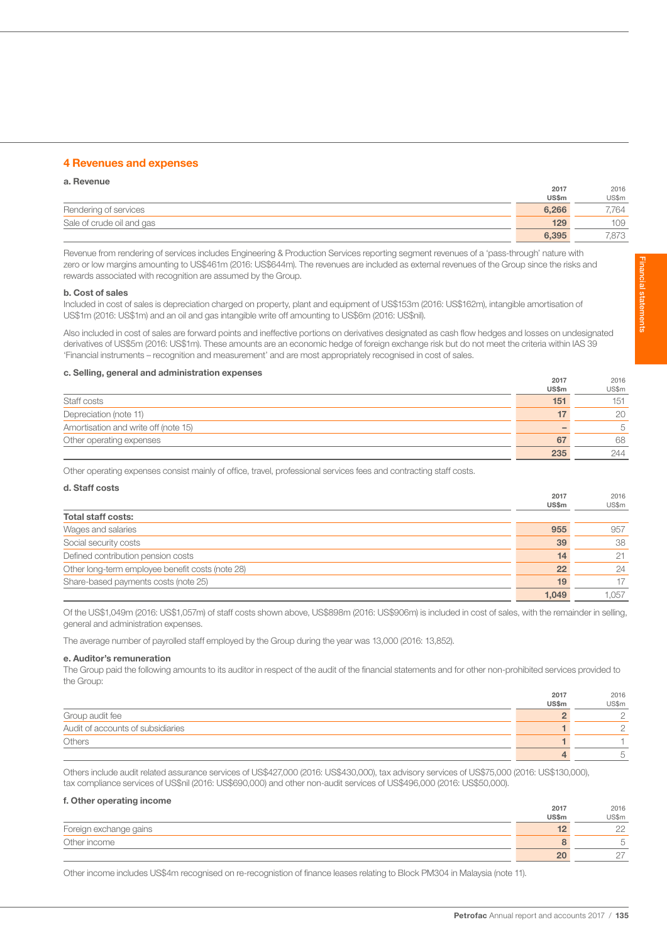## 4 Revenues and expenses

| a. Revenue                |              |       |
|---------------------------|--------------|-------|
|                           | 2017         | 2016  |
|                           | <b>US\$m</b> | US\$m |
| Rendering of services     | 6,266        | 7.764 |
| Sale of crude oil and gas | 129          | 109   |
|                           | 6.395        | 7.873 |

Revenue from rendering of services includes Engineering & Production Services reporting segment revenues of a 'pass-through' nature with zero or low margins amounting to US\$461m (2016: US\$644m). The revenues are included as external revenues of the Group since the risks and rewards associated with recognition are assumed by the Group.

#### b. Cost of sales

Included in cost of sales is depreciation charged on property, plant and equipment of US\$153m (2016: US\$162m), intangible amortisation of US\$1m (2016: US\$1m) and an oil and gas intangible write off amounting to US\$6m (2016: US\$nil).

Also included in cost of sales are forward points and ineffective portions on derivatives designated as cash flow hedges and losses on undesignated derivatives of US\$5m (2016: US\$1m). These amounts are an economic hedge of foreign exchange risk but do not meet the criteria within IAS 39 'Financial instruments – recognition and measurement' and are most appropriately recognised in cost of sales.

# c. Selling, general and administration expenses 2017

|                                      | ---   | ----  |
|--------------------------------------|-------|-------|
|                                      | US\$m | US\$m |
| Staff costs                          | 151   | 151   |
| Depreciation (note 11)               |       | 20    |
| Amortisation and write off (note 15) |       | 5     |
| Other operating expenses             | 67    | 68    |
|                                      | 235   | 244   |

Other operating expenses consist mainly of office, travel, professional services fees and contracting staff costs.

| d. Staff costs                                   |              |       |
|--------------------------------------------------|--------------|-------|
|                                                  | 2017         | 2016  |
|                                                  | <b>US\$m</b> | US\$m |
| <b>Total staff costs:</b>                        |              |       |
| Wages and salaries                               | 955          | 957   |
| Social security costs                            | 39           | 38    |
| Defined contribution pension costs               | 14           | 21    |
| Other long-term employee benefit costs (note 28) | 22           | 24    |
| Share-based payments costs (note 25)             | 19           | 17    |
|                                                  | 1.049        | 1.057 |

Of the US\$1,049m (2016: US\$1,057m) of staff costs shown above, US\$898m (2016: US\$906m) is included in cost of sales, with the remainder in selling, general and administration expenses.

The average number of payrolled staff employed by the Group during the year was 13,000 (2016: 13,852).

## e. Auditor's remuneration

The Group paid the following amounts to its auditor in respect of the audit of the financial statements and for other non-prohibited services provided to the Group:

|                                   | 2017         | 2016   |
|-----------------------------------|--------------|--------|
|                                   | <b>US\$m</b> | US\$m  |
| Group audit fee                   |              | $\cap$ |
| Audit of accounts of subsidiaries |              |        |
| <b>Others</b>                     |              |        |
|                                   |              |        |

Others include audit related assurance services of US\$427,000 (2016: US\$430,000), tax advisory services of US\$75,000 (2016: US\$130,000), tax compliance services of US\$nil (2016: US\$690,000) and other non-audit services of US\$496,000 (2016: US\$50,000).

#### f. Other operating income

|                        | 2017  | 2016               |
|------------------------|-------|--------------------|
|                        | US\$m | US\$m              |
| Foreign exchange gains |       | $\cap$<br>$\sim$   |
| Other income           |       | щ                  |
|                        | 20    | $\sim$<br><u>_</u> |

Other income includes US\$4m recognised on re-recognistion of finance leases relating to Block PM304 in Malaysia (note 11).

 $2016$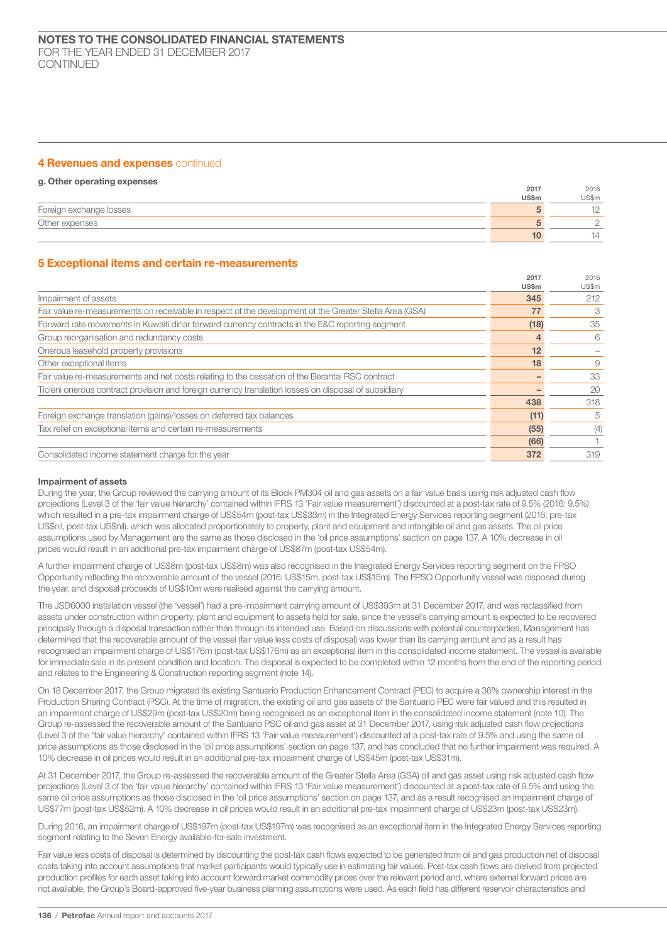## 4 Revenues and expenses continued

## g. Other operating expenses

|                         | 2017         | 2016  |
|-------------------------|--------------|-------|
|                         | <b>US\$m</b> | US\$m |
| Foreign exchange losses |              |       |
| Other expenses          |              |       |
|                         |              | 14    |

## 5 Exceptional items and certain re-measurements

|                                                                                                         | 2017  | 2016  |
|---------------------------------------------------------------------------------------------------------|-------|-------|
|                                                                                                         | US\$m | US\$m |
| Impairment of assets                                                                                    | 345   | 212   |
| Fair value re-measurements on receivable in respect of the development of the Greater Stella Area (GSA) | 77    | 3     |
| Forward rate movements in Kuwaiti dinar forward currency contracts in the E&C reporting segment         | (18)  | 35    |
| Group reorganisation and redundancy costs                                                               |       | 6     |
| Onerous leasehold property provisions                                                                   | 12    |       |
| Other exceptional items                                                                                 | 18    | 9     |
| Fair value re-measurements and net costs relating to the cessation of the Berantai RSC contract         |       | 33    |
| Ticleni onerous contract provision and foreign currency translation losses on disposal of subsidiary    |       | 20    |
|                                                                                                         | 438   | 318   |
| Foreign exchange translation (gains)/losses on deferred tax balances                                    | (11)  | 5     |
| Tax relief on exceptional items and certain re-measurements                                             | (55)  | (4)   |
|                                                                                                         | (66)  |       |
| Consolidated income statement charge for the year                                                       | 372   | 319   |
|                                                                                                         |       |       |

#### Impairment of assets

During the year, the Group reviewed the carrying amount of its Block PM304 oil and gas assets on a fair value basis using risk adjusted cash flow projections (Level 3 of the 'fair value hierarchy' contained within IFRS 13 'Fair value measurement') discounted at a post-tax rate of 9.5% (2016: 9.5%) which resulted in a pre-tax impairment charge of US\$54m (post-tax US\$33m) in the Integrated Energy Services reporting segment (2016: pre-tax US\$nil, post-tax US\$nil). which was allocated proportionately to property, plant and equipment and intangible oil and gas assets. The oil price assumptions used by Management are the same as those disclosed in the 'oil price assumptions' section on page 137. A 10% decrease in oil prices would result in an additional pre-tax impairment charge of US\$87m (post-tax US\$54m).

A further impairment charge of US\$8m (post-tax US\$8m) was also recognised in the Integrated Energy Services reporting segment on the FPSO Opportunity reflecting the recoverable amount of the vessel (2016: US\$15m, post-tax US\$15m). The FPSO Opportunity vessel was disposed during the year, and disposal proceeds of US\$10m were realised against the carrying amount.

The JSD6000 installation vessel (the 'vessel') had a pre-impairment carrying amount of US\$393m at 31 December 2017, and was reclassified from assets under construction within property, plant and equipment to assets held for sale, since the vessel's carrying amount is expected to be recovered principally through a disposal transaction rather than through its intended use. Based on discussions with potential counterparties, Management has determined that the recoverable amount of the vessel (fair value less costs of disposal) was lower than its carrying amount and as a result has recognised an impairment charge of US\$176m (post-tax US\$176m) as an exceptional item in the consolidated income statement. The vessel is available for immediate sale in its present condition and location. The disposal is expected to be completed within 12 months from the end of the reporting period and relates to the Engineering & Construction reporting segment (note 14).

On 18 December 2017, the Group migrated its existing Santuario Production Enhancement Contract (PEC) to acquire a 36% ownership interest in the Production Sharing Contract (PSC). At the time of migration, the existing oil and gas assets of the Santuario PEC were fair valued and this resulted in an impairment charge of US\$29m (post-tax US\$20m) being recognised as an exceptional item in the consolidated income statement (note 10). The Group re-assessed the recoverable amount of the Santuario PSC oil and gas asset at 31 December 2017, using risk adjusted cash flow projections (Level 3 of the 'fair value hierarchy' contained within IFRS 13 'Fair value measurement') discounted at a post-tax rate of 9.5% and using the same oil price assumptions as those disclosed in the 'oil price assumptions' section on page 137, and has concluded that no further impairment was required. A 10% decrease in oil prices would result in an additional pre-tax impairment charge of US\$45m (post-tax US\$31m).

At 31 December 2017, the Group re-assessed the recoverable amount of the Greater Stella Area (GSA) oil and gas asset using risk adjusted cash flow projections (Level 3 of the 'fair value hierarchy' contained within IFRS 13 'Fair value measurement') discounted at a post-tax rate of 9.5% and using the same oil price assumptions as those disclosed in the 'oil price assumptions' section on page 137, and as a result recognised an impairment charge of US\$77m (post-tax US\$52m). A 10% decrease in oil prices would result in an additional pre-tax impairment charge of US\$23m (post-tax US\$23m).

During 2016, an impairment charge of US\$197m (post-tax US\$197m) was recognised as an exceptional item in the Integrated Energy Services reporting segment relating to the Seven Energy available-for-sale investment.

Fair value less costs of disposal is determined by discounting the post-tax cash flows expected to be generated from oil and gas production net of disposal costs taking into account assumptions that market participants would typically use in estimating fair values. Post-tax cash flows are derived from projected production profiles for each asset taking into account forward market commodity prices over the relevant period and, where external forward prices are not available, the Group's Board-approved five-year business planning assumptions were used. As each field has different reservoir characteristics and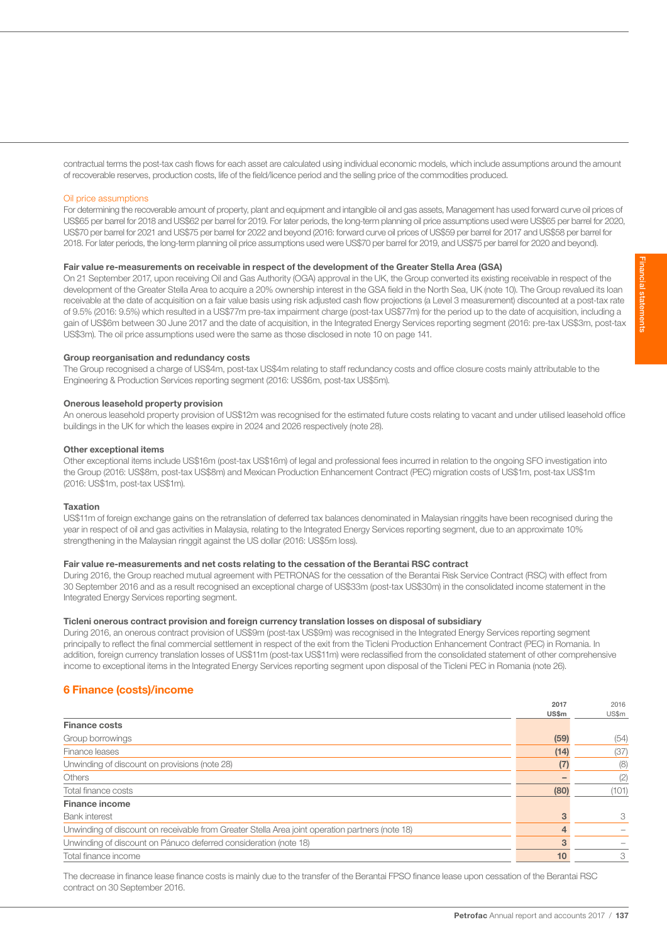contractual terms the post-tax cash flows for each asset are calculated using individual economic models, which include assumptions around the amount of recoverable reserves, production costs, life of the field/licence period and the selling price of the commodities produced.

## Oil price assumptions

For determining the recoverable amount of property, plant and equipment and intangible oil and gas assets, Management has used forward curve oil prices of US\$65 per barrel for 2018 and US\$62 per barrel for 2019. For later periods, the long-term planning oil price assumptions used were US\$65 per barrel for 2020, US\$70 per barrel for 2021 and US\$75 per barrel for 2022 and beyond (2016: forward curve oil prices of US\$59 per barrel for 2017 and US\$58 per barrel for 2018. For later periods, the long-term planning oil price assumptions used were US\$70 per barrel for 2019, and US\$75 per barrel for 2020 and beyond).

## Fair value re-measurements on receivable in respect of the development of the Greater Stella Area (GSA)

On 21 September 2017, upon receiving Oil and Gas Authority (OGA) approval in the UK, the Group converted its existing receivable in respect of the development of the Greater Stella Area to acquire a 20% ownership interest in the GSA field in the North Sea, UK (note 10). The Group revalued its loan receivable at the date of acquisition on a fair value basis using risk adjusted cash flow projections (a Level 3 measurement) discounted at a post-tax rate of 9.5% (2016: 9.5%) which resulted in a US\$77m pre-tax impairment charge (post-tax US\$77m) for the period up to the date of acquisition, including a gain of US\$6m between 30 June 2017 and the date of acquisition, in the Integrated Energy Services reporting segment (2016: pre-tax US\$3m, post-tax US\$3m). The oil price assumptions used were the same as those disclosed in note 10 on page 141.

#### Group reorganisation and redundancy costs

The Group recognised a charge of US\$4m, post-tax US\$4m relating to staff redundancy costs and office closure costs mainly attributable to the Engineering & Production Services reporting segment (2016: US\$6m, post-tax US\$5m).

#### Onerous leasehold property provision

An onerous leasehold property provision of US\$12m was recognised for the estimated future costs relating to vacant and under utilised leasehold office buildings in the UK for which the leases expire in 2024 and 2026 respectively (note 28).

#### Other exceptional items

Other exceptional items include US\$16m (post-tax US\$16m) of legal and professional fees incurred in relation to the ongoing SFO investigation into the Group (2016: US\$8m, post-tax US\$8m) and Mexican Production Enhancement Contract (PEC) migration costs of US\$1m, post-tax US\$1m (2016: US\$1m, post-tax US\$1m).

## Taxation

US\$11m of foreign exchange gains on the retranslation of deferred tax balances denominated in Malaysian ringgits have been recognised during the year in respect of oil and gas activities in Malaysia, relating to the Integrated Energy Services reporting segment, due to an approximate 10% strengthening in the Malaysian ringgit against the US dollar (2016: US\$5m loss).

## Fair value re-measurements and net costs relating to the cessation of the Berantai RSC contract

During 2016, the Group reached mutual agreement with PETRONAS for the cessation of the Berantai Risk Service Contract (RSC) with effect from 30 September 2016 and as a result recognised an exceptional charge of US\$33m (post-tax US\$30m) in the consolidated income statement in the Integrated Energy Services reporting segment.

## Ticleni onerous contract provision and foreign currency translation losses on disposal of subsidiary

During 2016, an onerous contract provision of US\$9m (post-tax US\$9m) was recognised in the Integrated Energy Services reporting segment principally to reflect the final commercial settlement in respect of the exit from the Ticleni Production Enhancement Contract (PEC) in Romania. In addition, foreign currency translation losses of US\$11m (post-tax US\$11m) were reclassified from the consolidated statement of other comprehensive income to exceptional items in the Integrated Energy Services reporting segment upon disposal of the Ticleni PEC in Romania (note 26).

## 6 Finance (costs)/income

|                                                                                                 | 2017  | 2016  |
|-------------------------------------------------------------------------------------------------|-------|-------|
|                                                                                                 | US\$m | US\$m |
| <b>Finance costs</b>                                                                            |       |       |
| Group borrowings                                                                                | (59)  | (54)  |
| Finance leases                                                                                  | (14)  | (37)  |
| Unwinding of discount on provisions (note 28)                                                   | (7)   | (8)   |
| <b>Others</b>                                                                                   |       | (2)   |
| Total finance costs                                                                             | (80)  | (101) |
| <b>Finance income</b>                                                                           |       |       |
| <b>Bank</b> interest                                                                            | 3     | 3     |
| Unwinding of discount on receivable from Greater Stella Area joint operation partners (note 18) | 4     |       |
| Unwinding of discount on Pánuco deferred consideration (note 18)                                | 3     |       |
| Total finance income                                                                            | 10    | 3     |
|                                                                                                 |       |       |

The decrease in finance lease finance costs is mainly due to the transfer of the Berantai FPSO finance lease upon cessation of the Berantai RSC contract on 30 September 2016.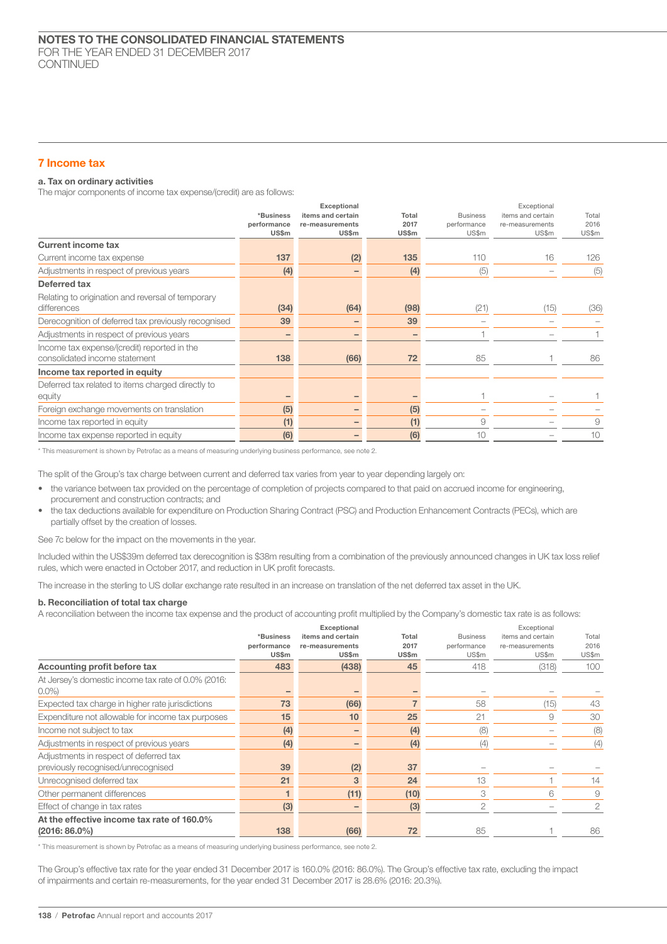## 7 Income tax

## a. Tax on ordinary activities

The major components of income tax expense/(credit) are as follows:

|                                                                              | *Business<br>performance<br><b>US\$m</b> | Exceptional<br>items and certain<br>re-measurements<br>US\$m | Total<br>2017<br><b>US\$m</b> | <b>Business</b><br>performance<br>US\$m | Exceptional<br>items and certain<br>re-measurements<br>US\$m | Total<br>2016<br>US\$m |
|------------------------------------------------------------------------------|------------------------------------------|--------------------------------------------------------------|-------------------------------|-----------------------------------------|--------------------------------------------------------------|------------------------|
| <b>Current income tax</b>                                                    |                                          |                                                              |                               |                                         |                                                              |                        |
| Current income tax expense                                                   | 137                                      | (2)                                                          | 135                           | 110                                     | 16                                                           | 126                    |
| Adjustments in respect of previous years                                     | (4)                                      |                                                              | (4)                           | (5)                                     |                                                              | (5)                    |
| Deferred tax                                                                 |                                          |                                                              |                               |                                         |                                                              |                        |
| Relating to origination and reversal of temporary<br>differences             | (34)                                     | (64)                                                         | (98)                          | (21)                                    | (15)                                                         | (36)                   |
| Derecognition of deferred tax previously recognised                          | 39                                       |                                                              | 39                            |                                         |                                                              |                        |
| Adjustments in respect of previous years                                     |                                          |                                                              |                               |                                         |                                                              |                        |
| Income tax expense/(credit) reported in the<br>consolidated income statement | 138                                      | (66)                                                         | 72                            | 85                                      |                                                              | 86                     |
| Income tax reported in equity                                                |                                          |                                                              |                               |                                         |                                                              |                        |
| Deferred tax related to items charged directly to<br>equity                  |                                          |                                                              |                               |                                         |                                                              |                        |
| Foreign exchange movements on translation                                    | (5)                                      |                                                              | (5)                           |                                         |                                                              |                        |
| Income tax reported in equity                                                | (1)                                      |                                                              | (1)                           | 9                                       |                                                              | 9                      |
| Income tax expense reported in equity                                        | (6)                                      |                                                              | (6)                           | 10                                      |                                                              | 10                     |

\* This measurement is shown by Petrofac as a means of measuring underlying business performance, see note 2.

The split of the Group's tax charge between current and deferred tax varies from year to year depending largely on:

- the variance between tax provided on the percentage of completion of projects compared to that paid on accrued income for engineering, procurement and construction contracts; and
- the tax deductions available for expenditure on Production Sharing Contract (PSC) and Production Enhancement Contracts (PECs), which are partially offset by the creation of losses.

See 7c below for the impact on the movements in the year.

Included within the US\$39m deferred tax derecognition is \$38m resulting from a combination of the previously announced changes in UK tax loss relief rules, which were enacted in October 2017, and reduction in UK profit forecasts.

The increase in the sterling to US dollar exchange rate resulted in an increase on translation of the net deferred tax asset in the UK.

#### b. Reconciliation of total tax charge

A reconciliation between the income tax expense and the product of accounting profit multiplied by the Company's domestic tax rate is as follows:

|                                                                              | *Business<br>performance<br><b>US\$m</b> | Exceptional<br>items and certain<br>re-measurements<br><b>US\$m</b> | Total<br>2017<br><b>US\$m</b> | <b>Business</b><br>performance<br>US\$m | Exceptional<br>items and certain<br>re-measurements<br>US\$m | Total<br>2016<br>US\$m |
|------------------------------------------------------------------------------|------------------------------------------|---------------------------------------------------------------------|-------------------------------|-----------------------------------------|--------------------------------------------------------------|------------------------|
| Accounting profit before tax                                                 | 483                                      | (438)                                                               | 45                            | 418                                     | (318)                                                        | 100                    |
| At Jersey's domestic income tax rate of 0.0% (2016:<br>$0.0\%$               |                                          |                                                                     |                               |                                         |                                                              |                        |
| Expected tax charge in higher rate jurisdictions                             | 73                                       | (66)                                                                |                               | 58                                      | (15)                                                         | 43                     |
| Expenditure not allowable for income tax purposes                            | 15                                       | 10                                                                  | 25                            | 21                                      | 9                                                            | 30                     |
| Income not subject to tax                                                    | (4)                                      |                                                                     | (4)                           | (8)                                     |                                                              | (8)                    |
| Adjustments in respect of previous years                                     | (4)                                      |                                                                     | (4)                           | (4)                                     |                                                              | (4)                    |
| Adjustments in respect of deferred tax<br>previously recognised/unrecognised | 39                                       | (2)                                                                 | 37                            |                                         |                                                              |                        |
| Unrecognised deferred tax                                                    | 21                                       | 3                                                                   | 24                            | 13                                      |                                                              | 14                     |
| Other permanent differences                                                  |                                          | (11)                                                                | (10)                          | 3                                       | 6                                                            | 9                      |
| Effect of change in tax rates                                                | (3)                                      | $\qquad \qquad$                                                     | (3)                           | 2                                       |                                                              | 2                      |
| At the effective income tax rate of 160.0%<br>$(2016:86.0\%)$                | 138                                      | (66)                                                                | 72                            | 85                                      |                                                              | 86                     |

\* This measurement is shown by Petrofac as a means of measuring underlying business performance, see note 2.

The Group's effective tax rate for the year ended 31 December 2017 is 160.0% (2016: 86.0%). The Group's effective tax rate, excluding the impact of impairments and certain re-measurements, for the year ended 31 December 2017 is 28.6% (2016: 20.3%).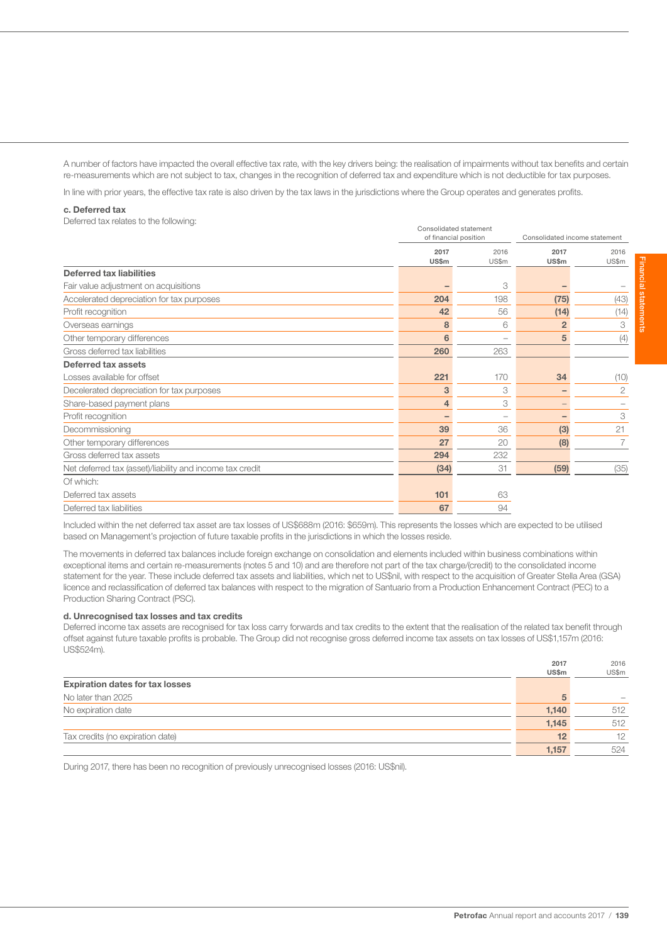A number of factors have impacted the overall effective tax rate, with the key drivers being: the realisation of impairments without tax benefits and certain re-measurements which are not subject to tax, changes in the recognition of deferred tax and expenditure which is not deductible for tax purposes.

In line with prior years, the effective tax rate is also driven by the tax laws in the jurisdictions where the Group operates and generates profits.

#### c. Deferred tax

Deferred tax relates to the following: Consolidated statement

|                                                          |                | <b>CONSUNGLEY STATES IT</b><br>of financial position |                | Consolidated income statement |  |  |
|----------------------------------------------------------|----------------|------------------------------------------------------|----------------|-------------------------------|--|--|
|                                                          | 2017           | 2016                                                 | 2017           | 2016                          |  |  |
|                                                          | US\$m          | US\$m                                                | <b>US\$m</b>   | US\$m                         |  |  |
| <b>Deferred tax liabilities</b>                          |                |                                                      |                |                               |  |  |
| Fair value adjustment on acquisitions                    |                | 3                                                    |                |                               |  |  |
| Accelerated depreciation for tax purposes                | 204            | 198                                                  | (75)           | (43)                          |  |  |
| Profit recognition                                       | 42             | 56                                                   | (14)           | (14)                          |  |  |
| Overseas earnings                                        | 8              | 6                                                    | $\overline{2}$ | 3                             |  |  |
| Other temporary differences                              | 6              |                                                      | 5              | (4)                           |  |  |
| Gross deferred tax liabilities                           | 260            | 263                                                  |                |                               |  |  |
| Deferred tax assets                                      |                |                                                      |                |                               |  |  |
| Losses available for offset                              | 221            | 170                                                  | 34             | (10)                          |  |  |
| Decelerated depreciation for tax purposes                | 3              | 3                                                    |                | $\mathbf{2}$                  |  |  |
| Share-based payment plans                                | $\overline{4}$ | 3                                                    |                |                               |  |  |
| Profit recognition                                       |                |                                                      |                | 3                             |  |  |
| Decommissioning                                          | 39             | 36                                                   | (3)            | 21                            |  |  |
| Other temporary differences                              | 27             | 20                                                   | (8)            |                               |  |  |
| Gross deferred tax assets                                | 294            | 232                                                  |                |                               |  |  |
| Net deferred tax (asset)/liability and income tax credit | (34)           | 31                                                   | (59)           | (35)                          |  |  |
| Of which:                                                |                |                                                      |                |                               |  |  |
| Deferred tax assets                                      | 101            | 63                                                   |                |                               |  |  |
| Deferred tax liabilities                                 | 67             | 94                                                   |                |                               |  |  |
|                                                          |                |                                                      |                |                               |  |  |

Included within the net deferred tax asset are tax losses of US\$688m (2016: \$659m). This represents the losses which are expected to be utilised based on Management's projection of future taxable profits in the jurisdictions in which the losses reside.

The movements in deferred tax balances include foreign exchange on consolidation and elements included within business combinations within exceptional items and certain re-measurements (notes 5 and 10) and are therefore not part of the tax charge/(credit) to the consolidated income statement for the year. These include deferred tax assets and liabilities, which net to US\$nil, with respect to the acquisition of Greater Stella Area (GSA) licence and reclassification of deferred tax balances with respect to the migration of Santuario from a Production Enhancement Contract (PEC) to a Production Sharing Contract (PSC).

#### d. Unrecognised tax losses and tax credits

Deferred income tax assets are recognised for tax loss carry forwards and tax credits to the extent that the realisation of the related tax benefit through offset against future taxable profits is probable. The Group did not recognise gross deferred income tax assets on tax losses of US\$1,157m (2016: US\$524m).

|                                        | 2017  | 2016  |
|----------------------------------------|-------|-------|
|                                        | US\$m | US\$m |
| <b>Expiration dates for tax losses</b> |       |       |
| No later than 2025                     | 5     |       |
| No expiration date                     | 1,140 | 512   |
|                                        | 1,145 | 512   |
| Tax credits (no expiration date)       | 12    | 12    |
|                                        | 1,157 | 524   |

During 2017, there has been no recognition of previously unrecognised losses (2016: US\$nil).

Financial statements Financial statements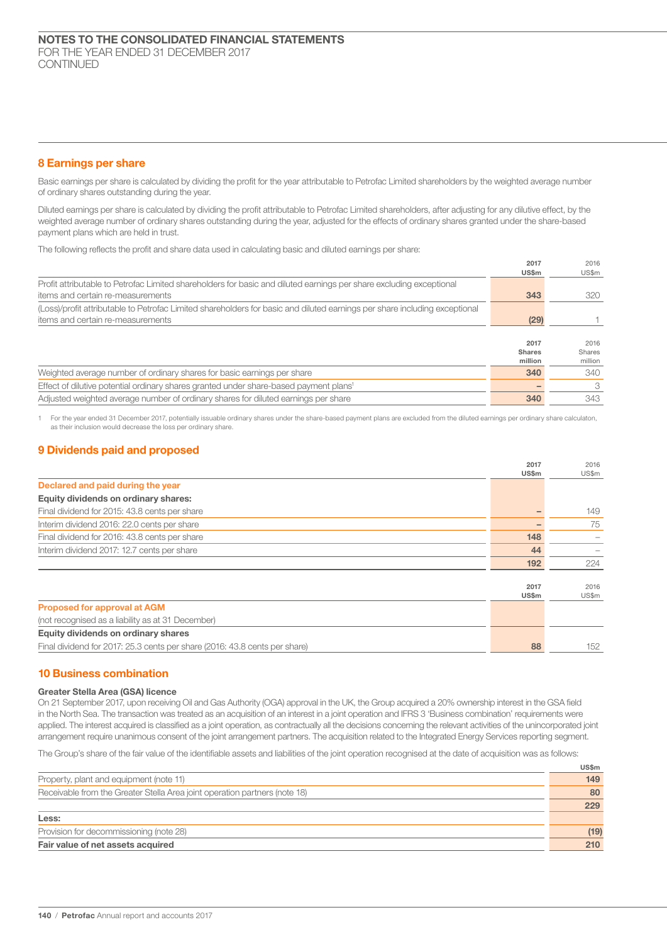## 8 Earnings per share

Basic earnings per share is calculated by dividing the profit for the year attributable to Petrofac Limited shareholders by the weighted average number of ordinary shares outstanding during the year.

Diluted earnings per share is calculated by dividing the profit attributable to Petrofac Limited shareholders, after adjusting for any dilutive effect, by the weighted average number of ordinary shares outstanding during the year, adjusted for the effects of ordinary shares granted under the share-based payment plans which are held in trust.

The following reflects the profit and share data used in calculating basic and diluted earnings per share:

| US\$m<br>US\$m<br>343<br>320<br>(29)<br>2017<br>2016<br><b>Shares</b><br>Shares<br>million<br>million<br>340<br>340<br>3 |                                                                                                                            | 2017 | 2016 |
|--------------------------------------------------------------------------------------------------------------------------|----------------------------------------------------------------------------------------------------------------------------|------|------|
|                                                                                                                          |                                                                                                                            |      |      |
|                                                                                                                          | Profit attributable to Petrofac Limited shareholders for basic and diluted earnings per share excluding exceptional        |      |      |
|                                                                                                                          | items and certain re-measurements                                                                                          |      |      |
|                                                                                                                          | (Loss)/profit attributable to Petrofac Limited shareholders for basic and diluted earnings per share including exceptional |      |      |
|                                                                                                                          | items and certain re-measurements                                                                                          |      |      |
|                                                                                                                          |                                                                                                                            |      |      |
|                                                                                                                          |                                                                                                                            |      |      |
|                                                                                                                          |                                                                                                                            |      |      |
|                                                                                                                          |                                                                                                                            |      |      |
|                                                                                                                          | Weighted average number of ordinary shares for basic earnings per share                                                    |      |      |
|                                                                                                                          | Effect of dilutive potential ordinary shares granted under share-based payment plans <sup>1</sup>                          |      |      |
|                                                                                                                          | Adjusted weighted average number of ordinary shares for diluted earnings per share                                         | 340  | 343  |

1 For the year ended 31 December 2017, potentially issuable ordinary shares under the share-based payment plans are excluded from the diluted earnings per ordinary share calculaton, as their inclusion would decrease the loss per ordinary share.

## 9 Dividends paid and proposed

|                                                                            | 2017          | 2016          |
|----------------------------------------------------------------------------|---------------|---------------|
|                                                                            | US\$m         | US\$m         |
| Declared and paid during the year                                          |               |               |
| Equity dividends on ordinary shares:                                       |               |               |
| Final dividend for 2015: 43.8 cents per share                              |               | 149           |
| Interim dividend 2016: 22.0 cents per share                                |               | 75            |
| Final dividend for 2016: 43.8 cents per share                              | 148           |               |
| Interim dividend 2017: 12.7 cents per share                                | 44            |               |
|                                                                            | 192           | 224           |
|                                                                            |               |               |
|                                                                            | 2017<br>US\$m | 2016<br>US\$m |
| <b>Proposed for approval at AGM</b>                                        |               |               |
| (not recognised as a liability as at 31 December)                          |               |               |
| Equity dividends on ordinary shares                                        |               |               |
| Final dividend for 2017: 25.3 cents per share (2016: 43.8 cents per share) | 88            | 152           |
|                                                                            |               |               |

## 10 Business combination

## Greater Stella Area (GSA) licence

On 21 September 2017, upon receiving Oil and Gas Authority (OGA) approval in the UK, the Group acquired a 20% ownership interest in the GSA field in the North Sea. The transaction was treated as an acquisition of an interest in a joint operation and IFRS 3 'Business combination' requirements were applied. The interest acquired is classified as a joint operation, as contractually all the decisions concerning the relevant activities of the unincorporated joint arrangement require unanimous consent of the joint arrangement partners. The acquisition related to the Integrated Energy Services reporting segment.

The Group's share of the fair value of the identifiable assets and liabilities of the joint operation recognised at the date of acquisition was as follows:

|                                                                            | US\$m |
|----------------------------------------------------------------------------|-------|
| Property, plant and equipment (note 11)                                    | 149   |
| Receivable from the Greater Stella Area joint operation partners (note 18) | 80    |
|                                                                            | 229   |
| Less:                                                                      |       |
| Provision for decommissioning (note 28)                                    | (19)  |
| Fair value of net assets acquired                                          | 210   |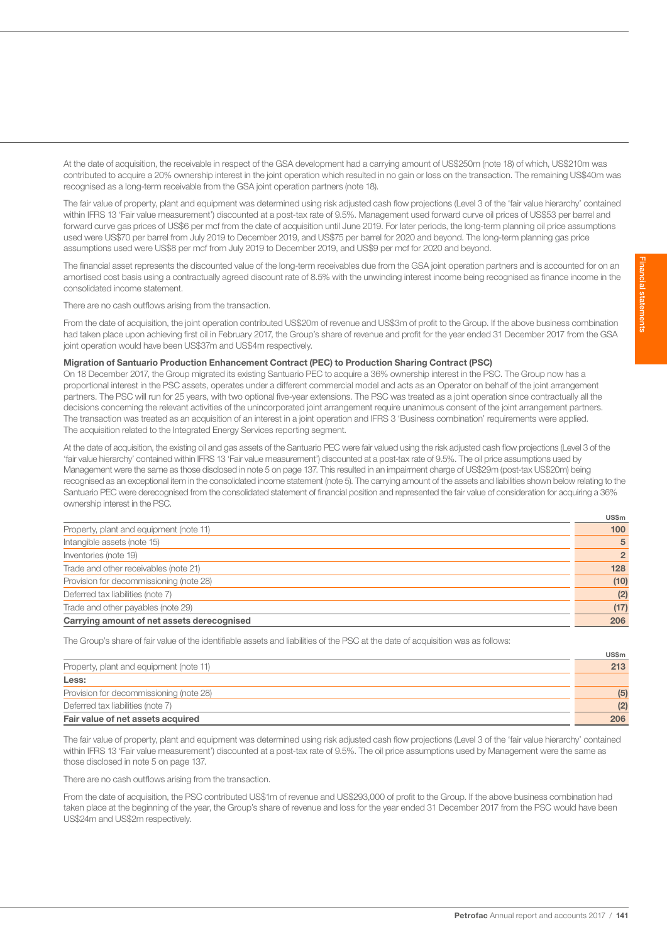At the date of acquisition, the receivable in respect of the GSA development had a carrying amount of US\$250m (note 18) of which, US\$210m was contributed to acquire a 20% ownership interest in the joint operation which resulted in no gain or loss on the transaction. The remaining US\$40m was recognised as a long-term receivable from the GSA joint operation partners (note 18).

The fair value of property, plant and equipment was determined using risk adjusted cash flow projections (Level 3 of the 'fair value hierarchy' contained within IFRS 13 'Fair value measurement') discounted at a post-tax rate of 9.5%. Management used forward curve oil prices of US\$53 per barrel and forward curve gas prices of US\$6 per mcf from the date of acquisition until June 2019. For later periods, the long-term planning oil price assumptions used were US\$70 per barrel from July 2019 to December 2019, and US\$75 per barrel for 2020 and beyond. The long-term planning gas price assumptions used were US\$8 per mcf from July 2019 to December 2019, and US\$9 per mcf for 2020 and beyond.

The financial asset represents the discounted value of the long-term receivables due from the GSA joint operation partners and is accounted for on an amortised cost basis using a contractually agreed discount rate of 8.5% with the unwinding interest income being recognised as finance income in the consolidated income statement.

There are no cash outflows arising from the transaction.

From the date of acquisition, the joint operation contributed US\$20m of revenue and US\$3m of profit to the Group. If the above business combination had taken place upon achieving first oil in February 2017, the Group's share of revenue and profit for the year ended 31 December 2017 from the GSA joint operation would have been US\$37m and US\$4m respectively.

## Migration of Santuario Production Enhancement Contract (PEC) to Production Sharing Contract (PSC)

On 18 December 2017, the Group migrated its existing Santuario PEC to acquire a 36% ownership interest in the PSC. The Group now has a proportional interest in the PSC assets, operates under a different commercial model and acts as an Operator on behalf of the joint arrangement partners. The PSC will run for 25 years, with two optional five-year extensions. The PSC was treated as a joint operation since contractually all the decisions concerning the relevant activities of the unincorporated joint arrangement require unanimous consent of the joint arrangement partners. The transaction was treated as an acquisition of an interest in a joint operation and IFRS 3 'Business combination' requirements were applied. The acquisition related to the Integrated Energy Services reporting segment.

At the date of acquisition, the existing oil and gas assets of the Santuario PEC were fair valued using the risk adjusted cash flow projections (Level 3 of the 'fair value hierarchy' contained within IFRS 13 'Fair value measurement') discounted at a post-tax rate of 9.5%. The oil price assumptions used by Management were the same as those disclosed in note 5 on page 137. This resulted in an impairment charge of US\$29m (post-tax US\$20m) being recognised as an exceptional item in the consolidated income statement (note 5). The carrying amount of the assets and liabilities shown below relating to the Santuario PEC were derecognised from the consolidated statement of financial position and represented the fair value of consideration for acquiring a 36% ownership interest in the PSC.

|                                            | US\$m            |
|--------------------------------------------|------------------|
| Property, plant and equipment (note 11)    | 100 <sub>1</sub> |
| Intangible assets (note 15)                | 5                |
| Inventories (note 19)                      | $\overline{2}$   |
| Trade and other receivables (note 21)      | 128              |
| Provision for decommissioning (note 28)    | (10)             |
| Deferred tax liabilities (note 7)          | (2)              |
| Trade and other payables (note 29)         | (17)             |
| Carrying amount of net assets derecognised | 206              |
|                                            |                  |

The Group's share of fair value of the identifiable assets and liabilities of the PSC at the date of acquisition was as follows:

|                                         | <b>US\$m</b> |
|-----------------------------------------|--------------|
| Property, plant and equipment (note 11) | 213          |
| Less:                                   |              |
| Provision for decommissioning (note 28) | (5)          |
| Deferred tax liabilities (note 7)       | (2)          |
| Fair value of net assets acquired       | 206          |

The fair value of property, plant and equipment was determined using risk adjusted cash flow projections (Level 3 of the 'fair value hierarchy' contained within IFRS 13 'Fair value measurement') discounted at a post-tax rate of 9.5%. The oil price assumptions used by Management were the same as those disclosed in note 5 on page 137.

There are no cash outflows arising from the transaction.

From the date of acquisition, the PSC contributed US\$1m of revenue and US\$293,000 of profit to the Group. If the above business combination had taken place at the beginning of the year, the Group's share of revenue and loss for the year ended 31 December 2017 from the PSC would have been US\$24m and US\$2m respectively.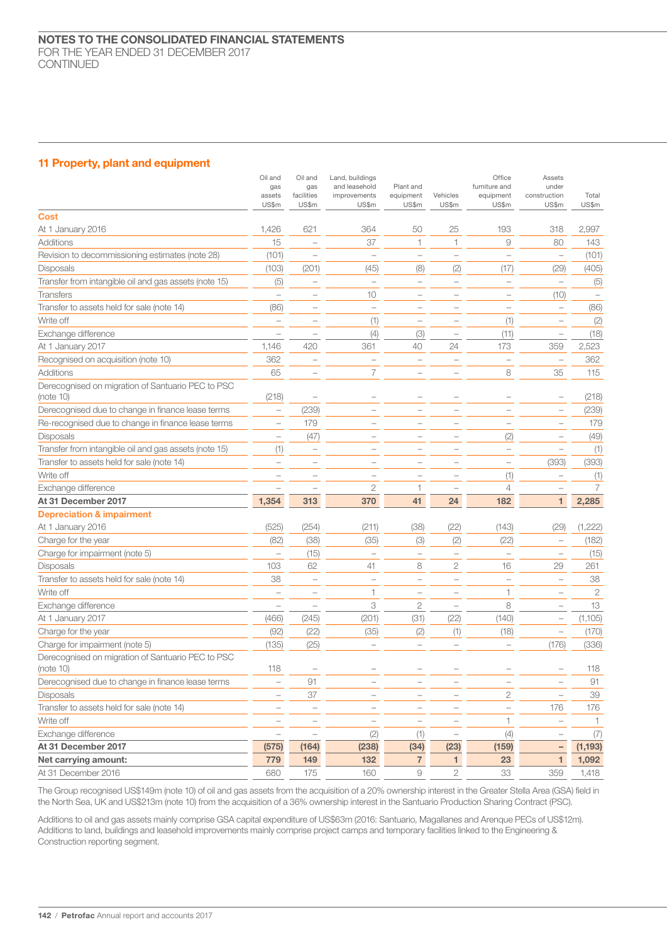## 11 Property, plant and equipment

|                                                                | Oil and<br>gas<br>assets<br>US\$m | Oil and<br>gas<br>facilities<br>US\$m | Land, buildings<br>and leasehold<br>improvements<br>US\$m | Plant and<br>equipment<br>US\$m | Vehicles<br>US\$m        | Office<br>furniture and<br>equipment<br>US\$m | Assets<br>under<br>construction<br>US\$m | Total<br>US\$m |
|----------------------------------------------------------------|-----------------------------------|---------------------------------------|-----------------------------------------------------------|---------------------------------|--------------------------|-----------------------------------------------|------------------------------------------|----------------|
| <b>Cost</b>                                                    |                                   |                                       |                                                           |                                 |                          |                                               |                                          |                |
| At 1 January 2016                                              | 1,426                             | 621                                   | 364                                                       | 50                              | 25                       | 193                                           | 318                                      | 2,997          |
| Additions                                                      | 15                                | L.                                    | 37                                                        | 1                               | 1                        | $\Theta$                                      | 80                                       | 143            |
| Revision to decommissioning estimates (note 28)                | (101)                             | L.                                    | $\overline{\phantom{0}}$                                  | $\overline{\phantom{0}}$        | $\overline{\phantom{0}}$ | $\overline{\phantom{a}}$                      | $\overline{\phantom{0}}$                 | (101)          |
| <b>Disposals</b>                                               | (103)                             | (201)                                 | (45)                                                      | (8)                             | (2)                      | (17)                                          | (29)                                     | (405)          |
| Transfer from intangible oil and gas assets (note 15)          | (5)                               | $\overline{\phantom{0}}$              | $\overline{\phantom{a}}$                                  | $\qquad \qquad -$               | $\overline{\phantom{0}}$ | $\overline{\phantom{0}}$                      | $\qquad \qquad -$                        | (5)            |
| <b>Transfers</b>                                               | $\overline{\phantom{0}}$          | $\overline{\phantom{0}}$              | 10                                                        | $\overline{\phantom{0}}$        | $\overline{\phantom{0}}$ | $\overline{\phantom{0}}$                      | (10)                                     |                |
| Transfer to assets held for sale (note 14)                     | (86)                              | $\overline{\phantom{0}}$              | $\overline{\phantom{0}}$                                  | $\overline{\phantom{0}}$        | $\overline{\phantom{a}}$ | $\overline{\phantom{a}}$                      | $\overline{\phantom{0}}$                 | (86)           |
| Write off                                                      |                                   | L.                                    | (1)                                                       | $\overline{\phantom{0}}$        |                          | (1)                                           |                                          | (2)            |
| Exchange difference                                            |                                   |                                       | (4)                                                       | (3)                             |                          | (11)                                          |                                          | (18)           |
| At 1 January 2017                                              | 1,146                             | 420                                   | 361                                                       | 40                              | 24                       | 173                                           | 359                                      | 2,523          |
| Recognised on acquisition (note 10)                            | 362                               | ÷                                     | L.                                                        |                                 | $\overline{\phantom{a}}$ | $\overline{\phantom{a}}$                      | $\overline{\phantom{0}}$                 | 362            |
| Additions                                                      | 65                                | ۰                                     | 7                                                         | $\overline{\phantom{0}}$        |                          | 8                                             | 35                                       | 115            |
| Derecognised on migration of Santuario PEC to PSC<br>(note 10) | (218)                             |                                       |                                                           |                                 |                          |                                               |                                          | (218)          |
| Derecognised due to change in finance lease terms              | $\overline{\phantom{m}}$          | (239)                                 |                                                           |                                 | ÷                        | $\overline{\phantom{0}}$                      | $\overline{\phantom{0}}$                 | (239)          |
| Re-recognised due to change in finance lease terms             | $\overline{\phantom{a}}$          | 179                                   |                                                           | $\overline{\phantom{0}}$        | $\overline{\phantom{0}}$ | $\qquad \qquad -$                             | $\qquad \qquad -$                        | 179            |
| <b>Disposals</b>                                               | $\overline{\phantom{0}}$          | (47)                                  |                                                           | $\overline{\phantom{0}}$        |                          | (2)                                           | $\overline{\phantom{0}}$                 | (49)           |
| Transfer from intangible oil and gas assets (note 15)          | (1)                               | $\overline{\phantom{0}}$              |                                                           |                                 |                          | $\overline{\phantom{0}}$                      | $\overline{\phantom{0}}$                 | (1)            |
| Transfer to assets held for sale (note 14)                     | L.                                | $\overline{\phantom{a}}$              | $\overline{\phantom{0}}$                                  | $\overline{\phantom{0}}$        |                          | L.                                            | (393)                                    | (393)          |
| Write off                                                      |                                   |                                       |                                                           |                                 |                          | (1)                                           |                                          | (1)            |
| Exchange difference                                            |                                   |                                       | $\mathbf{2}$                                              | $\mathbf{1}$                    |                          | $\overline{4}$                                |                                          | 7              |
| At 31 December 2017                                            | 1,354                             | 313                                   | 370                                                       | 41                              | 24                       | 182                                           | $\mathbf{1}$                             | 2,285          |
| <b>Depreciation &amp; impairment</b>                           |                                   |                                       |                                                           |                                 |                          |                                               |                                          |                |
| At 1 January 2016                                              | (525)                             | (254)                                 | (211)                                                     | (38)                            | (22)                     | (143)                                         | (29)                                     | (1,222)        |
| Charge for the year                                            | (82)                              | (38)                                  | (35)                                                      | (3)                             | (2)                      | (22)                                          |                                          | (182)          |
| Charge for impairment (note 5)                                 |                                   | (15)                                  |                                                           | $\overline{\phantom{0}}$        | $\overline{\phantom{0}}$ |                                               |                                          | (15)           |
| <b>Disposals</b>                                               | 103                               | 62                                    | 41                                                        | 8                               | 2                        | 16                                            | 29                                       | 261            |
| Transfer to assets held for sale (note 14)                     | 38                                | $\overline{\phantom{0}}$              | $\overline{\phantom{a}}$                                  | $\overline{\phantom{0}}$        | $\overline{\phantom{0}}$ | $\overline{\phantom{0}}$                      | $\overline{\phantom{a}}$                 | 38             |
| Write off                                                      |                                   |                                       | 1                                                         | $\overline{\phantom{0}}$        |                          | 1                                             |                                          | $\mathbf{2}$   |
| Exchange difference                                            |                                   | ÷                                     | 3                                                         | 2                               | $\qquad \qquad -$        | 8                                             | $\overline{\phantom{0}}$                 | 13             |
| At 1 January 2017                                              | (466)                             | (245)                                 | (201)                                                     | (31)                            | (22)                     | (140)                                         | $\overline{\phantom{0}}$                 | (1,105)        |
| Charge for the year                                            | (92)                              | (22)                                  | (35)                                                      | (2)                             | (1)                      | (18)                                          | $\qquad \qquad -$                        | (170)          |
| Charge for impairment (note 5)                                 | (135)                             | (25)                                  |                                                           | $\overline{\phantom{0}}$        | $\overline{\phantom{0}}$ |                                               | (176)                                    | (336)          |
| Derecognised on migration of Santuario PEC to PSC<br>(note 10) | 118                               |                                       |                                                           |                                 |                          |                                               |                                          | 118            |
| Derecognised due to change in finance lease terms              |                                   | 91                                    |                                                           |                                 |                          | $\qquad \qquad -$                             |                                          | 91             |
| Disposals                                                      |                                   | 37                                    |                                                           |                                 |                          | $\mathbf{2}$                                  |                                          | 39             |
| Transfer to assets held for sale (note 14)                     | $\qquad \qquad -$                 | $\qquad \qquad -$                     |                                                           |                                 |                          | $\overline{\phantom{0}}$                      | 176                                      | 176            |
| Write off                                                      |                                   | L.                                    | $\overline{\phantom{a}}$                                  | $\overline{\phantom{a}}$        | L.                       | $\mathbf{1}$                                  |                                          |                |
| Exchange difference                                            | $\qquad \qquad -$                 | $\overline{\phantom{a}}$              | (2)                                                       | (1)                             | $\overline{\phantom{0}}$ | (4)                                           |                                          | (7)            |
| At 31 December 2017                                            | (575)                             | (164)                                 | (238)                                                     | (34)                            | (23)                     | (159)                                         | $\qquad \qquad -$                        | (1, 193)       |
| Net carrying amount:                                           | 779                               | 149                                   | 132                                                       | $\overline{7}$                  | $\mathbf{1}$             | 23                                            | $\mathbf{1}$                             | 1,092          |
| At 31 December 2016                                            | 680                               | 175                                   | 160                                                       | 9                               | $\overline{2}$           | 33                                            | 359                                      | 1,418          |

The Group recognised US\$149m (note 10) of oil and gas assets from the acquisition of a 20% ownership interest in the Greater Stella Area (GSA) field in the North Sea, UK and US\$213m (note 10) from the acquisition of a 36% ownership interest in the Santuario Production Sharing Contract (PSC).

Additions to oil and gas assets mainly comprise GSA capital expenditure of US\$63m (2016: Santuario, Magallanes and Arenque PECs of US\$12m). Additions to land, buildings and leasehold improvements mainly comprise project camps and temporary facilities linked to the Engineering & Construction reporting segment.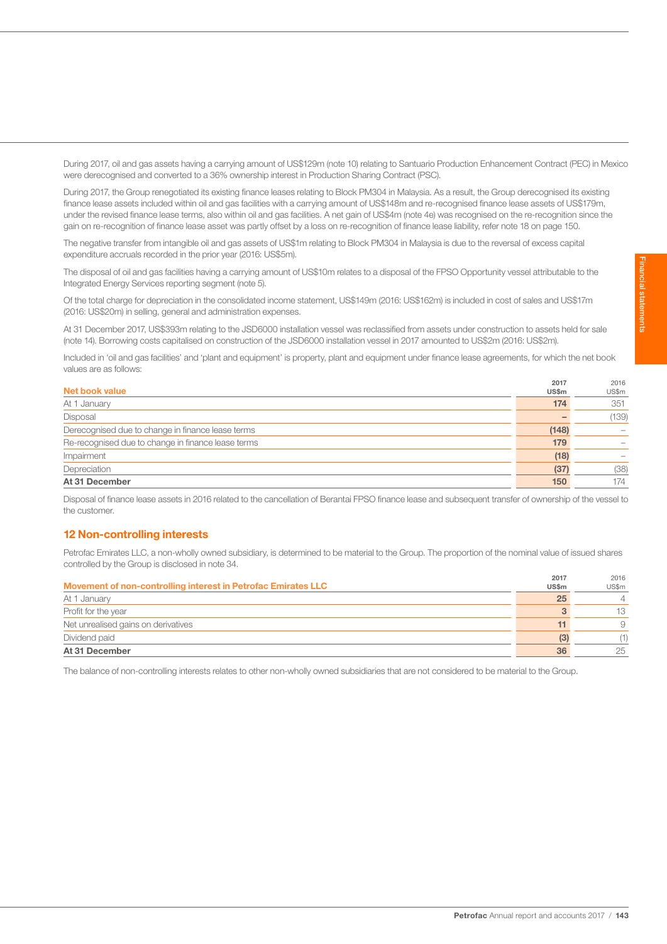During 2017, oil and gas assets having a carrying amount of US\$129m (note 10) relating to Santuario Production Enhancement Contract (PEC) in Mexico were derecognised and converted to a 36% ownership interest in Production Sharing Contract (PSC).

During 2017, the Group renegotiated its existing finance leases relating to Block PM304 in Malaysia. As a result, the Group derecognised its existing finance lease assets included within oil and gas facilities with a carrying amount of US\$148m and re-recognised finance lease assets of US\$179m, under the revised finance lease terms, also within oil and gas facilities. A net gain of US\$4m (note 4e) was recognised on the re-recognition since the gain on re-recognition of finance lease asset was partly offset by a loss on re-recognition of finance lease liability, refer note 18 on page 150.

The negative transfer from intangible oil and gas assets of US\$1m relating to Block PM304 in Malaysia is due to the reversal of excess capital expenditure accruals recorded in the prior year (2016: US\$5m).

The disposal of oil and gas facilities having a carrying amount of US\$10m relates to a disposal of the FPSO Opportunity vessel attributable to the Integrated Energy Services reporting segment (note 5).

Of the total charge for depreciation in the consolidated income statement, US\$149m (2016: US\$162m) is included in cost of sales and US\$17m (2016: US\$20m) in selling, general and administration expenses.

At 31 December 2017, US\$393m relating to the JSD6000 installation vessel was reclassified from assets under construction to assets held for sale (note 14). Borrowing costs capitalised on construction of the JSD6000 installation vessel in 2017 amounted to US\$2m (2016: US\$2m).

Included in 'oil and gas facilities' and 'plant and equipment' is property, plant and equipment under finance lease agreements, for which the net book values are as follows:

|                                                    | 2017  | 2016  |
|----------------------------------------------------|-------|-------|
| Net book value                                     | US\$m | US\$m |
| At 1 January                                       | 174   | 351   |
| Disposal                                           |       | (139) |
| Derecognised due to change in finance lease terms  | (148) |       |
| Re-recognised due to change in finance lease terms | 179   |       |
| Impairment                                         | (18)  |       |
| Depreciation                                       | (37)  | (38)  |
| At 31 December                                     | 150   | 174   |

Disposal of finance lease assets in 2016 related to the cancellation of Berantai FPSO finance lease and subsequent transfer of ownership of the vessel to the customer.

## 12 Non-controlling interests

Petrofac Emirates LLC, a non-wholly owned subsidiary, is determined to be material to the Group. The proportion of the nominal value of issued shares controlled by the Group is disclosed in note 34.

|                                                               | 2017         | 2016  |
|---------------------------------------------------------------|--------------|-------|
| Movement of non-controlling interest in Petrofac Emirates LLC | <b>US\$m</b> | US\$m |
| At 1 January                                                  | 25           |       |
| Profit for the year                                           |              | 13.   |
| Net unrealised gains on derivatives                           |              |       |
| Dividend paid                                                 | (3)          |       |
| At 31 December                                                | 36           | 25    |

The balance of non-controlling interests relates to other non-wholly owned subsidiaries that are not considered to be material to the Group.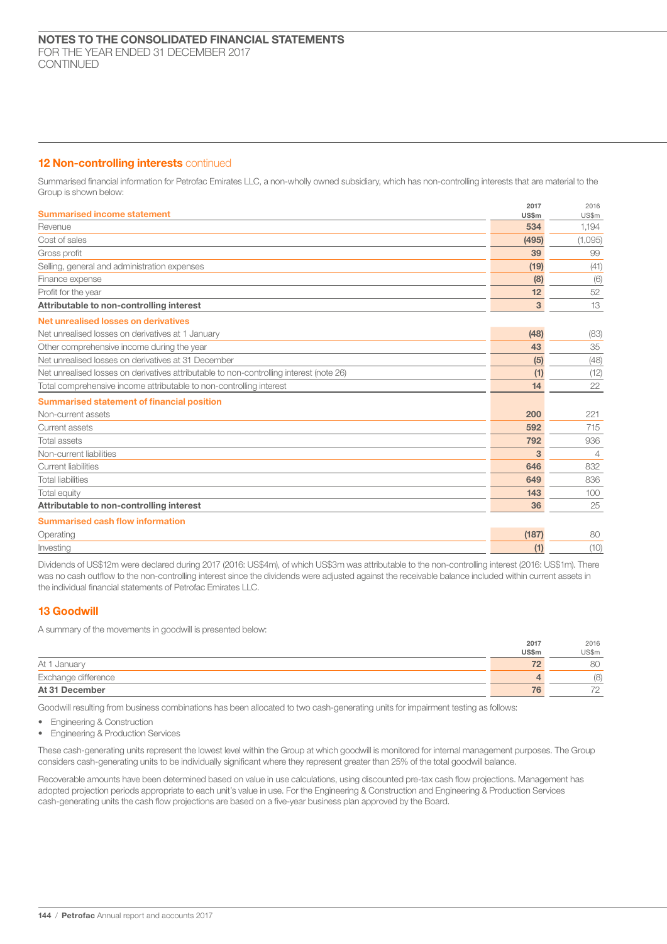## 12 Non-controlling interests continued

Summarised financial information for Petrofac Emirates LLC, a non-wholly owned subsidiary, which has non-controlling interests that are material to the Group is shown below:

| <b>Summarised income statement</b>                                                      | 2017<br>US\$m | 2016<br>US\$m  |
|-----------------------------------------------------------------------------------------|---------------|----------------|
| Revenue                                                                                 | 534           | 1.194          |
| Cost of sales                                                                           | (495)         | (1,095)        |
| Gross profit                                                                            | 39            | 99             |
| Selling, general and administration expenses                                            | (19)          | (41)           |
| Finance expense                                                                         | (8)           | (6)            |
| Profit for the year                                                                     | 12            | 52             |
| Attributable to non-controlling interest                                                | 3             | 13             |
| Net unrealised losses on derivatives                                                    |               |                |
| Net unrealised losses on derivatives at 1 January                                       | (48)          | (83)           |
| Other comprehensive income during the year                                              | 43            | 35             |
| Net unrealised losses on derivatives at 31 December                                     | (5)           | (48)           |
| Net unrealised losses on derivatives attributable to non-controlling interest (note 26) | (1)           | (12)           |
| Total comprehensive income attributable to non-controlling interest                     | 14            | 22             |
| <b>Summarised statement of financial position</b>                                       |               |                |
| Non-current assets                                                                      | 200           | 221            |
| Current assets                                                                          | 592           | 715            |
| <b>Total assets</b>                                                                     | 792           | 936            |
| Non-current liabilities                                                                 | 3             | $\overline{4}$ |
| <b>Current liabilities</b>                                                              | 646           | 832            |
| <b>Total liabilities</b>                                                                | 649           | 836            |
| Total equity                                                                            | 143           | 100            |
| Attributable to non-controlling interest                                                | 36            | 25             |
| <b>Summarised cash flow information</b>                                                 |               |                |
| Operating                                                                               | (187)         | 80             |
| Investina                                                                               | (1)           | (10)           |

Dividends of US\$12m were declared during 2017 (2016: US\$4m), of which US\$3m was attributable to the non-controlling interest (2016: US\$1m). There was no cash outflow to the non-controlling interest since the dividends were adjusted against the receivable balance included within current assets in the individual financial statements of Petrofac Emirates LLC.

## 13 Goodwill

A summary of the movements in goodwill is presented below:

|                     | 2017  | 2016           |
|---------------------|-------|----------------|
|                     | US\$m | US\$m          |
| At 1 January        |       | 80             |
| Exchange difference | 4     | (8)            |
| At 31 December      | 76    | 70<br><u>_</u> |

Goodwill resulting from business combinations has been allocated to two cash-generating units for impairment testing as follows:

- Engineering & Construction
- Engineering & Production Services

These cash-generating units represent the lowest level within the Group at which goodwill is monitored for internal management purposes. The Group considers cash-generating units to be individually significant where they represent greater than 25% of the total goodwill balance.

Recoverable amounts have been determined based on value in use calculations, using discounted pre-tax cash flow projections. Management has adopted projection periods appropriate to each unit's value in use. For the Engineering & Construction and Engineering & Production Services cash-generating units the cash flow projections are based on a five-year business plan approved by the Board.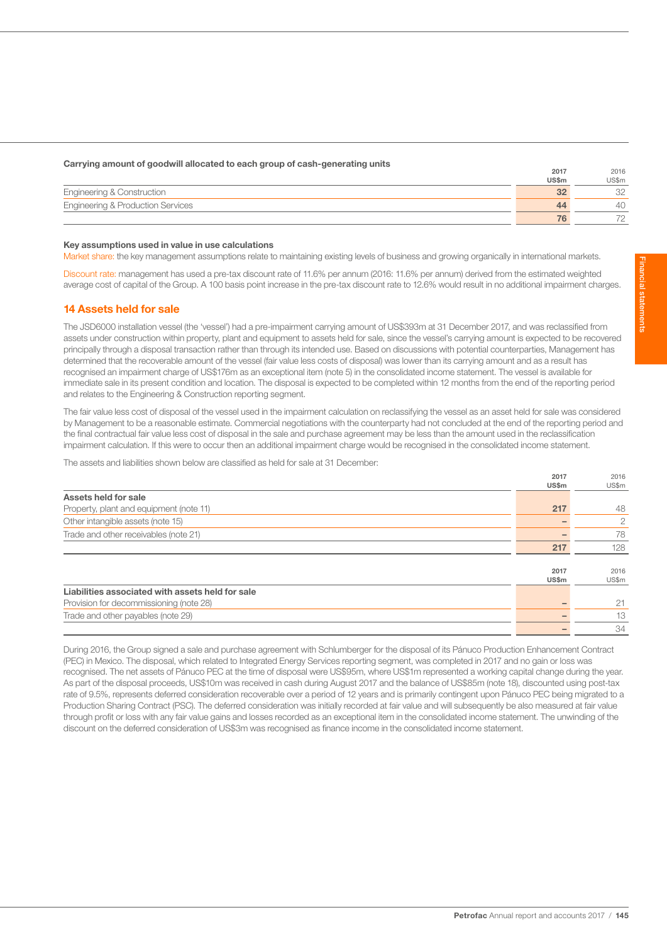## Carrying amount of goodwill allocated to each group of cash-generating units 2017

|                                              | $\sim$ $\sim$ $\sim$ $\sim$ | <b>LUIU</b> |
|----------------------------------------------|-----------------------------|-------------|
|                                              | <b>US\$m</b>                | JS\$m       |
| <b>Engineering &amp; Construction</b>        | oc                          |             |
| <b>Engineering &amp; Production Services</b> | $\Delta \Delta$             |             |
|                                              | 76                          |             |

## Key assumptions used in value in use calculations

Market share: the key management assumptions relate to maintaining existing levels of business and growing organically in international markets.

Discount rate: management has used a pre-tax discount rate of 11.6% per annum (2016: 11.6% per annum) derived from the estimated weighted average cost of capital of the Group. A 100 basis point increase in the pre-tax discount rate to 12.6% would result in no additional impairment charges.

## 14 Assets held for sale

The JSD6000 installation vessel (the 'vessel') had a pre-impairment carrying amount of US\$393m at 31 December 2017, and was reclassified from assets under construction within property, plant and equipment to assets held for sale, since the vessel's carrying amount is expected to be recovered principally through a disposal transaction rather than through its intended use. Based on discussions with potential counterparties, Management has determined that the recoverable amount of the vessel (fair value less costs of disposal) was lower than its carrying amount and as a result has recognised an impairment charge of US\$176m as an exceptional item (note 5) in the consolidated income statement. The vessel is available for immediate sale in its present condition and location. The disposal is expected to be completed within 12 months from the end of the reporting period and relates to the Engineering & Construction reporting segment.

The fair value less cost of disposal of the vessel used in the impairment calculation on reclassifying the vessel as an asset held for sale was considered by Management to be a reasonable estimate. Commercial negotiations with the counterparty had not concluded at the end of the reporting period and the final contractual fair value less cost of disposal in the sale and purchase agreement may be less than the amount used in the reclassification impairment calculation. If this were to occur then an additional impairment charge would be recognised in the consolidated income statement.

The assets and liabilities shown below are classified as held for sale at 31 December:

|                                                  | 2017  | 2016  |
|--------------------------------------------------|-------|-------|
|                                                  | US\$m | US\$m |
| Assets held for sale                             |       |       |
| Property, plant and equipment (note 11)          | 217   | 48    |
| Other intangible assets (note 15)                |       | 2     |
| Trade and other receivables (note 21)            |       | 78    |
|                                                  | 217   | 128   |
|                                                  |       |       |
|                                                  | 2017  | 2016  |
|                                                  | US\$m | US\$m |
| Liabilities associated with assets held for sale |       |       |
| Provision for decommissioning (note 28)          |       | 21    |
| Trade and other payables (note 29)               |       | 13    |
|                                                  |       | 34    |

During 2016, the Group signed a sale and purchase agreement with Schlumberger for the disposal of its Pánuco Production Enhancement Contract (PEC) in Mexico. The disposal, which related to Integrated Energy Services reporting segment, was completed in 2017 and no gain or loss was recognised. The net assets of Pánuco PEC at the time of disposal were US\$95m, where US\$1m represented a working capital change during the year. As part of the disposal proceeds, US\$10m was received in cash during August 2017 and the balance of US\$85m (note 18), discounted using post-tax rate of 9.5%, represents deferred consideration recoverable over a period of 12 years and is primarily contingent upon Pánuco PEC being migrated to a Production Sharing Contract (PSC). The deferred consideration was initially recorded at fair value and will subsequently be also measured at fair value through profit or loss with any fair value gains and losses recorded as an exceptional item in the consolidated income statement. The unwinding of the discount on the deferred consideration of US\$3m was recognised as finance income in the consolidated income statement.

 $2010$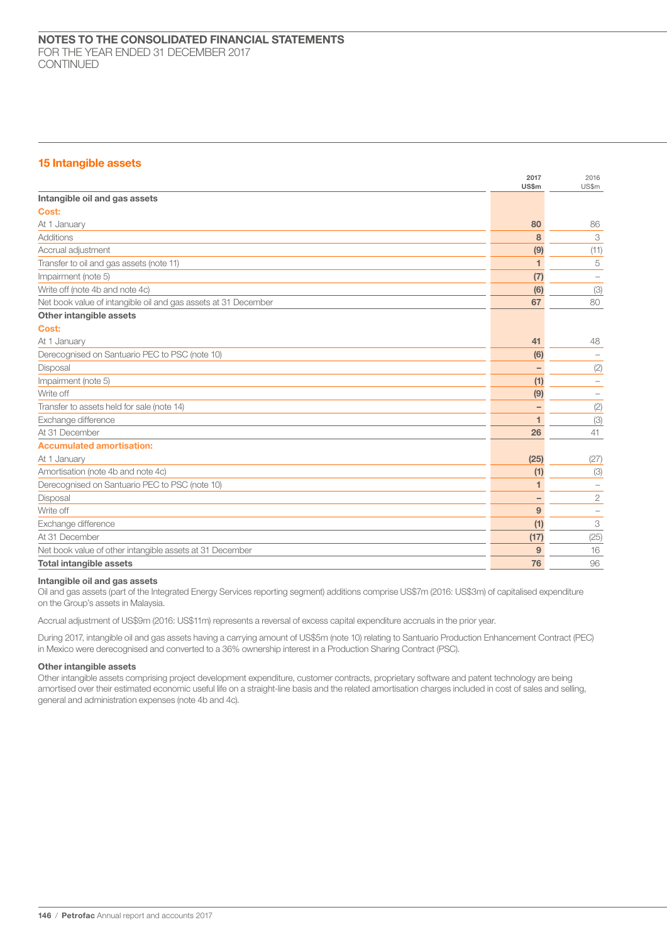## 15 Intangible assets

|                                                                | 2017<br>US\$m | 2016<br>US\$m |
|----------------------------------------------------------------|---------------|---------------|
| Intangible oil and gas assets                                  |               |               |
| Cost:                                                          |               |               |
| At 1 January                                                   | 80            | 86            |
| Additions                                                      | 8             | 3             |
| Accrual adjustment                                             | (9)           | (11)          |
| Transfer to oil and gas assets (note 11)                       | 1             | 5             |
| Impairment (note 5)                                            | (7)           |               |
| Write off (note 4b and note 4c)                                | (6)           | (3)           |
| Net book value of intangible oil and gas assets at 31 December | 67            | 80            |
| Other intangible assets                                        |               |               |
| Cost:                                                          |               |               |
| At 1 January                                                   | 41            | 48            |
| Derecognised on Santuario PEC to PSC (note 10)                 | (6)           |               |
| Disposal                                                       |               | (2)           |
| Impairment (note 5)                                            | (1)           |               |
| Write off                                                      | (9)           |               |
| Transfer to assets held for sale (note 14)                     |               | (2)           |
| Exchange difference                                            | 1             | (3)           |
| At 31 December                                                 | 26            | 41            |
| <b>Accumulated amortisation:</b>                               |               |               |
| At 1 January                                                   | (25)          | (27)          |
| Amortisation (note 4b and note 4c)                             | (1)           | (3)           |
| Derecognised on Santuario PEC to PSC (note 10)                 | 1             |               |
| Disposal                                                       |               | 2             |
| Write off                                                      | 9             |               |
| Exchange difference                                            | (1)           | 3             |
| At 31 December                                                 | (17)          | (25)          |
| Net book value of other intangible assets at 31 December       | 9             | 16            |
| <b>Total intangible assets</b>                                 | 76            | 96            |

## Intangible oil and gas assets

Oil and gas assets (part of the Integrated Energy Services reporting segment) additions comprise US\$7m (2016: US\$3m) of capitalised expenditure on the Group's assets in Malaysia.

Accrual adjustment of US\$9m (2016: US\$11m) represents a reversal of excess capital expenditure accruals in the prior year.

During 2017, intangible oil and gas assets having a carrying amount of US\$5m (note 10) relating to Santuario Production Enhancement Contract (PEC) in Mexico were derecognised and converted to a 36% ownership interest in a Production Sharing Contract (PSC).

## Other intangible assets

Other intangible assets comprising project development expenditure, customer contracts, proprietary software and patent technology are being amortised over their estimated economic useful life on a straight-line basis and the related amortisation charges included in cost of sales and selling, general and administration expenses (note 4b and 4c).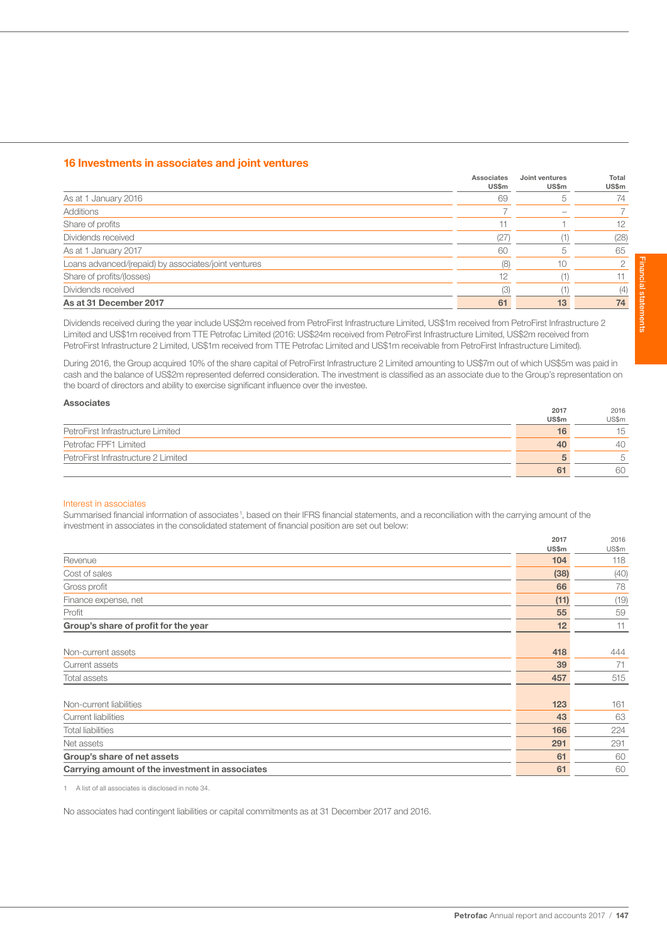## 16 Investments in associates and joint ventures

|                                                      | Associates<br><b>US\$m</b> | Joint ventures<br>US\$m | Total<br>US\$m |
|------------------------------------------------------|----------------------------|-------------------------|----------------|
| As at 1 January 2016                                 | 69                         | 5                       | 74             |
| Additions                                            |                            |                         |                |
| Share of profits                                     |                            |                         | 12             |
| Dividends received                                   | (27)                       |                         | (28)           |
| As at 1 January 2017                                 | 60                         |                         | 65             |
| Loans advanced/(repaid) by associates/joint ventures | (8)                        | 10                      |                |
| Share of profits/(losses)                            | 12                         |                         |                |
| Dividends received                                   | (3)                        |                         | (4)            |
| As at 31 December 2017                               | 61                         | 13                      | 74             |

Dividends received during the year include US\$2m received from PetroFirst Infrastructure Limited, US\$1m received from PetroFirst Infrastructure 2 Limited and US\$1m received from TTE Petrofac Limited (2016: US\$24m received from PetroFirst Infrastructure Limited, US\$2m received from PetroFirst Infrastructure 2 Limited, US\$1m received from TTE Petrofac Limited and US\$1m receivable from PetroFirst Infrastructure Limited).

During 2016, the Group acquired 10% of the share capital of PetroFirst Infrastructure 2 Limited amounting to US\$7m out of which US\$5m was paid in cash and the balance of US\$2m represented deferred consideration. The investment is classified as an associate due to the Group's representation on the board of directors and ability to exercise significant influence over the investee.

| <b>Associates</b>                   |       |       |
|-------------------------------------|-------|-------|
|                                     | 2017  | 2016  |
|                                     | US\$m | US\$m |
| PetroFirst Infrastructure Limited   | 16    | 15    |
| Petrofac FPF1 Limited               | 40    | 40    |
| PetroFirst Infrastructure 2 Limited |       | 5     |
|                                     | 61    | 60    |

#### Interest in associates

Summarised financial information of associates<sup>1</sup>, based on their IFRS financial statements, and a reconciliation with the carrying amount of the investment in associates in the consolidated statement of financial position are set out below:

|                                                 | 2017<br>US\$m | 2016<br>US\$m |
|-------------------------------------------------|---------------|---------------|
| Revenue                                         | 104           | 118           |
| Cost of sales                                   | (38)          | (40)          |
| Gross profit                                    | 66            | 78            |
| Finance expense, net                            | (11)          | (19)          |
| Profit                                          | 55            | 59            |
| Group's share of profit for the year            | 12            | 11            |
|                                                 |               |               |
| Non-current assets                              | 418           | 444           |
| Current assets                                  | 39            | 71            |
| Total assets                                    | 457           | 515           |
|                                                 |               |               |
| Non-current liabilities                         | 123           | 161           |
| Current liabilities                             | 43            | 63            |
| <b>Total liabilities</b>                        | 166           | 224           |
| Net assets                                      | 291           | 291           |
| Group's share of net assets                     | 61            | 60            |
| Carrying amount of the investment in associates | 61            | 60            |

1 A list of all associates is disclosed in note 34.

No associates had contingent liabilities or capital commitments as at 31 December 2017 and 2016.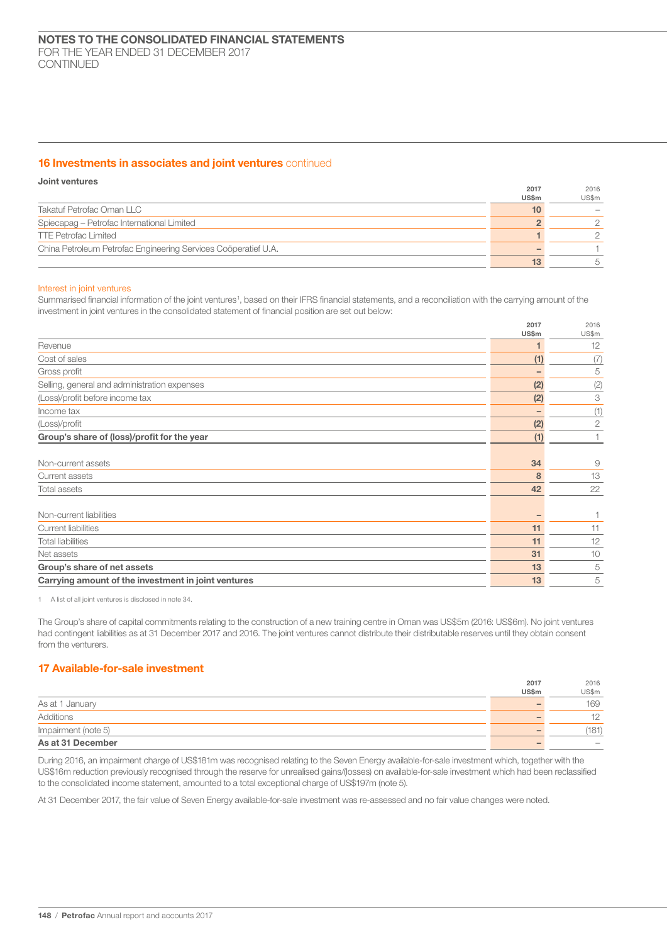## 16 Investments in associates and joint ventures continued

| Joint ventures                                                 |       |       |
|----------------------------------------------------------------|-------|-------|
|                                                                | 2017  | 2016  |
|                                                                | US\$m | US\$m |
| Takatuf Petrofac Oman LLC                                      | 10    |       |
| Spiecapag - Petrofac International Limited                     |       |       |
| <b>TTE Petrofac Limited</b>                                    |       |       |
| China Petroleum Petrofac Engineering Services Coöperatief U.A. |       |       |
|                                                                | 13    |       |

## Interest in joint ventures

Summarised financial information of the joint ventures<sup>1</sup>, based on their IFRS financial statements, and a reconciliation with the carrying amount of the investment in joint ventures in the consolidated statement of financial position are set out below:

|                                                     | 2017<br>US\$m | 2016<br>US\$m  |
|-----------------------------------------------------|---------------|----------------|
| Revenue                                             |               | 12             |
| Cost of sales                                       | (1)           | (7)            |
| Gross profit                                        |               | 5              |
| Selling, general and administration expenses        | (2)           | (2)            |
| (Loss)/profit before income tax                     | (2)           | 3              |
| Income tax                                          | -             | (1)            |
| (Loss)/profit                                       | (2)           | $\overline{2}$ |
| Group's share of (loss)/profit for the year         | (1)           |                |
|                                                     |               |                |
| Non-current assets                                  | 34            | 9              |
| Current assets                                      | 8             | 13             |
| Total assets                                        | 42            | 22             |
|                                                     |               |                |
| Non-current liabilities                             |               | 1              |
| <b>Current liabilities</b>                          | 11            | 11             |
| <b>Total liabilities</b>                            | 11            | 12             |
| Net assets                                          | 31            | 10             |
| Group's share of net assets                         | 13            | 5              |
| Carrying amount of the investment in joint ventures | 13            | 5              |

1 A list of all joint ventures is disclosed in note 34.

The Group's share of capital commitments relating to the construction of a new training centre in Oman was US\$5m (2016: US\$6m). No joint ventures had contingent liabilities as at 31 December 2017 and 2016. The joint ventures cannot distribute their distributable reserves until they obtain consent from the venturers.

# 17 Available-for-sale investment

|                     | 2017  | 2016                     |
|---------------------|-------|--------------------------|
|                     | US\$m | US\$m                    |
| As at 1 January     |       | 169                      |
| Additions           |       | 10<br>ے ا                |
| Impairment (note 5) |       | 181                      |
| As at 31 December   |       | $\overline{\phantom{a}}$ |

During 2016, an impairment charge of US\$181m was recognised relating to the Seven Energy available-for-sale investment which, together with the US\$16m reduction previously recognised through the reserve for unrealised gains/(losses) on available-for-sale investment which had been reclassified to the consolidated income statement, amounted to a total exceptional charge of US\$197m (note 5).

At 31 December 2017, the fair value of Seven Energy available-for-sale investment was re-assessed and no fair value changes were noted.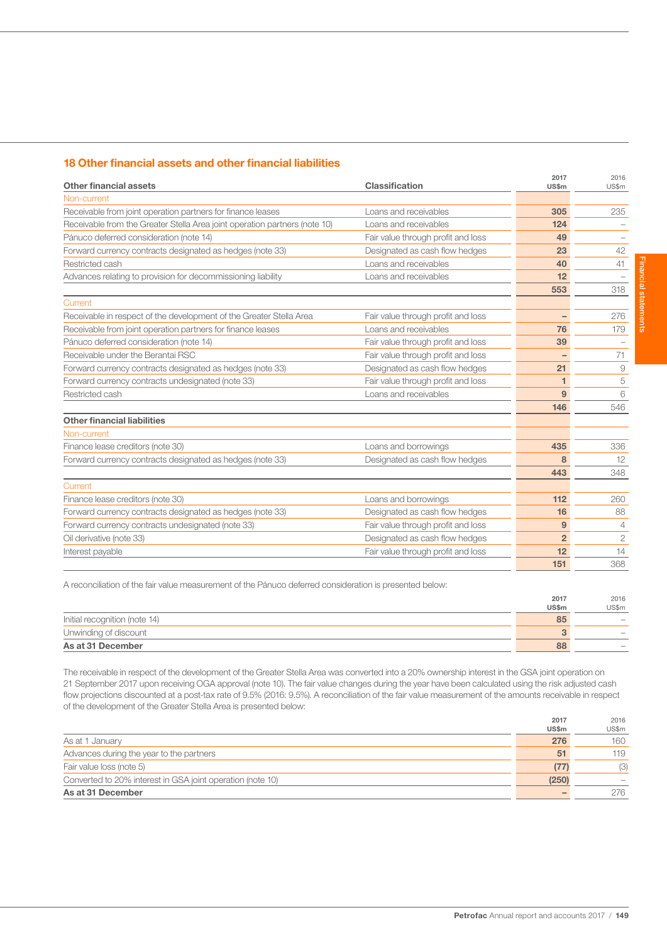## 18 Other financial assets and other financial liabilities

| Other financial assets                                                     | Classification                     | 2017<br><b>US\$m</b>     | 2016<br>US\$m  |
|----------------------------------------------------------------------------|------------------------------------|--------------------------|----------------|
| Non-current                                                                |                                    |                          |                |
| Receivable from joint operation partners for finance leases                | Loans and receivables              | 305                      | 235            |
| Receivable from the Greater Stella Area joint operation partners (note 10) | Loans and receivables              | 124                      |                |
| Pánuco deferred consideration (note 14)                                    | Fair value through profit and loss | 49                       |                |
| Forward currency contracts designated as hedges (note 33)                  | Designated as cash flow hedges     | 23                       | 42             |
| Restricted cash                                                            | Loans and receivables              | 40                       | 41             |
| Advances relating to provision for decommissioning liability               | Loans and receivables              | 12                       |                |
|                                                                            |                                    | 553                      | 318            |
| Current                                                                    |                                    |                          |                |
| Receivable in respect of the development of the Greater Stella Area        | Fair value through profit and loss |                          | 276            |
| Receivable from joint operation partners for finance leases                | Loans and receivables              | 76                       | 179            |
| Pánuco deferred consideration (note 14)                                    | Fair value through profit and loss | 39                       |                |
| Receivable under the Berantai RSC                                          | Fair value through profit and loss | $\overline{\phantom{a}}$ | 71             |
| Forward currency contracts designated as hedges (note 33)                  | Designated as cash flow hedges     | 21                       | 9              |
| Forward currency contracts undesignated (note 33)                          | Fair value through profit and loss | 1                        | 5              |
| Restricted cash                                                            | Loans and receivables              | 9                        | 6              |
|                                                                            |                                    | 146                      | 546            |
| <b>Other financial liabilities</b>                                         |                                    |                          |                |
| Non-current                                                                |                                    |                          |                |
| Finance lease creditors (note 30)                                          | Loans and borrowings               | 435                      | 336            |
| Forward currency contracts designated as hedges (note 33)                  | Designated as cash flow hedges     | 8                        | 12             |
|                                                                            |                                    | 443                      | 348            |
| Current                                                                    |                                    |                          |                |
| Finance lease creditors (note 30)                                          | Loans and borrowings               | 112                      | 260            |
| Forward currency contracts designated as hedges (note 33)                  | Designated as cash flow hedges     | 16                       | 88             |
| Forward currency contracts undesignated (note 33)                          | Fair value through profit and loss | 9                        | $\overline{4}$ |
| Oil derivative (note 33)                                                   | Designated as cash flow hedges     | $\overline{2}$           | $\overline{2}$ |
| Interest payable                                                           | Fair value through profit and loss | 12                       | 14             |
|                                                                            |                                    | 151                      | 368            |

A reconciliation of the fair value measurement of the Pánuco deferred consideration is presented below:

|                               | 2017  | 2016                     |
|-------------------------------|-------|--------------------------|
|                               | US\$m | US\$m                    |
| Initial recognition (note 14) | 85    | $\sim$                   |
| Unwinding of discount         |       |                          |
| As at 31 December             | 88    | $\overline{\phantom{a}}$ |

The receivable in respect of the development of the Greater Stella Area was converted into a 20% ownership interest in the GSA joint operation on 21 September 2017 upon receiving OGA approval (note 10). The fair value changes during the year have been calculated using the risk adjusted cash flow projections discounted at a post-tax rate of 9.5% (2016: 9.5%). A reconciliation of the fair value measurement of the amounts receivable in respect of the development of the Greater Stella Area is presented below:

|                                                            | 2017            | 2016  |
|------------------------------------------------------------|-----------------|-------|
|                                                            | <b>US\$m</b>    | US\$m |
| As at 1 January                                            | 276             | 160   |
| Advances during the year to the partners                   | 51              | 119   |
| Fair value loss (note 5)                                   | (77)            | (3)   |
| Converted to 20% interest in GSA joint operation (note 10) | (250)           |       |
| As at 31 December                                          | $\qquad \qquad$ | 276   |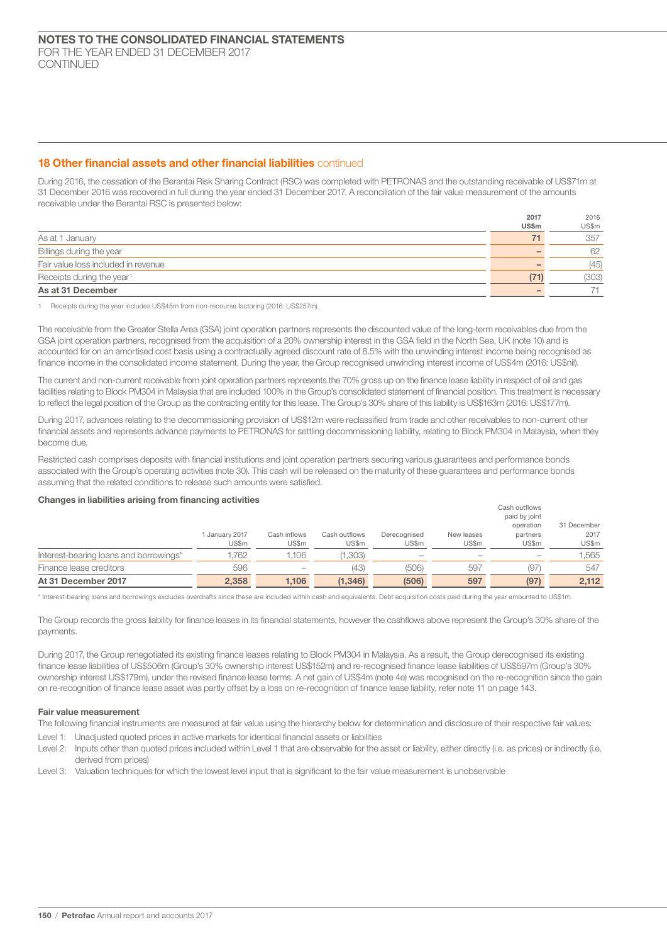## 18 Other financial assets and other financial liabilities continued

During 2016, the cessation of the Berantai Risk Sharing Contract (RSC) was completed with PETRONAS and the outstanding receivable of US\$71m at 31 December 2016 was recovered in full during the year ended 31 December 2017. A reconciliation of the fair value measurement of the amounts receivable under the Berantai RSC is presented below:

 $2017$ 

 $2015$ 

|                                       | 2011         | ZUID  |
|---------------------------------------|--------------|-------|
|                                       | <b>US\$m</b> | US\$m |
| As at 1 January                       |              | 357   |
| Billings during the year              |              | 62    |
| Fair value loss included in revenue   |              | (45)  |
| Receipts during the year <sup>1</sup> | (71)         | (303) |
| As at 31 December                     |              |       |

1 Receipts during the year includes US\$45m from non-recourse factoring (2016: US\$257m).

The receivable from the Greater Stella Area (GSA) joint operation partners represents the discounted value of the long-term receivables due from the GSA joint operation partners, recognised from the acquisition of a 20% ownership interest in the GSA field in the North Sea, UK (note 10) and is accounted for on an amortised cost basis using a contractually agreed discount rate of 8.5% with the unwinding interest income being recognised as finance income in the consolidated income statement. During the year, the Group recognised unwinding interest income of US\$4m (2016: US\$nil).

The current and non-current receivable from joint operation partners represents the 70% gross up on the finance lease liability in respect of oil and gas facilities relating to Block PM304 in Malaysia that are included 100% in the Group's consolidated statement of financial position. This treatment is necessary to reflect the legal position of the Group as the contracting entity for this lease. The Group's 30% share of this liability is US\$163m (2016: US\$177m).

During 2017, advances relating to the decommissioning provision of US\$12m were reclassified from trade and other receivables to non-current other financial assets and represents advance payments to PETRONAS for settling decommissioning liability, relating to Block PM304 in Malaysia, when they become due.

Restricted cash comprises deposits with financial institutions and joint operation partners securing various guarantees and performance bonds associated with the Group's operating activities (note 30). This cash will be released on the maturity of these guarantees and performance bonds assuming that the related conditions to release such amounts were satisfied.

## Changes in liabilities arising from financing activities

|                                        | January 2017<br>US\$m | Cash inflows<br>US\$m | Cash outflows<br>US\$m | Derecognised<br>US\$m | New leases<br>US\$m | partners<br>US\$m | 2017<br>US\$m |
|----------------------------------------|-----------------------|-----------------------|------------------------|-----------------------|---------------------|-------------------|---------------|
| Interest-bearing loans and borrowings* | 1,762                 | 1.106                 | (1,303)                |                       |                     | $\sim$            | 1,565         |
| Finance lease creditors                | 596                   | $\sim$                | (43)                   | (506)                 | 597                 | (97)              | 547           |
| At 31 December 2017                    | 2,358                 | 1.106                 | (1, 346)               | (506)                 | 597                 | (97)              | 2.112         |

\* Interest-bearing loans and borrowings excludes overdrafts since these are included within cash and equivalents. Debt acquisition costs paid during the year amounted to US\$1m.

The Group records the gross liability for finance leases in its financial statements, however the cashflows above represent the Group's 30% share of the payments.

During 2017, the Group renegotiated its existing finance leases relating to Block PM304 in Malaysia. As a result, the Group derecognised its existing finance lease liabilities of US\$506m (Group's 30% ownership interest US\$152m) and re-recognised finance lease liabilities of US\$597m (Group's 30% ownership interest US\$179m), under the revised finance lease terms. A net gain of US\$4m (note 4e) was recognised on the re-recognition since the gain on re-recognition of finance lease asset was partly offset by a loss on re-recognition of finance lease liability, refer note 11 on page 143.

#### Fair value measurement

The following financial instruments are measured at fair value using the hierarchy below for determination and disclosure of their respective fair values:

- Level 1: Unadjusted quoted prices in active markets for identical financial assets or liabilities
- Level 2: Inputs other than quoted prices included within Level 1 that are observable for the asset or liability, either directly (i.e. as prices) or indirectly (i.e. derived from prices)
- Level 3: Valuation techniques for which the lowest level input that is significant to the fair value measurement is unobservable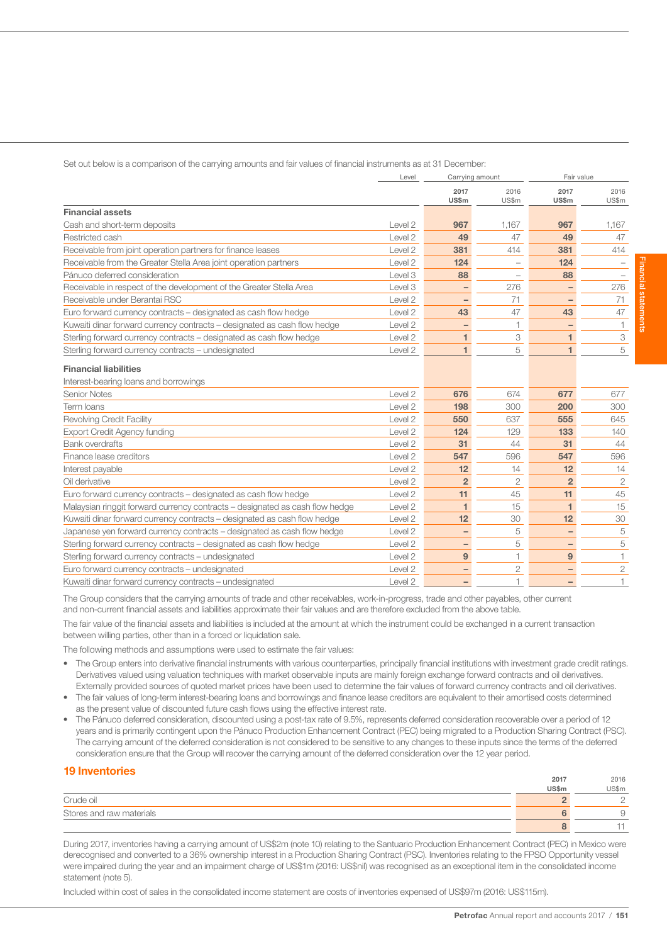Set out below is a comparison of the carrying amounts and fair values of financial instruments as at 31 December:

|                                                                              | Level              | Carrying amount          |                          | Fair value               |                |
|------------------------------------------------------------------------------|--------------------|--------------------------|--------------------------|--------------------------|----------------|
|                                                                              |                    | 2017<br>US\$m            | 2016<br>US\$m            | 2017<br>US\$m            | 2016<br>US\$m  |
| <b>Financial assets</b>                                                      |                    |                          |                          |                          |                |
| Cash and short-term deposits                                                 | Level 2            | 967                      | 1,167                    | 967                      | 1,167          |
| Restricted cash                                                              | Level <sub>2</sub> | 49                       | 47                       | 49                       | 47             |
| Receivable from joint operation partners for finance leases                  | Level 2            | 381                      | 414                      | 381                      | 414            |
| Receivable from the Greater Stella Area joint operation partners             | Level 2            | 124                      | $\overline{\phantom{0}}$ | 124                      |                |
| Pánuco deferred consideration                                                | Level 3            | 88                       |                          | 88                       |                |
| Receivable in respect of the development of the Greater Stella Area          | Level 3            |                          | 276                      |                          | 276            |
| Receivable under Berantai RSC                                                | Level 2            |                          | 71                       |                          | 71             |
| Euro forward currency contracts – designated as cash flow hedge              | Level 2            | 43                       | 47                       | 43                       | 47             |
| Kuwaiti dinar forward currency contracts - designated as cash flow hedge     | Level 2            | -                        | $\overline{1}$           |                          | 1              |
| Sterling forward currency contracts - designated as cash flow hedge          | Level <sub>2</sub> | 1                        | 3                        | 1                        | 3              |
| Sterling forward currency contracts - undesignated                           | Level 2            | 1                        | 5                        | 1                        | 5              |
| <b>Financial liabilities</b>                                                 |                    |                          |                          |                          |                |
| Interest-bearing loans and borrowings                                        |                    |                          |                          |                          |                |
| <b>Senior Notes</b>                                                          | Level 2            | 676                      | 674                      | 677                      | 677            |
| Term Ioans                                                                   | Level <sub>2</sub> | 198                      | 300                      | 200                      | 300            |
| <b>Revolving Credit Facility</b>                                             | Level <sub>2</sub> | 550                      | 637                      | 555                      | 645            |
| <b>Export Credit Agency funding</b>                                          | Level <sub>2</sub> | 124                      | 129                      | 133                      | 140            |
| <b>Bank overdrafts</b>                                                       | Level <sub>2</sub> | 31                       | 44                       | 31                       | 44             |
| Finance lease creditors                                                      | Level <sub>2</sub> | 547                      | 596                      | 547                      | 596            |
| Interest payable                                                             | Level 2            | 12                       | 14                       | 12                       | 14             |
| Oil derivative                                                               | Level <sub>2</sub> | $\overline{2}$           | $\overline{2}$           | $\overline{2}$           | $\overline{2}$ |
| Euro forward currency contracts - designated as cash flow hedge              | Level <sub>2</sub> | 11                       | 45                       | 11                       | 45             |
| Malaysian ringgit forward currency contracts - designated as cash flow hedge | Level 2            | 1                        | 15                       | $\blacktriangleleft$     | 15             |
| Kuwaiti dinar forward currency contracts - designated as cash flow hedge     | Level <sub>2</sub> | 12                       | 30                       | 12                       | 30             |
| Japanese yen forward currency contracts - designated as cash flow hedge      | Level 2            | $\overline{\phantom{0}}$ | 5                        | $\qquad \qquad -$        | 5              |
| Sterling forward currency contracts - designated as cash flow hedge          | Level <sub>2</sub> | -                        | 5                        | $\overline{\phantom{0}}$ | 5              |
| Sterling forward currency contracts - undesignated                           | Level <sub>2</sub> | 9                        | 1                        | 9                        | 1              |
| Euro forward currency contracts - undesignated                               | Level <sub>2</sub> |                          | $\overline{c}$           |                          | $\overline{2}$ |
| Kuwaiti dinar forward currency contracts - undesignated                      | Level <sub>2</sub> | $\qquad \qquad -$        | $\overline{1}$           | $\overline{\phantom{0}}$ | $\mathbf{1}$   |

The Group considers that the carrying amounts of trade and other receivables, work-in-progress, trade and other payables, other current and non-current financial assets and liabilities approximate their fair values and are therefore excluded from the above table.

The fair value of the financial assets and liabilities is included at the amount at which the instrument could be exchanged in a current transaction between willing parties, other than in a forced or liquidation sale.

The following methods and assumptions were used to estimate the fair values:

- The Group enters into derivative financial instruments with various counterparties, principally financial institutions with investment grade credit ratings. Derivatives valued using valuation techniques with market observable inputs are mainly foreign exchange forward contracts and oil derivatives. Externally provided sources of quoted market prices have been used to determine the fair values of forward currency contracts and oil derivatives.
- The fair values of long-term interest-bearing loans and borrowings and finance lease creditors are equivalent to their amortised costs determined as the present value of discounted future cash flows using the effective interest rate.
- The Pánuco deferred consideration, discounted using a post-tax rate of 9.5%, represents deferred consideration recoverable over a period of 12 years and is primarily contingent upon the Pánuco Production Enhancement Contract (PEC) being migrated to a Production Sharing Contract (PSC). The carrying amount of the deferred consideration is not considered to be sensitive to any changes to these inputs since the terms of the deferred consideration ensure that the Group will recover the carrying amount of the deferred consideration over the 12 year period.

| <b>19 Inventories</b>    |              |       |
|--------------------------|--------------|-------|
|                          | 2017         | 2016  |
|                          | <b>US\$m</b> | US\$m |
| Crude oil                |              |       |
| Stores and raw materials |              |       |
|                          |              |       |

During 2017, inventories having a carrying amount of US\$2m (note 10) relating to the Santuario Production Enhancement Contract (PEC) in Mexico were derecognised and converted to a 36% ownership interest in a Production Sharing Contract (PSC). Inventories relating to the FPSO Opportunity vessel were impaired during the year and an impairment charge of US\$1m (2016: US\$nil) was recognised as an exceptional item in the consolidated income statement (note 5).

Included within cost of sales in the consolidated income statement are costs of inventories expensed of US\$97m (2016: US\$115m).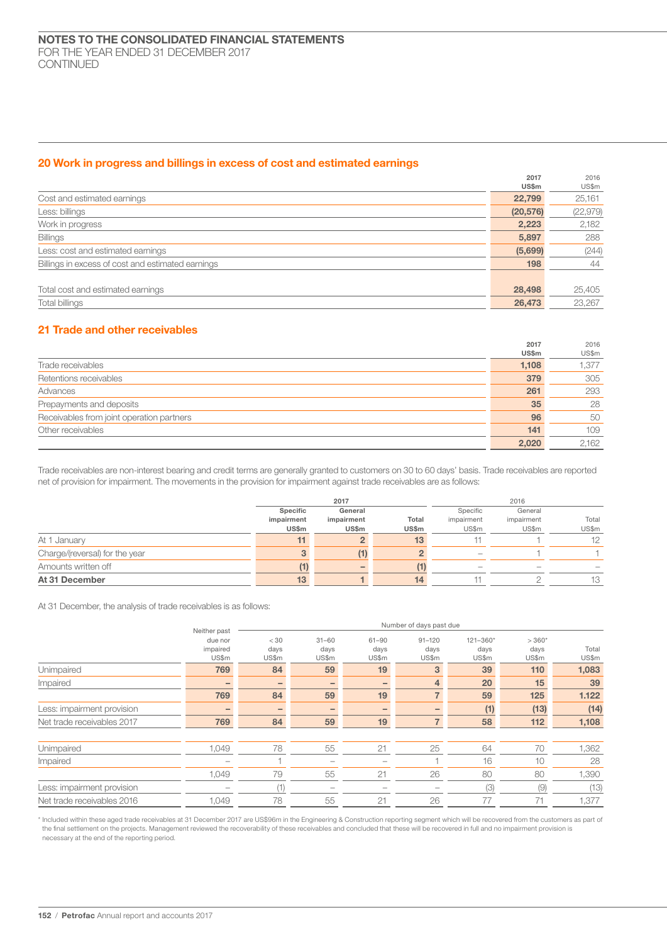## 20 Work in progress and billings in excess of cost and estimated earnings

|                                                   | 2017         | 2016      |
|---------------------------------------------------|--------------|-----------|
|                                                   | <b>US\$m</b> | US\$m     |
| Cost and estimated earnings                       | 22,799       | 25,161    |
| Less: billings                                    | (20, 576)    | (22, 979) |
| Work in progress                                  | 2,223        | 2,182     |
| <b>Billings</b>                                   | 5,897        | 288       |
| Less: cost and estimated earnings                 | (5,699)      | (244)     |
| Billings in excess of cost and estimated earnings | 198          | 44        |
|                                                   |              |           |
| Total cost and estimated earnings                 | 28,498       | 25,405    |
| <b>Total billings</b>                             | 26,473       | 23,267    |

## 21 Trade and other receivables

|                                           | 2017  | 2016  |
|-------------------------------------------|-------|-------|
|                                           | US\$m | US\$m |
| Trade receivables                         | 1,108 | 1,377 |
| Retentions receivables                    | 379   | 305   |
| Advances                                  | 261   | 293   |
| Prepayments and deposits                  | 35    | 28    |
| Receivables from joint operation partners | 96    | 50    |
| Other receivables                         | 141   | 109   |
|                                           | 2,020 | 2.162 |

Trade receivables are non-interest bearing and credit terms are generally granted to customers on 30 to 60 days' basis. Trade receivables are reported net of provision for impairment. The movements in the provision for impairment against trade receivables are as follows:

|                                | 2017       |              |       |                                       | 2016       |       |
|--------------------------------|------------|--------------|-------|---------------------------------------|------------|-------|
|                                | Specific   | General      |       | Specific                              | General    |       |
|                                | impairment | impairment   | Total | impairment                            | impairment | Total |
|                                | US\$m      | <b>US\$m</b> | US\$m | US\$m                                 | US\$m      | US\$m |
| At 1 January                   | 11         |              | 13    |                                       |            | 12    |
| Charge/(reversal) for the year |            | (1)          |       | $\hspace{1.0cm} \rule{1.5cm}{0.15cm}$ |            |       |
| Amounts written off            |            |              |       | $\overline{\phantom{a}}$              |            |       |
| At 31 December                 | 13         |              | 14    |                                       |            | 13    |

At 31 December, the analysis of trade receivables is as follows:

|                            | Neither past                 | Number of days past due |                            |                            |                             |                               |                          |                |
|----------------------------|------------------------------|-------------------------|----------------------------|----------------------------|-----------------------------|-------------------------------|--------------------------|----------------|
|                            | due nor<br>impaired<br>US\$m | < 30<br>days<br>US\$m   | $31 - 60$<br>days<br>US\$m | $61 - 90$<br>days<br>US\$m | $91 - 120$<br>days<br>US\$m | $121 - 360*$<br>days<br>US\$m | $>360*$<br>days<br>US\$m | Total<br>US\$m |
| Unimpaired                 | 769                          | 84                      | 59                         | 19                         | 3                           | 39                            | 110                      | 1,083          |
| Impaired                   |                              | $\qquad \qquad$         |                            | -                          | 4                           | 20                            | 15                       | 39             |
|                            | 769                          | 84                      | 59                         | 19                         |                             | 59                            | 125                      | 1.122          |
| Less: impairment provision |                              | $\qquad \qquad$         |                            |                            |                             | (1)                           | (13)                     | (14)           |
| Net trade receivables 2017 | 769                          | 84                      | 59                         | 19                         |                             | 58                            | 112                      | 1,108          |
| Unimpaired                 | 1.049                        | 78                      | 55                         | 21                         | 25                          | 64                            | 70                       | 1,362          |
| Impaired                   | $\overline{\phantom{0}}$     |                         | $\overline{\phantom{a}}$   | $\hspace{0.05cm}$          |                             | 16                            | 10                       | 28             |
|                            | 1,049                        | 79                      | 55                         | 21                         | 26                          | 80                            | 80                       | 1,390          |
| Less: impairment provision |                              | (1)                     | -                          |                            |                             | (3)                           | (9)                      | (13)           |
| Net trade receivables 2016 | 1.049                        | 78                      | 55                         | 21                         | 26                          | 77                            | 71                       | 1,377          |

\* Included within these aged trade receivables at 31 December 2017 are US\$96m in the Engineering & Construction reporting segment which will be recovered from the customers as part of the final settlement on the projects. Management reviewed the recoverability of these receivables and concluded that these will be recovered in full and no impairment provision is necessary at the end of the reporting period.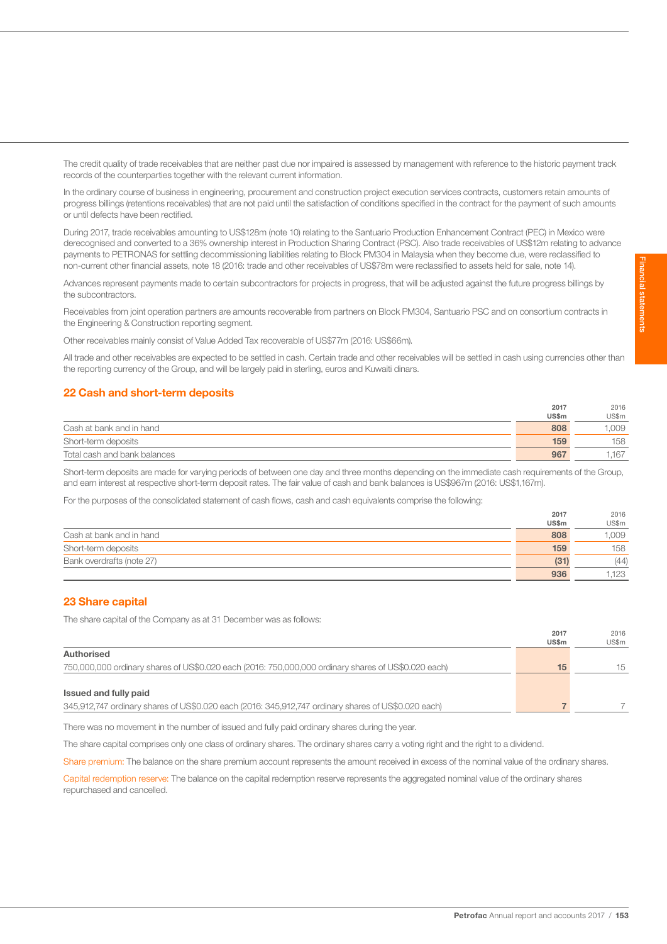The credit quality of trade receivables that are neither past due nor impaired is assessed by management with reference to the historic payment track records of the counterparties together with the relevant current information.

In the ordinary course of business in engineering, procurement and construction project execution services contracts, customers retain amounts of progress billings (retentions receivables) that are not paid until the satisfaction of conditions specified in the contract for the payment of such amounts or until defects have been rectified.

During 2017, trade receivables amounting to US\$128m (note 10) relating to the Santuario Production Enhancement Contract (PEC) in Mexico were derecognised and converted to a 36% ownership interest in Production Sharing Contract (PSC). Also trade receivables of US\$12m relating to advance payments to PETRONAS for settling decommissioning liabilities relating to Block PM304 in Malaysia when they become due, were reclassified to non-current other financial assets, note 18 (2016: trade and other receivables of US\$78m were reclassified to assets held for sale, note 14).

Advances represent payments made to certain subcontractors for projects in progress, that will be adjusted against the future progress billings by the subcontractors.

Receivables from joint operation partners are amounts recoverable from partners on Block PM304, Santuario PSC and on consortium contracts in the Engineering & Construction reporting segment.

Other receivables mainly consist of Value Added Tax recoverable of US\$77m (2016: US\$66m).

All trade and other receivables are expected to be settled in cash. Certain trade and other receivables will be settled in cash using currencies other than the reporting currency of the Group, and will be largely paid in sterling, euros and Kuwaiti dinars.

## 22 Cash and short-term deposits

|                              | 2017         | 2016  |
|------------------------------|--------------|-------|
|                              | <b>US\$m</b> | US\$m |
| Cash at bank and in hand     | 808          | 009   |
| Short-term deposits          | 159          | 158   |
| Total cash and bank balances | 967          | ,167  |

Short-term deposits are made for varying periods of between one day and three months depending on the immediate cash requirements of the Group, and earn interest at respective short-term deposit rates. The fair value of cash and bank balances is US\$967m (2016: US\$1,167m).

For the purposes of the consolidated statement of cash flows, cash and cash equivalents comprise the following:

|                           | 2017         | 2016  |
|---------------------------|--------------|-------|
|                           | <b>US\$m</b> | US\$m |
| Cash at bank and in hand  | 808          | ,009  |
| Short-term deposits       | 159          | 158   |
| Bank overdrafts (note 27) | (31)         | (44)  |
|                           | 936          | 1.123 |

## 23 Share capital

The share capital of the Company as at 31 December was as follows:

|                                                                                                     | 2017<br><b>US\$m</b> | 2016<br>US\$m |
|-----------------------------------------------------------------------------------------------------|----------------------|---------------|
| Authorised                                                                                          |                      |               |
| 750,000,000 ordinary shares of US\$0.020 each (2016: 750,000,000 ordinary shares of US\$0.020 each) | 15                   | 15            |
|                                                                                                     |                      |               |
| Issued and fully paid                                                                               |                      |               |
| 345,912,747 ordinary shares of US\$0.020 each (2016: 345,912,747 ordinary shares of US\$0.020 each) |                      |               |

There was no movement in the number of issued and fully paid ordinary shares during the year.

The share capital comprises only one class of ordinary shares. The ordinary shares carry a voting right and the right to a dividend.

Share premium: The balance on the share premium account represents the amount received in excess of the nominal value of the ordinary shares.

Capital redemption reserve: The balance on the capital redemption reserve represents the aggregated nominal value of the ordinary shares repurchased and cancelled.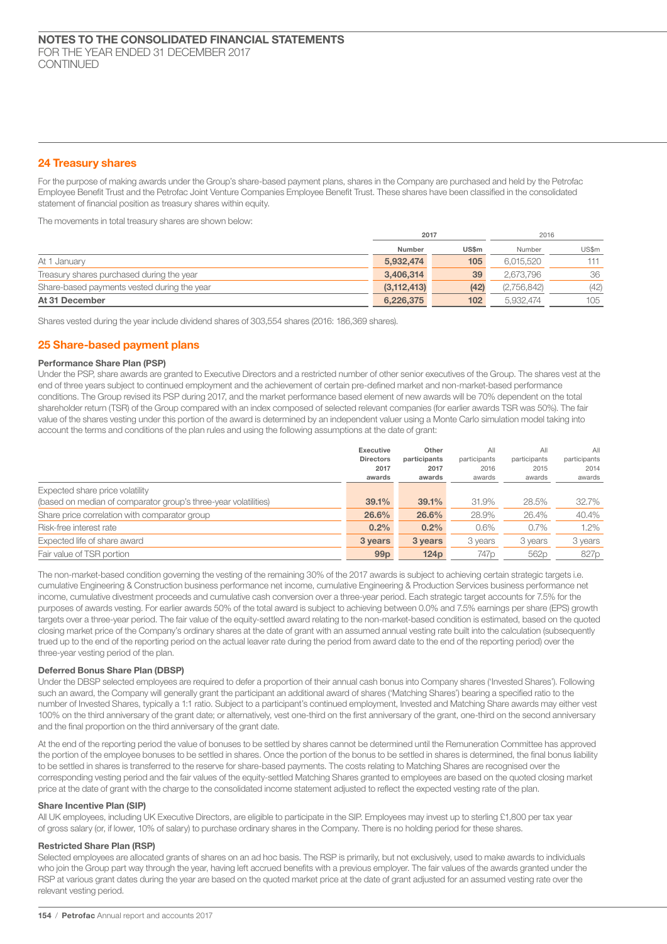## 24 Treasury shares

For the purpose of making awards under the Group's share-based payment plans, shares in the Company are purchased and held by the Petrofac Employee Benefit Trust and the Petrofac Joint Venture Companies Employee Benefit Trust. These shares have been classified in the consolidated statement of financial position as treasury shares within equity.

The movements in total treasury shares are shown below:

|                                             | 2017          |              |             | 2016  |
|---------------------------------------------|---------------|--------------|-------------|-------|
|                                             | Number        | <b>US\$m</b> | Number      | US\$m |
| At 1 January                                | 5,932,474     | 105          | 6.015.520   | 111   |
| Treasury shares purchased during the year   | 3.406.314     | 39           | 2.673.796   | 36    |
| Share-based payments vested during the year | (3, 112, 413) | (42)         | (2,756,842) | (42)  |
| At 31 December                              | 6,226,375     | 102          | 5.932.474   | 105   |

Shares vested during the year include dividend shares of 303,554 shares (2016: 186,369 shares).

## 25 Share-based payment plans

## Performance Share Plan (PSP)

Under the PSP, share awards are granted to Executive Directors and a restricted number of other senior executives of the Group. The shares vest at the end of three years subject to continued employment and the achievement of certain pre-defined market and non-market-based performance conditions. The Group revised its PSP during 2017, and the market performance based element of new awards will be 70% dependent on the total shareholder return (TSR) of the Group compared with an index composed of selected relevant companies (for earlier awards TSR was 50%). The fair value of the shares vesting under this portion of the award is determined by an independent valuer using a Monte Carlo simulation model taking into account the terms and conditions of the plan rules and using the following assumptions at the date of grant:

|                                                                 | <b>Executive</b><br><b>Directors</b> | Other<br>participants | All<br>participants | AII<br>participants | All<br>participants |
|-----------------------------------------------------------------|--------------------------------------|-----------------------|---------------------|---------------------|---------------------|
|                                                                 | 2017                                 | 2017                  | 2016                | 2015                | 2014                |
|                                                                 | awards                               | awards                | awards              | awards              | awards              |
| Expected share price volatility                                 |                                      |                       |                     |                     |                     |
| (based on median of comparator group's three-year volatilities) | 39.1%                                | 39.1%                 | 31.9%               | 28.5%               | 32.7%               |
| Share price correlation with comparator group                   | 26.6%                                | 26.6%                 | 28.9%               | 26.4%               | 40.4%               |
| Risk-free interest rate                                         | 0.2%                                 | 0.2%                  | 0.6%                | 0.7%                | $1.2\%$             |
| Expected life of share award                                    | 3 years                              | 3 years               | 3 years             | 3 years             | 3 years             |
| Fair value of TSR portion                                       | 99 <sub>p</sub>                      | 124 <sub>D</sub>      | 747 <sub>p</sub>    | 562 <sub>p</sub>    | 827p                |

The non-market-based condition governing the vesting of the remaining 30% of the 2017 awards is subject to achieving certain strategic targets i.e. cumulative Engineering & Construction business performance net income, cumulative Engineering & Production Services business performance net income, cumulative divestment proceeds and cumulative cash conversion over a three-year period. Each strategic target accounts for 7.5% for the purposes of awards vesting. For earlier awards 50% of the total award is subject to achieving between 0.0% and 7.5% earnings per share (EPS) growth targets over a three-year period. The fair value of the equity-settled award relating to the non-market-based condition is estimated, based on the quoted closing market price of the Company's ordinary shares at the date of grant with an assumed annual vesting rate built into the calculation (subsequently trued up to the end of the reporting period on the actual leaver rate during the period from award date to the end of the reporting period) over the three-year vesting period of the plan.

## Deferred Bonus Share Plan (DBSP)

Under the DBSP selected employees are required to defer a proportion of their annual cash bonus into Company shares ('Invested Shares'). Following such an award, the Company will generally grant the participant an additional award of shares ('Matching Shares') bearing a specified ratio to the number of Invested Shares, typically a 1:1 ratio. Subject to a participant's continued employment, Invested and Matching Share awards may either vest 100% on the third anniversary of the grant date; or alternatively, vest one-third on the first anniversary of the grant, one-third on the second anniversary and the final proportion on the third anniversary of the grant date.

At the end of the reporting period the value of bonuses to be settled by shares cannot be determined until the Remuneration Committee has approved the portion of the employee bonuses to be settled in shares. Once the portion of the bonus to be settled in shares is determined, the final bonus liability to be settled in shares is transferred to the reserve for share-based payments. The costs relating to Matching Shares are recognised over the corresponding vesting period and the fair values of the equity-settled Matching Shares granted to employees are based on the quoted closing market price at the date of grant with the charge to the consolidated income statement adjusted to reflect the expected vesting rate of the plan.

## Share Incentive Plan (SIP)

All UK employees, including UK Executive Directors, are eligible to participate in the SIP. Employees may invest up to sterling £1,800 per tax year of gross salary (or, if lower, 10% of salary) to purchase ordinary shares in the Company. There is no holding period for these shares.

## Restricted Share Plan (RSP)

Selected employees are allocated grants of shares on an ad hoc basis. The RSP is primarily, but not exclusively, used to make awards to individuals who join the Group part way through the year, having left accrued benefits with a previous employer. The fair values of the awards granted under the RSP at various grant dates during the year are based on the quoted market price at the date of grant adjusted for an assumed vesting rate over the relevant vesting period.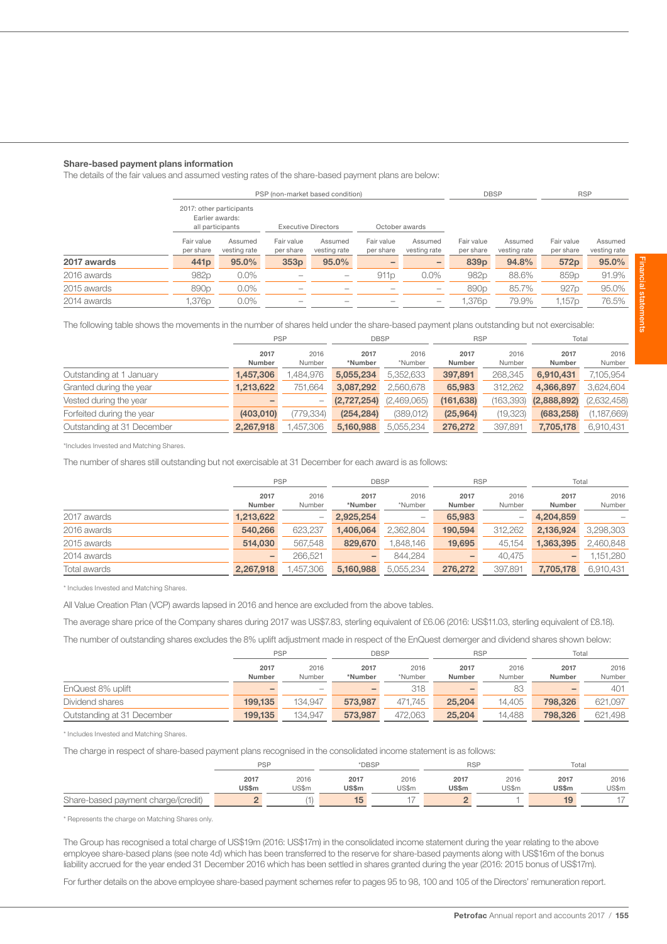#### Share-based payment plans information

The details of the fair values and assumed vesting rates of the share-based payment plans are below:

|             |                         | PSP (non-market based condition)                                |                          |                            |                         |                          |                         | <b>DBSP</b>             |                         | <b>RSP</b>              |
|-------------|-------------------------|-----------------------------------------------------------------|--------------------------|----------------------------|-------------------------|--------------------------|-------------------------|-------------------------|-------------------------|-------------------------|
|             |                         | 2017: other participants<br>Earlier awards:<br>all participants |                          | <b>Executive Directors</b> |                         | October awards           |                         |                         |                         |                         |
|             | Fair value<br>per share | Assumed<br>vesting rate                                         | Fair value<br>per share  | Assumed<br>vesting rate    | Fair value<br>per share | Assumed<br>vesting rate  | Fair value<br>per share | Assumed<br>vesting rate | Fair value<br>per share | Assumed<br>vesting rate |
| 2017 awards | 441 <sub>p</sub>        | 95.0%                                                           | 353p                     | 95.0%                      |                         | -                        | 839 <sub>p</sub>        | 94.8%                   | 572p                    | 95.0%                   |
| 2016 awards | 982p                    | $0.0\%$                                                         | $\sim$                   | $\hspace{0.05cm}$          | 911 <sub>p</sub>        | $0.0\%$                  | 982p                    | 88.6%                   | 859 <sub>p</sub>        | 91.9%                   |
| 2015 awards | 890 <sub>p</sub>        | $0.0\%$                                                         | $\overline{\phantom{a}}$ | $\overline{\phantom{a}}$   | -                       | $\overline{\phantom{0}}$ | 890 <sub>p</sub>        | 85.7%                   | 927p                    | 95.0%                   |
| 2014 awards | .376p                   | $0.0\%$                                                         | $\overline{\phantom{a}}$ | $\overline{\phantom{a}}$   | -                       | -                        | 1,376p                  | 79.9%                   | 1,157p                  | 76.5%                   |

The following table shows the movements in the number of shares held under the share-based payment plans outstanding but not exercisable:

|                            | <b>PSP</b>     |                | <b>DBSP</b>     |                 | <b>RSP</b>     |                | Total          |                |
|----------------------------|----------------|----------------|-----------------|-----------------|----------------|----------------|----------------|----------------|
|                            | 2017<br>Number | 2016<br>Number | 2017<br>*Number | 2016<br>*Number | 2017<br>Number | 2016<br>Number | 2017<br>Number | 2016<br>Number |
| Outstanding at 1 January   | 1.457.306      | .484.976       | 5.055.234       | 5,352,633       | 397,891        | 268,345        | 6,910,431      | 7,105,954      |
| Granted during the year    | 1,213,622      | 751.664        | 3.087.292       | 2.560.678       | 65,983         | 312.262        | 4.366.897      | 3,624,604      |
| Vested during the year     |                | -              | (2,727,254)     | (2,469,065)     | (161, 638)     | (163,393)      | (2,888,892)    | (2,632,458)    |
| Forfeited during the year  | (403, 010)     | (779,334)      | (254, 284)      | (389,012)       | (25, 964)      | (19, 323)      | (683, 258)     | (1, 187, 669)  |
| Outstanding at 31 December | 2,267,918      | 1,457,306      | 5,160,988       | 5,055,234       | 276,272        | 397,891        | 7,705,178      | 6,910,431      |

\*Includes Invested and Matching Shares.

The number of shares still outstanding but not exercisable at 31 December for each award is as follows:

|              | <b>PSP</b> |                          | <b>DBSP</b> |           | <b>RSP</b> |         | Total     |           |
|--------------|------------|--------------------------|-------------|-----------|------------|---------|-----------|-----------|
|              | 2017       | 2016                     | 2017        | 2016      | 2017       | 2016    | 2017      | 2016      |
|              | Number     | Number                   | *Number     | *Number   | Number     | Number  | Number    | Number    |
| 2017 awards  | 1,213,622  | $\overline{\phantom{0}}$ | 2,925,254   | -         | 65,983     |         | 4,204,859 |           |
| 2016 awards  | 540,266    | 623,237                  | 1,406,064   | 2,362,804 | 190,594    | 312,262 | 2,136,924 | 3,298,303 |
| 2015 awards  | 514.030    | 567.548                  | 829,670     | .848.146  | 19,695     | 45,154  | 1,363,395 | 2,460,848 |
| 2014 awards  |            | 266.521                  | -           | 844.284   | -          | 40.475  | -         | 1,151,280 |
| Total awards | 2.267.918  | .457.306                 | 5.160,988   | 5.055.234 | 276,272    | 397.891 | 7.705.178 | 6,910,431 |

\* Includes Invested and Matching Shares.

All Value Creation Plan (VCP) awards lapsed in 2016 and hence are excluded from the above tables.

The average share price of the Company shares during 2017 was US\$7.83, sterling equivalent of £6.06 (2016: US\$11.03, sterling equivalent of £8.18).

The number of outstanding shares excludes the 8% uplift adjustment made in respect of the EnQuest demerger and dividend shares shown below:

|                            | <b>PSP</b> |         | <b>DBSP</b> |         | <b>RSP</b> |        | Total   |         |
|----------------------------|------------|---------|-------------|---------|------------|--------|---------|---------|
|                            | 2017       | 2016    | 2017        | 2016    | 2017       | 2016   | 2017    | 2016    |
|                            | Number     | Number  | *Number     | *Number | Number     | Number | Number  | Number  |
| EnQuest 8% uplift          |            |         |             | 318     |            | 83     |         | 401     |
| Dividend shares            | 199.135    | 134.947 | 573.987     | 471.745 | 25,204     | 14,405 | 798,326 | 621,097 |
| Outstanding at 31 December | 199.135    | 134.947 | 573.987     | 472.063 | 25,204     | 14.488 | 798,326 | 621.498 |

\* Includes Invested and Matching Shares.

The charge in respect of share-based payment plans recognised in the consolidated income statement is as follows:

|                                     | <b>PSP</b>   |       | *DBSP        |                          | <b>RSP</b>   |       | Total        |       |
|-------------------------------------|--------------|-------|--------------|--------------------------|--------------|-------|--------------|-------|
|                                     | 2017         | 2016  | 2017         | 2016                     | 2017         | 2016  | 2017         | 2016  |
|                                     | <b>US\$m</b> | US\$m | <b>US\$m</b> | US\$m                    | <b>US\$m</b> | US\$m | <b>US\$m</b> | US\$m |
| Share-based payment charge/(credit) |              |       |              | $\overline{\phantom{a}}$ |              |       |              |       |

\* Represents the charge on Matching Shares only.

The Group has recognised a total charge of US\$19m (2016: US\$17m) in the consolidated income statement during the year relating to the above employee share-based plans (see note 4d) which has been transferred to the reserve for share-based payments along with US\$16m of the bonus liability accrued for the year ended 31 December 2016 which has been settled in shares granted during the year (2016: 2015 bonus of US\$17m).

For further details on the above employee share-based payment schemes refer to pages 95 to 98, 100 and 105 of the Directors' remuneration report.

Financial statements Financial statements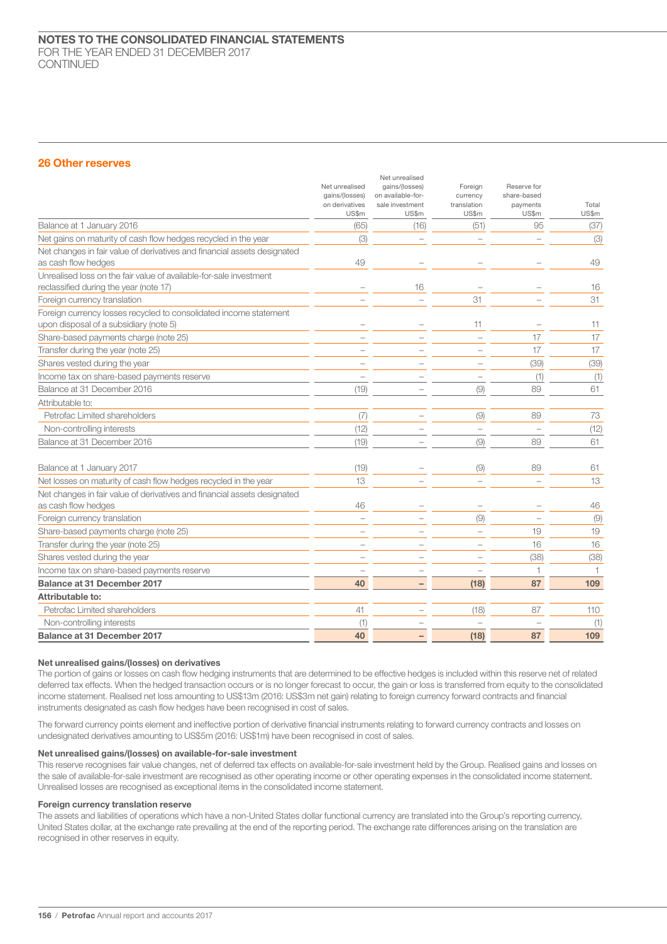## 26 Other reserves

|                                                                                                              | Net unrealised<br>gains/(losses)<br>on derivatives<br>US\$m | Net unrealised<br>gains/(losses)<br>on available-for-<br>sale investment<br>US\$m | Foreign<br>currency<br>translation<br>US\$m | Reserve for<br>share-based<br>payments<br>US\$m | Total<br>US\$m |
|--------------------------------------------------------------------------------------------------------------|-------------------------------------------------------------|-----------------------------------------------------------------------------------|---------------------------------------------|-------------------------------------------------|----------------|
| Balance at 1 January 2016                                                                                    | (65)                                                        | (16)                                                                              | (51)                                        | 95                                              | (37)           |
| Net gains on maturity of cash flow hedges recycled in the year                                               | (3)                                                         |                                                                                   |                                             |                                                 | (3)            |
| Net changes in fair value of derivatives and financial assets designated<br>as cash flow hedges              | 49                                                          |                                                                                   |                                             |                                                 | 49             |
| Unrealised loss on the fair value of available-for-sale investment<br>reclassified during the year (note 17) |                                                             | 16                                                                                |                                             |                                                 | 16             |
| Foreign currency translation                                                                                 |                                                             |                                                                                   | 31                                          |                                                 | 31             |
| Foreign currency losses recycled to consolidated income statement<br>upon disposal of a subsidiary (note 5)  |                                                             |                                                                                   | 11                                          |                                                 | 11             |
| Share-based payments charge (note 25)                                                                        |                                                             |                                                                                   |                                             | 17                                              | 17             |
| Transfer during the year (note 25)                                                                           |                                                             |                                                                                   |                                             | 17                                              | 17             |
| Shares vested during the year                                                                                |                                                             |                                                                                   |                                             | (39)                                            | (39)           |
| Income tax on share-based payments reserve                                                                   |                                                             |                                                                                   |                                             | (1)                                             | (1)            |
| Balance at 31 December 2016                                                                                  | (19)                                                        |                                                                                   | (9)                                         | 89                                              | 61             |
| Attributable to:                                                                                             |                                                             |                                                                                   |                                             |                                                 |                |
| Petrofac Limited shareholders                                                                                | (7)                                                         |                                                                                   | (9)                                         | 89                                              | 73             |
| Non-controlling interests                                                                                    | (12)                                                        |                                                                                   |                                             |                                                 | (12)           |
| Balance at 31 December 2016                                                                                  | (19)                                                        |                                                                                   | (9)                                         | 89                                              | 61             |
| Balance at 1 January 2017                                                                                    | (19)                                                        |                                                                                   | (9)                                         | 89                                              | 61             |
| Net losses on maturity of cash flow hedges recycled in the year                                              | 13                                                          |                                                                                   |                                             |                                                 | 13             |
| Net changes in fair value of derivatives and financial assets designated<br>as cash flow hedges              | 46                                                          |                                                                                   |                                             |                                                 | 46             |
| Foreign currency translation                                                                                 |                                                             |                                                                                   | (9)                                         |                                                 | (9)            |
| Share-based payments charge (note 25)                                                                        |                                                             |                                                                                   | $\overline{\phantom{a}}$                    | 19                                              | 19             |
| Transfer during the year (note 25)                                                                           |                                                             |                                                                                   |                                             | 16                                              | 16             |
| Shares vested during the year                                                                                |                                                             |                                                                                   |                                             | (38)                                            | (38)           |
| Income tax on share-based payments reserve                                                                   |                                                             |                                                                                   |                                             |                                                 | $\mathbf{1}$   |
| Balance at 31 December 2017                                                                                  | 40                                                          |                                                                                   | (18)                                        | 87                                              | 109            |
| Attributable to:                                                                                             |                                                             |                                                                                   |                                             |                                                 |                |
| Petrofac Limited shareholders                                                                                | 41                                                          |                                                                                   | (18)                                        | 87                                              | 110            |
| Non-controlling interests                                                                                    | (1)                                                         |                                                                                   |                                             |                                                 | (1)            |
| Balance at 31 December 2017                                                                                  | 40                                                          |                                                                                   | (18)                                        | 87                                              | 109            |

#### Net unrealised gains/(losses) on derivatives

The portion of gains or losses on cash flow hedging instruments that are determined to be effective hedges is included within this reserve net of related deferred tax effects. When the hedged transaction occurs or is no longer forecast to occur, the gain or loss is transferred from equity to the consolidated income statement. Realised net loss amounting to US\$13m (2016: US\$3m net gain) relating to foreign currency forward contracts and financial instruments designated as cash flow hedges have been recognised in cost of sales.

The forward currency points element and ineffective portion of derivative financial instruments relating to forward currency contracts and losses on undesignated derivatives amounting to US\$5m (2016: US\$1m) have been recognised in cost of sales.

## Net unrealised gains/(losses) on available-for-sale investment

This reserve recognises fair value changes, net of deferred tax effects on available-for-sale investment held by the Group. Realised gains and losses on the sale of available-for-sale investment are recognised as other operating income or other operating expenses in the consolidated income statement. Unrealised losses are recognised as exceptional items in the consolidated income statement.

## Foreign currency translation reserve

The assets and liabilities of operations which have a non-United States dollar functional currency are translated into the Group's reporting currency, United States dollar, at the exchange rate prevailing at the end of the reporting period. The exchange rate differences arising on the translation are recognised in other reserves in equity.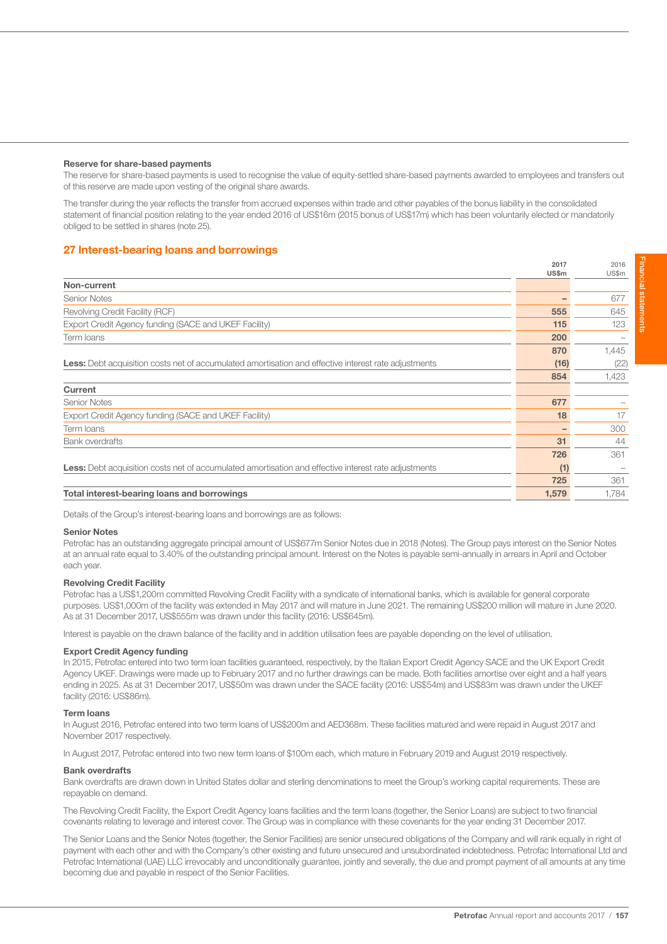#### Reserve for share-based payments

The reserve for share-based payments is used to recognise the value of equity-settled share-based payments awarded to employees and transfers out of this reserve are made upon vesting of the original share awards.

The transfer during the year reflects the transfer from accrued expenses within trade and other payables of the bonus liability in the consolidated statement of financial position relating to the year ended 2016 of US\$16m (2015 bonus of US\$17m) which has been voluntarily elected or mandatorily obliged to be settled in shares (note 25).

## 27 Interest-bearing loans and borrowings

|                                                                                                             | <b>US\$m</b> | US\$m |
|-------------------------------------------------------------------------------------------------------------|--------------|-------|
| Non-current                                                                                                 |              |       |
| <b>Senior Notes</b>                                                                                         |              | 677   |
| Revolving Credit Facility (RCF)                                                                             | 555          | 645   |
| Export Credit Agency funding (SACE and UKEF Facility)                                                       | 115          | 123   |
| Term Ioans                                                                                                  | 200          |       |
|                                                                                                             | 870          | 1,445 |
| Less: Debt acquisition costs net of accumulated amortisation and effective interest rate adjustments        | (16)         | (22)  |
|                                                                                                             | 854          | 1,423 |
| Current                                                                                                     |              |       |
| <b>Senior Notes</b>                                                                                         | 677          |       |
| Export Credit Agency funding (SACE and UKEF Facility)                                                       | 18           | 17    |
| Term Ioans                                                                                                  |              | 300   |
| <b>Bank overdrafts</b>                                                                                      | 31           | 44    |
|                                                                                                             | 726          | 361   |
| <b>Less:</b> Debt acquisition costs net of accumulated amortisation and effective interest rate adjustments | (1)          |       |
|                                                                                                             | 725          | 361   |
| Total interest-bearing loans and borrowings                                                                 | 1,579        | 1,784 |

Details of the Group's interest-bearing loans and borrowings are as follows:

## Senior Notes

Petrofac has an outstanding aggregate principal amount of US\$677m Senior Notes due in 2018 (Notes). The Group pays interest on the Senior Notes at an annual rate equal to 3.40% of the outstanding principal amount. Interest on the Notes is payable semi-annually in arrears in April and October each year.

## Revolving Credit Facility

Petrofac has a US\$1,200m committed Revolving Credit Facility with a syndicate of international banks, which is available for general corporate purposes. US\$1,000m of the facility was extended in May 2017 and will mature in June 2021. The remaining US\$200 million will mature in June 2020. As at 31 December 2017, US\$555m was drawn under this facility (2016: US\$645m).

Interest is payable on the drawn balance of the facility and in addition utilisation fees are payable depending on the level of utilisation.

### Export Credit Agency funding

In 2015, Petrofac entered into two term loan facilities guaranteed, respectively, by the Italian Export Credit Agency SACE and the UK Export Credit Agency UKEF. Drawings were made up to February 2017 and no further drawings can be made. Both facilities amortise over eight and a half years ending in 2025. As at 31 December 2017, US\$50m was drawn under the SACE facility (2016: US\$54m) and US\$83m was drawn under the UKEF facility (2016: US\$86m).

#### Term loans

In August 2016, Petrofac entered into two term loans of US\$200m and AED368m. These facilities matured and were repaid in August 2017 and November 2017 respectively.

In August 2017, Petrofac entered into two new term loans of \$100m each, which mature in February 2019 and August 2019 respectively.

#### Bank overdrafts

Bank overdrafts are drawn down in United States dollar and sterling denominations to meet the Group's working capital requirements. These are repayable on demand.

The Revolving Credit Facility, the Export Credit Agency loans facilities and the term loans (together, the Senior Loans) are subject to two financial covenants relating to leverage and interest cover. The Group was in compliance with these covenants for the year ending 31 December 2017.

The Senior Loans and the Senior Notes (together, the Senior Facilities) are senior unsecured obligations of the Company and will rank equally in right of payment with each other and with the Company's other existing and future unsecured and unsubordinated indebtedness. Petrofac International Ltd and Petrofac International (UAE) LLC irrevocably and unconditionally guarantee, jointly and severally, the due and prompt payment of all amounts at any time becoming due and payable in respect of the Senior Facilities.

2016

2017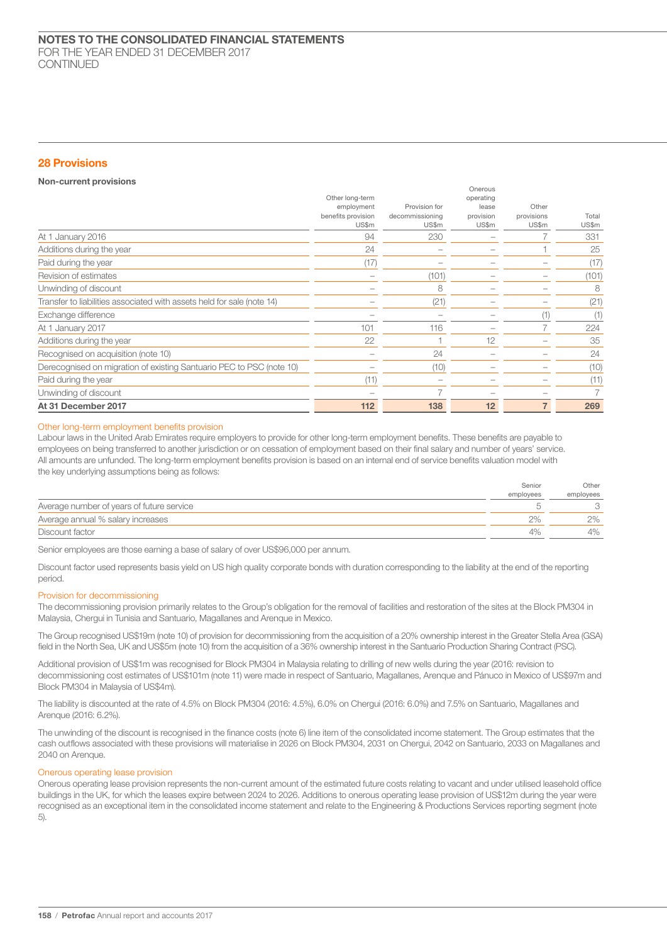## 28 Provisions

## Non-current provisions

| Revision of estimates<br>Unwinding of discount<br>Transfer to liabilities associated with assets held for sale (note 14)<br>Exchange difference<br>At 1 January 2017<br>Additions during the year | 101<br>22     | (101)<br>8<br>(21)<br>116<br>24 | 12 | (101)<br>8<br>(21)<br>(1)<br>224<br>35<br>24 |
|---------------------------------------------------------------------------------------------------------------------------------------------------------------------------------------------------|---------------|---------------------------------|----|----------------------------------------------|
| Recognised on acquisition (note 10)<br>Derecognised on migration of existing Santuario PEC to PSC (note 10)                                                                                       |               | (10)                            |    | (10)                                         |
| Paid during the year<br>Unwinding of discount<br>At 31 December 2017                                                                                                                              | (11)<br>$112$ | 138                             | 12 | (11)<br>269                                  |

## Other long-term employment benefits provision

Labour laws in the United Arab Emirates require employers to provide for other long-term employment benefits. These benefits are payable to employees on being transferred to another jurisdiction or on cessation of employment based on their final salary and number of years' service. All amounts are unfunded. The long-term employment benefits provision is based on an internal end of service benefits valuation model with the key underlying assumptions being as follows:

|                                           | Senior    | Other     |
|-------------------------------------------|-----------|-----------|
|                                           | employees | employees |
| Average number of years of future service |           |           |
| Average annual % salary increases         | 2%        | 2%        |
| Discount factor                           | 4%        | 4%        |

Senior employees are those earning a base of salary of over US\$96,000 per annum.

Discount factor used represents basis yield on US high quality corporate bonds with duration corresponding to the liability at the end of the reporting period.

## Provision for decommissioning

The decommissioning provision primarily relates to the Group's obligation for the removal of facilities and restoration of the sites at the Block PM304 in Malaysia, Chergui in Tunisia and Santuario, Magallanes and Arenque in Mexico.

The Group recognised US\$19m (note 10) of provision for decommissioning from the acquisition of a 20% ownership interest in the Greater Stella Area (GSA) field in the North Sea, UK and US\$5m (note 10) from the acquisition of a 36% ownership interest in the Santuario Production Sharing Contract (PSC).

Additional provision of US\$1m was recognised for Block PM304 in Malaysia relating to drilling of new wells during the year (2016: revision to decommissioning cost estimates of US\$101m (note 11) were made in respect of Santuario, Magallanes, Arenque and Pánuco in Mexico of US\$97m and Block PM304 in Malaysia of US\$4m).

The liability is discounted at the rate of 4.5% on Block PM304 (2016: 4.5%), 6.0% on Chergui (2016: 6.0%) and 7.5% on Santuario, Magallanes and Arenque (2016: 6.2%).

The unwinding of the discount is recognised in the finance costs (note 6) line item of the consolidated income statement. The Group estimates that the cash outflows associated with these provisions will materialise in 2026 on Block PM304, 2031 on Chergui, 2042 on Santuario, 2033 on Magallanes and 2040 on Arenque.

## Onerous operating lease provision

Onerous operating lease provision represents the non-current amount of the estimated future costs relating to vacant and under utilised leasehold office buildings in the UK, for which the leases expire between 2024 to 2026. Additions to onerous operating lease provision of US\$12m during the year were recognised as an exceptional item in the consolidated income statement and relate to the Engineering & Productions Services reporting segment (note 5).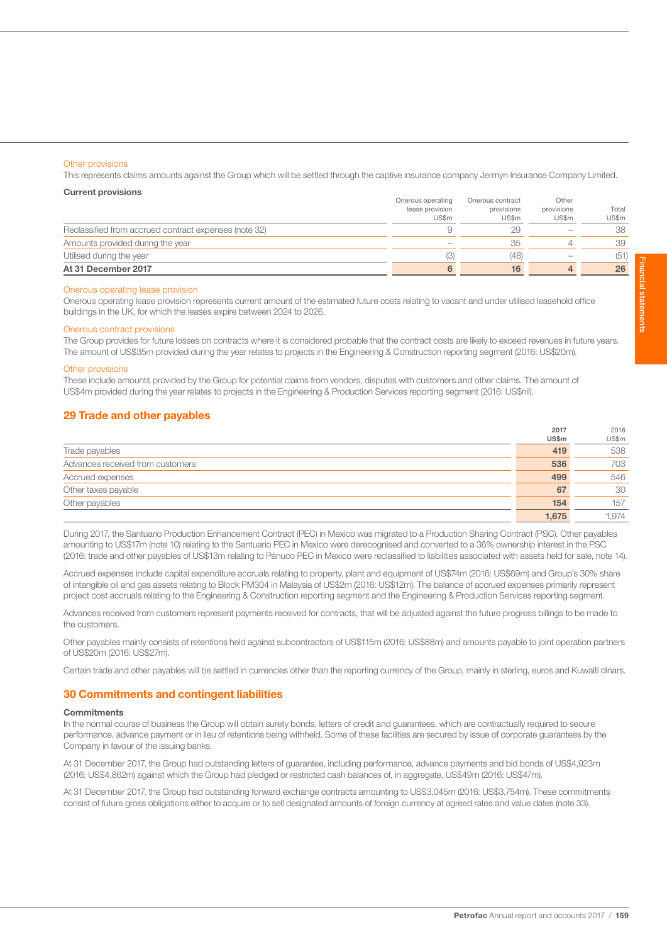This represents claims amounts against the Group which will be settled through the captive insurance company Jermyn Insurance Company Limited.

## Current provisions

| At 31 December 2017                                   |                          | 16                  |                     | 26             |
|-------------------------------------------------------|--------------------------|---------------------|---------------------|----------------|
| Utilised during the year                              |                          | (48)                |                     | (51)           |
| Amounts provided during the year                      | $\overline{\phantom{a}}$ | 35                  |                     | 39             |
| Reclassified from accrued contract expenses (note 32) |                          | 29                  |                     | 38             |
|                                                       | lease provision<br>US\$m | provisions<br>US\$m | provisions<br>US\$m | Total<br>US\$m |
|                                                       | Onerous operating        | Onerous contract    | Other               |                |

## Onerous operating lease provision

Onerous operating lease provision represents current amount of the estimated future costs relating to vacant and under utilised leasehold office buildings in the UK, for which the leases expire between 2024 to 2026.

#### Onerous contract provisions

The Group provides for future losses on contracts where it is considered probable that the contract costs are likely to exceed revenues in future years. The amount of US\$35m provided during the year relates to projects in the Engineering & Construction reporting segment (2016: US\$20m).

#### Other provisions

These include amounts provided by the Group for potential claims from vendors, disputes with customers and other claims. The amount of US\$4m provided during the year relates to projects in the Engineering & Production Services reporting segment (2016: US\$nil).

## 29 Trade and other payables

|                                  | 2017  | 2016  |
|----------------------------------|-------|-------|
|                                  | US\$m | US\$m |
| Trade payables                   | 419   | 538   |
| Advances received from customers | 536   | 703   |
| Accrued expenses                 | 499   | 546   |
| Other taxes payable              | 67    | 30    |
| Other payables                   | 154   | 157   |
|                                  | 1.675 | 1.974 |

During 2017, the Santuario Production Enhancement Contract (PEC) in Mexico was migrated to a Production Sharing Contract (PSC). Other payables amounting to US\$17m (note 10) relating to the Santuario PEC in Mexico were derecognised and converted to a 36% ownership interest in the PSC (2016: trade and other payables of US\$13m relating to Pánuco PEC in Mexico were reclassified to liabilities associated with assets held for sale, note 14).

Accrued expenses include capital expenditure accruals relating to property, plant and equipment of US\$74m (2016: US\$69m) and Group's 30% share of intangible oil and gas assets relating to Block PM304 in Malaysia of US\$2m (2016: US\$12m). The balance of accrued expenses primarily represent project cost accruals relating to the Engineering & Construction reporting segment and the Engineering & Production Services reporting segment.

Advances received from customers represent payments received for contracts, that will be adjusted against the future progress billings to be made to the customers.

Other payables mainly consists of retentions held against subcontractors of US\$115m (2016: US\$88m) and amounts payable to joint operation partners of US\$20m (2016: US\$27m).

Certain trade and other payables will be settled in currencies other than the reporting currency of the Group, mainly in sterling, euros and Kuwaiti dinars.

## 30 Commitments and contingent liabilities

## **Commitments**

In the normal course of business the Group will obtain surety bonds, letters of credit and guarantees, which are contractually required to secure performance, advance payment or in lieu of retentions being withheld. Some of these facilities are secured by issue of corporate guarantees by the Company in favour of the issuing banks.

At 31 December 2017, the Group had outstanding letters of guarantee, including performance, advance payments and bid bonds of US\$4,923m (2016: US\$4,862m) against which the Group had pledged or restricted cash balances of, in aggregate, US\$49m (2016: US\$47m).

At 31 December 2017, the Group had outstanding forward exchange contracts amounting to US\$3,045m (2016: US\$3,754m). These commitments consist of future gross obligations either to acquire or to sell designated amounts of foreign currency at agreed rates and value dates (note 33).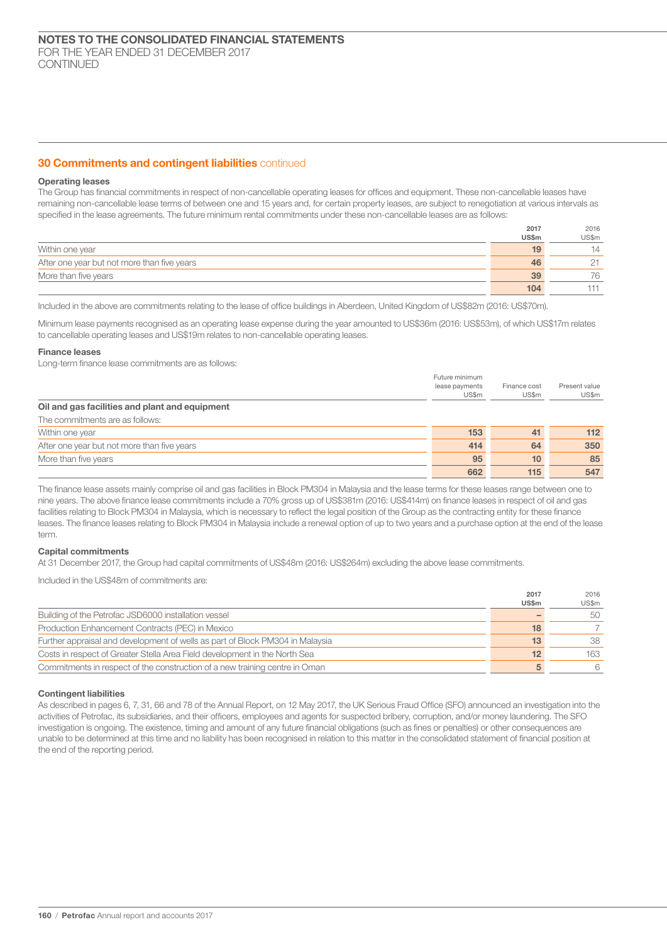## **30 Commitments and contingent liabilities** continued

## Operating leases

The Group has financial commitments in respect of non-cancellable operating leases for offices and equipment. These non-cancellable leases have remaining non-cancellable lease terms of between one and 15 years and, for certain property leases, are subject to renegotiation at various intervals as specified in the lease agreements. The future minimum rental commitments under these non-cancellable leases are as follows:

|                                             | 2017  | 2016      |
|---------------------------------------------|-------|-----------|
|                                             | US\$m | US\$m     |
| Within one year                             | 19    | 14        |
| After one year but not more than five years | 46    | $\bigcap$ |
| More than five years                        | 39    | 76        |
|                                             | 104   | 111       |

Included in the above are commitments relating to the lease of office buildings in Aberdeen, United Kingdom of US\$82m (2016: US\$70m).

Minimum lease payments recognised as an operating lease expense during the year amounted to US\$36m (2016: US\$53m), of which US\$17m relates to cancellable operating leases and US\$19m relates to non-cancellable operating leases.

#### Finance leases

Long-term finance lease commitments are as follows:

|                                                | Future minimum<br>lease payments<br>US\$m | Finance cost<br>US\$m | Present value<br>US\$m |
|------------------------------------------------|-------------------------------------------|-----------------------|------------------------|
| Oil and gas facilities and plant and equipment |                                           |                       |                        |
| The commitments are as follows:                |                                           |                       |                        |
| Within one year                                | 153                                       | 41                    | 112                    |
| After one year but not more than five years    | 414                                       | 64                    | 350                    |
| More than five years                           | 95                                        | 10                    | 85                     |
|                                                | 662                                       | 115                   | 547                    |

The finance lease assets mainly comprise oil and gas facilities in Block PM304 in Malaysia and the lease terms for these leases range between one to nine years. The above finance lease commitments include a 70% gross up of US\$381m (2016: US\$414m) on finance leases in respect of oil and gas facilities relating to Block PM304 in Malaysia, which is necessary to reflect the legal position of the Group as the contracting entity for these finance leases. The finance leases relating to Block PM304 in Malaysia include a renewal option of up to two years and a purchase option at the end of the lease term.

#### Capital commitments

At 31 December 2017, the Group had capital commitments of US\$48m (2016: US\$264m) excluding the above lease commitments.

Included in the US\$48m of commitments are:

|                                                                               | 2017            | 2016  |
|-------------------------------------------------------------------------------|-----------------|-------|
|                                                                               | <b>US\$m</b>    | US\$m |
| Building of the Petrofac JSD6000 installation vessel                          |                 | 50    |
| Production Enhancement Contracts (PEC) in Mexico                              | 18              |       |
| Further appraisal and development of wells as part of Block PM304 in Malaysia | 13              | 38    |
| Costs in respect of Greater Stella Area Field development in the North Sea    | 12 <sup>2</sup> | 163   |
| Commitments in respect of the construction of a new training centre in Oman   | 5               | 6     |

#### Contingent liabilities

As described in pages 6, 7, 31, 66 and 78 of the Annual Report, on 12 May 2017, the UK Serious Fraud Office (SFO) announced an investigation into the activities of Petrofac, its subsidiaries, and their officers, employees and agents for suspected bribery, corruption, and/or money laundering. The SFO investigation is ongoing. The existence, timing and amount of any future financial obligations (such as fines or penalties) or other consequences are unable to be determined at this time and no liability has been recognised in relation to this matter in the consolidated statement of financial position at the end of the reporting period.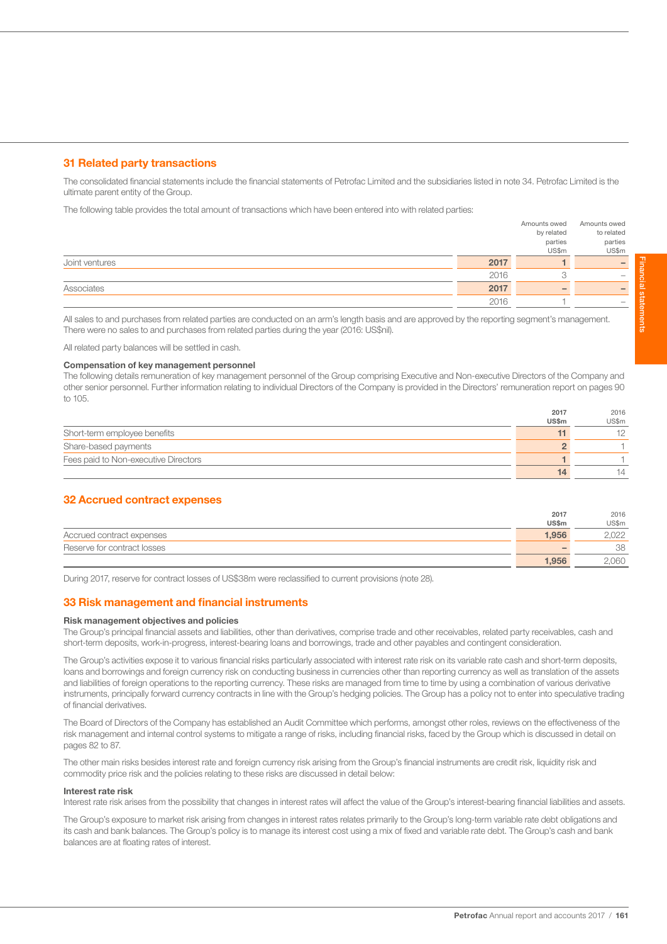## 31 Related party transactions

The consolidated financial statements include the financial statements of Petrofac Limited and the subsidiaries listed in note 34. Petrofac Limited is the ultimate parent entity of the Group.

The following table provides the total amount of transactions which have been entered into with related parties:

|                |      | Amounts owed | Amounts owed                    |
|----------------|------|--------------|---------------------------------|
|                |      | by related   | to related                      |
|                |      | parties      | parties                         |
|                |      | US\$m        | US\$m                           |
| Joint ventures | 2017 |              |                                 |
|                | 2016 |              | $\hspace{0.1mm}-\hspace{0.1mm}$ |
| Associates     | 2017 |              |                                 |
|                | 2016 |              |                                 |

All sales to and purchases from related parties are conducted on an arm's length basis and are approved by the reporting segment's management. There were no sales to and purchases from related parties during the year (2016: US\$nil).

All related party balances will be settled in cash.

## Compensation of key management personnel

The following details remuneration of key management personnel of the Group comprising Executive and Non-executive Directors of the Company and other senior personnel. Further information relating to individual Directors of the Company is provided in the Directors' remuneration report on pages 90 to 105.

|                                      | 2017         | 2016  |
|--------------------------------------|--------------|-------|
|                                      | <b>US\$m</b> | US\$m |
| Short-term employee benefits         |              |       |
| Share-based payments                 |              |       |
| Fees paid to Non-executive Directors |              |       |
|                                      | 14           | 14    |

## 32 Accrued contract expenses

|                             | 2017  | 2016  |
|-----------------------------|-------|-------|
|                             | US\$m | US\$m |
| Accrued contract expenses   | 1.956 | 2.022 |
| Reserve for contract losses |       | 38    |
|                             | 1.956 | 2.060 |

During 2017, reserve for contract losses of US\$38m were reclassified to current provisions (note 28).

## 33 Risk management and financial instruments

## Risk management objectives and policies

The Group's principal financial assets and liabilities, other than derivatives, comprise trade and other receivables, related party receivables, cash and short-term deposits, work-in-progress, interest-bearing loans and borrowings, trade and other payables and contingent consideration.

The Group's activities expose it to various financial risks particularly associated with interest rate risk on its variable rate cash and short-term deposits, loans and borrowings and foreign currency risk on conducting business in currencies other than reporting currency as well as translation of the assets and liabilities of foreign operations to the reporting currency. These risks are managed from time to time by using a combination of various derivative instruments, principally forward currency contracts in line with the Group's hedging policies. The Group has a policy not to enter into speculative trading of financial derivatives.

The Board of Directors of the Company has established an Audit Committee which performs, amongst other roles, reviews on the effectiveness of the risk management and internal control systems to mitigate a range of risks, including financial risks, faced by the Group which is discussed in detail on pages 82 to 87.

The other main risks besides interest rate and foreign currency risk arising from the Group's financial instruments are credit risk, liquidity risk and commodity price risk and the policies relating to these risks are discussed in detail below:

#### Interest rate risk

Interest rate risk arises from the possibility that changes in interest rates will affect the value of the Group's interest-bearing financial liabilities and assets.

The Group's exposure to market risk arising from changes in interest rates relates primarily to the Group's long-term variable rate debt obligations and its cash and bank balances. The Group's policy is to manage its interest cost using a mix of fixed and variable rate debt. The Group's cash and bank balances are at floating rates of interest.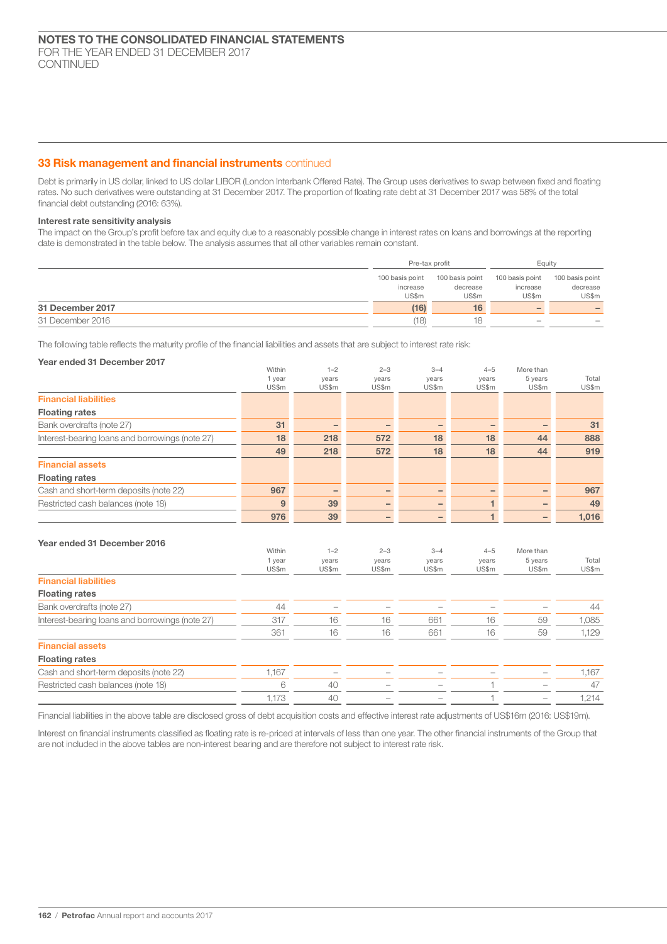## 33 Risk management and financial instruments continued

Debt is primarily in US dollar, linked to US dollar LIBOR (London Interbank Offered Rate). The Group uses derivatives to swap between fixed and floating rates. No such derivatives were outstanding at 31 December 2017. The proportion of floating rate debt at 31 December 2017 was 58% of the total financial debt outstanding (2016: 63%).

## Interest rate sensitivity analysis

The impact on the Group's profit before tax and equity due to a reasonably possible change in interest rates on loans and borrowings at the reporting date is demonstrated in the table below. The analysis assumes that all other variables remain constant.

|                  | Pre-tax profit  |                 | Eauity                          |                 |
|------------------|-----------------|-----------------|---------------------------------|-----------------|
|                  | 100 basis point | 100 basis point | 100 basis point                 | 100 basis point |
|                  | increase        | decrease        | increase                        | decrease        |
|                  | US\$m           | US\$m           | US\$m                           | US\$m           |
| 31 December 2017 | (16)            | 16              | $\overline{\phantom{0}}$        |                 |
| 31 December 2016 | (18)            | 18              | $\hspace{0.1mm}-\hspace{0.1mm}$ |                 |

The following table reflects the maturity profile of the financial liabilities and assets that are subject to interest rate risk:

| Year ended 31 December 2017                     |                           |                           |                           |                           |                           |                               |                |
|-------------------------------------------------|---------------------------|---------------------------|---------------------------|---------------------------|---------------------------|-------------------------------|----------------|
|                                                 | Within                    | $1 - 2$                   | $2 - 3$                   | $3 - 4$                   | $4 - 5$                   | More than                     |                |
|                                                 | 1 year                    | years                     | years                     | years                     | years<br>US\$m            | 5 years                       | Total          |
|                                                 | US\$m                     | US\$m                     | US\$m                     | US\$m                     |                           | US\$m                         | US\$m          |
| <b>Financial liabilities</b>                    |                           |                           |                           |                           |                           |                               |                |
| <b>Floating rates</b>                           |                           |                           |                           |                           |                           |                               |                |
| Bank overdrafts (note 27)                       | 31                        | $\qquad \qquad -$         | $\qquad \qquad -$         | $\qquad \qquad$           | $\qquad \qquad -$         |                               | 31             |
| Interest-bearing loans and borrowings (note 27) | 18                        | 218                       | 572                       | 18                        | 18                        | 44                            | 888            |
|                                                 | 49                        | 218                       | 572                       | 18                        | 18                        | 44                            | 919            |
| <b>Financial assets</b>                         |                           |                           |                           |                           |                           |                               |                |
| <b>Floating rates</b>                           |                           |                           |                           |                           |                           |                               |                |
| Cash and short-term deposits (note 22)          | 967                       | $\qquad \qquad -$         | $\qquad \qquad -$         | $\qquad \qquad$           | $\qquad \qquad -$         |                               | 967            |
| Restricted cash balances (note 18)              | 9                         | 39                        | -                         |                           | $\mathbf 1$               |                               | 49             |
|                                                 | 976                       | 39                        | -                         |                           | $\mathbf{1}$              |                               | 1,016          |
| Year ended 31 December 2016                     | Within<br>1 year<br>US\$m | $1 - 2$<br>years<br>US\$m | $2 - 3$<br>years<br>US\$m | $3 - 4$<br>years<br>US\$m | $4 - 5$<br>years<br>US\$m | More than<br>5 years<br>US\$m | Total<br>US\$m |
| <b>Financial liabilities</b>                    |                           |                           |                           |                           |                           |                               |                |
| <b>Floating rates</b>                           |                           |                           |                           |                           |                           |                               |                |
| Bank overdrafts (note 27)                       | 44                        |                           |                           |                           |                           |                               | 44             |
| Interest-bearing loans and borrowings (note 27) | 317                       | 16                        | 16                        | 661                       | 16                        | 59                            | 1,085          |
|                                                 | 361                       | 16                        | 16                        | 661                       | 16                        | 59                            | 1,129          |
| <b>Financial assets</b>                         |                           |                           |                           |                           |                           |                               |                |
| <b>Floating rates</b>                           |                           |                           |                           |                           |                           |                               |                |
| Cash and short-term deposits (note 22)          | 1,167                     |                           |                           |                           |                           |                               | 1,167          |
| Restricted cash balances (note 18)              | 6                         | 40                        |                           |                           |                           |                               | 47             |
|                                                 | 1,173                     | 40                        |                           |                           |                           |                               | 1,214          |
|                                                 |                           |                           |                           |                           |                           |                               |                |

Financial liabilities in the above table are disclosed gross of debt acquisition costs and effective interest rate adjustments of US\$16m (2016: US\$19m).

Interest on financial instruments classified as floating rate is re-priced at intervals of less than one year. The other financial instruments of the Group that are not included in the above tables are non-interest bearing and are therefore not subject to interest rate risk.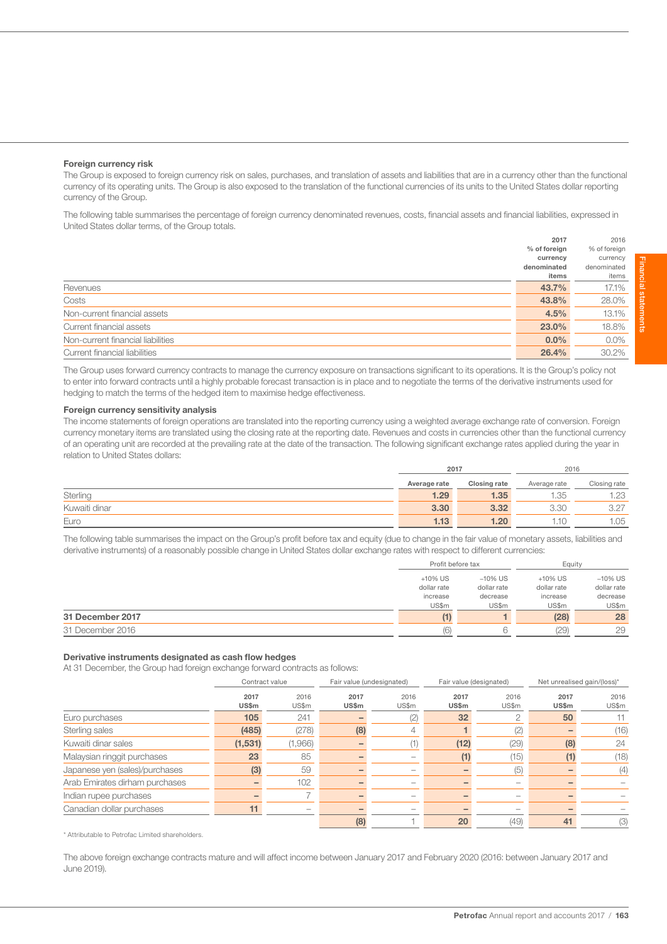## Foreign currency risk

The Group is exposed to foreign currency risk on sales, purchases, and translation of assets and liabilities that are in a currency other than the functional currency of its operating units. The Group is also exposed to the translation of the functional currencies of its units to the United States dollar reporting currency of the Group.

The following table summarises the percentage of foreign currency denominated revenues, costs, financial assets and financial liabilities, expressed in United States dollar terms, of the Group totals.

|                                   | 2017         | 2016         |
|-----------------------------------|--------------|--------------|
|                                   | % of foreign | % of foreign |
|                                   | currency     | currency     |
|                                   | denominated  | denominated  |
|                                   | items        | items        |
| Revenues                          | 43.7%        | 17.1%        |
| Costs                             | 43.8%        | 28.0%        |
| Non-current financial assets      | 4.5%         | 13.1%        |
| Current financial assets          | 23.0%        | 18.8%        |
| Non-current financial liabilities | $0.0\%$      | $0.0\%$      |
| Current financial liabilities     | 26.4%        | 30.2%        |
|                                   |              |              |

The Group uses forward currency contracts to manage the currency exposure on transactions significant to its operations. It is the Group's policy not to enter into forward contracts until a highly probable forecast transaction is in place and to negotiate the terms of the derivative instruments used for hedging to match the terms of the hedged item to maximise hedge effectiveness.

## Foreign currency sensitivity analysis

The income statements of foreign operations are translated into the reporting currency using a weighted average exchange rate of conversion. Foreign currency monetary items are translated using the closing rate at the reporting date. Revenues and costs in currencies other than the functional currency of an operating unit are recorded at the prevailing rate at the date of the transaction. The following significant exchange rates applied during the year in relation to United States dollars:

|               | 2017         |              | 2016         |              |
|---------------|--------------|--------------|--------------|--------------|
|               | Average rate | Closing rate | Average rate | Closing rate |
| Sterling      | 1.29         | 1.35         | 1.35         | 1.23         |
| Kuwaiti dinar | 3.30         | 3.32         | 3.30         | 3.27         |
| Euro          | 1.13         | 1.20         | 1.10         | 1.05         |

The following table summarises the impact on the Group's profit before tax and equity (due to change in the fair value of monetary assets, liabilities and derivative instruments) of a reasonably possible change in United States dollar exchange rates with respect to different currencies:

|                  | Profit before tax |             | Equity      |             |
|------------------|-------------------|-------------|-------------|-------------|
|                  | $+10\%$ US        | $-10\%$ US  | $+10\%$ US  | $-10\%$ US  |
|                  | dollar rate       | dollar rate | dollar rate | dollar rate |
|                  | increase          | decrease    | increase    | decrease    |
|                  | US\$m             | US\$m       | US\$m       | US\$m       |
| 31 December 2017 |                   |             | (28)        | 28          |
| 31 December 2016 | (6)               |             | (29)        | 29          |

#### Derivative instruments designated as cash flow hedges

At 31 December, the Group had foreign exchange forward contracts as follows:

|                                | Contract value |                   |               | Fair value (undesignated) | Fair value (designated) |               | Net unrealised gain/(loss)* |               |
|--------------------------------|----------------|-------------------|---------------|---------------------------|-------------------------|---------------|-----------------------------|---------------|
|                                | 2017<br>US\$m  | 2016<br>US\$m     | 2017<br>US\$m | 2016<br>US\$m             | 2017<br>US\$m           | 2016<br>US\$m | 2017<br>US\$m               | 2016<br>US\$m |
| Euro purchases                 | 105            | 241               |               | (2)                       | 32 <sub>2</sub>         |               | 50                          |               |
| Sterling sales                 | (485)          | (278)             | (8)           | 4                         |                         | (2)           |                             | (16)          |
| Kuwaiti dinar sales            | (1,531)        | (1,966)           |               | (1)                       | (12)                    | (29)          | (8)                         | 24            |
| Malaysian ringgit purchases    | 23             | 85                |               |                           | Ü                       | (15)          |                             | (18)          |
| Japanese yen (sales)/purchases | (3)            | 59                |               | $\overline{\phantom{a}}$  |                         | (5)           |                             | (4)           |
| Arab Emirates dirham purchases |                | 102               |               |                           |                         | -             |                             |               |
| Indian rupee purchases         |                |                   |               | -                         |                         |               |                             |               |
| Canadian dollar purchases      | 11             | $\hspace{0.05cm}$ |               | $\overline{\phantom{a}}$  |                         |               |                             |               |
|                                |                |                   | (8)           |                           | 20                      | (49)          | 41                          | (3)           |

\* Attributable to Petrofac Limited shareholders.

The above foreign exchange contracts mature and will affect income between January 2017 and February 2020 (2016: between January 2017 and June 2019).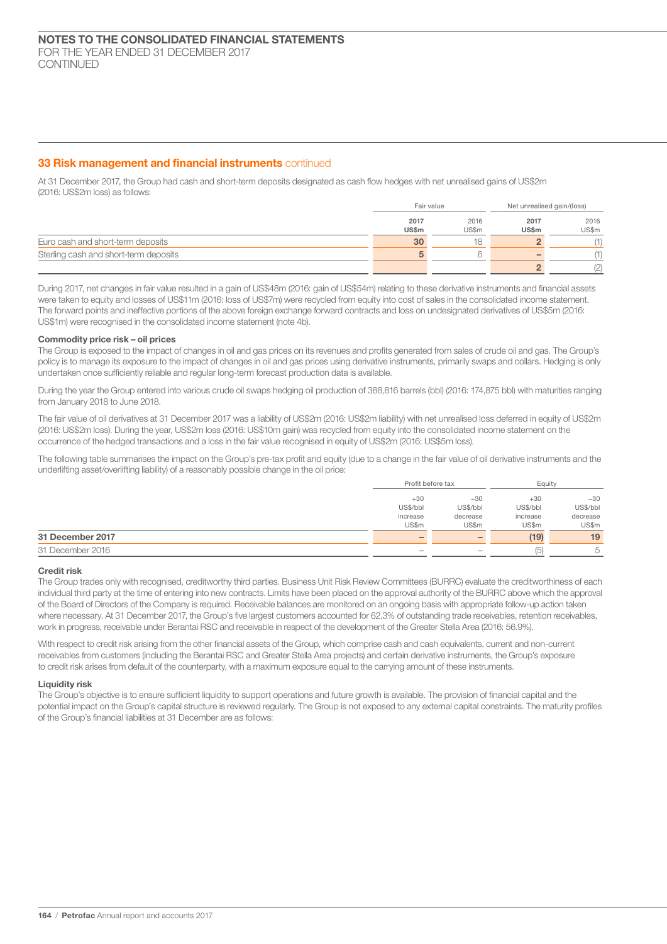## **33 Risk management and financial instruments continued**

At 31 December 2017, the Group had cash and short-term deposits designated as cash flow hedges with net unrealised gains of US\$2m (2016: US\$2m loss) as follows:

|                                       |       | Fair value |                          | Net unrealised gain/(loss) |  |
|---------------------------------------|-------|------------|--------------------------|----------------------------|--|
|                                       | 2017  | 2016       | 2017                     | 2016                       |  |
|                                       | US\$m | US\$m      | <b>US\$m</b>             | US\$m                      |  |
| Euro cash and short-term deposits     | 30    | 18         |                          | (1)                        |  |
| Sterling cash and short-term deposits |       |            | $\overline{\phantom{a}}$ |                            |  |
|                                       |       |            |                          | (2)                        |  |

During 2017, net changes in fair value resulted in a gain of US\$48m (2016: gain of US\$54m) relating to these derivative instruments and financial assets were taken to equity and losses of US\$11m (2016: loss of US\$7m) were recycled from equity into cost of sales in the consolidated income statement. The forward points and ineffective portions of the above foreign exchange forward contracts and loss on undesignated derivatives of US\$5m (2016: US\$1m) were recognised in the consolidated income statement (note 4b).

## Commodity price risk – oil prices

The Group is exposed to the impact of changes in oil and gas prices on its revenues and profits generated from sales of crude oil and gas. The Group's policy is to manage its exposure to the impact of changes in oil and gas prices using derivative instruments, primarily swaps and collars. Hedging is only undertaken once sufficiently reliable and regular long-term forecast production data is available.

During the year the Group entered into various crude oil swaps hedging oil production of 388,816 barrels (bbl) (2016: 174,875 bbl) with maturities ranging from January 2018 to June 2018.

The fair value of oil derivatives at 31 December 2017 was a liability of US\$2m (2016: US\$2m liability) with net unrealised loss deferred in equity of US\$2m (2016: US\$2m loss). During the year, US\$2m loss (2016: US\$10m gain) was recycled from equity into the consolidated income statement on the occurrence of the hedged transactions and a loss in the fair value recognised in equity of US\$2m (2016: US\$5m loss).

The following table summarises the impact on the Group's pre-tax profit and equity (due to a change in the fair value of oil derivative instruments and the underlifting asset/overlifting liability) of a reasonably possible change in the oil price:

|                  |          | Profit before tax |                                                       | Equity   |  |
|------------------|----------|-------------------|-------------------------------------------------------|----------|--|
|                  | $+30$    | $-30$             | $+30$<br>US\$/bbl<br>US\$/bbl<br>decrease<br>increase | $-30$    |  |
|                  | US\$/bbl |                   |                                                       | US\$/bbl |  |
|                  | increase |                   |                                                       | decrease |  |
|                  | US\$m    | US\$m             | US\$m                                                 | US\$m    |  |
| 31 December 2017 |          | -                 | (19)                                                  | 19       |  |
| 31 December 2016 | $\sim$   | -                 | (5)                                                   | b        |  |

## Credit risk

The Group trades only with recognised, creditworthy third parties. Business Unit Risk Review Committees (BURRC) evaluate the creditworthiness of each individual third party at the time of entering into new contracts. Limits have been placed on the approval authority of the BURRC above which the approval of the Board of Directors of the Company is required. Receivable balances are monitored on an ongoing basis with appropriate follow-up action taken where necessary. At 31 December 2017, the Group's five largest customers accounted for 62.3% of outstanding trade receivables, retention receivables, work in progress, receivable under Berantai RSC and receivable in respect of the development of the Greater Stella Area (2016: 56.9%).

With respect to credit risk arising from the other financial assets of the Group, which comprise cash and cash equivalents, current and non-current receivables from customers (including the Berantai RSC and Greater Stella Area projects) and certain derivative instruments, the Group's exposure to credit risk arises from default of the counterparty, with a maximum exposure equal to the carrying amount of these instruments.

## Liquidity risk

The Group's objective is to ensure sufficient liquidity to support operations and future growth is available. The provision of financial capital and the potential impact on the Group's capital structure is reviewed regularly. The Group is not exposed to any external capital constraints. The maturity profiles of the Group's financial liabilities at 31 December are as follows: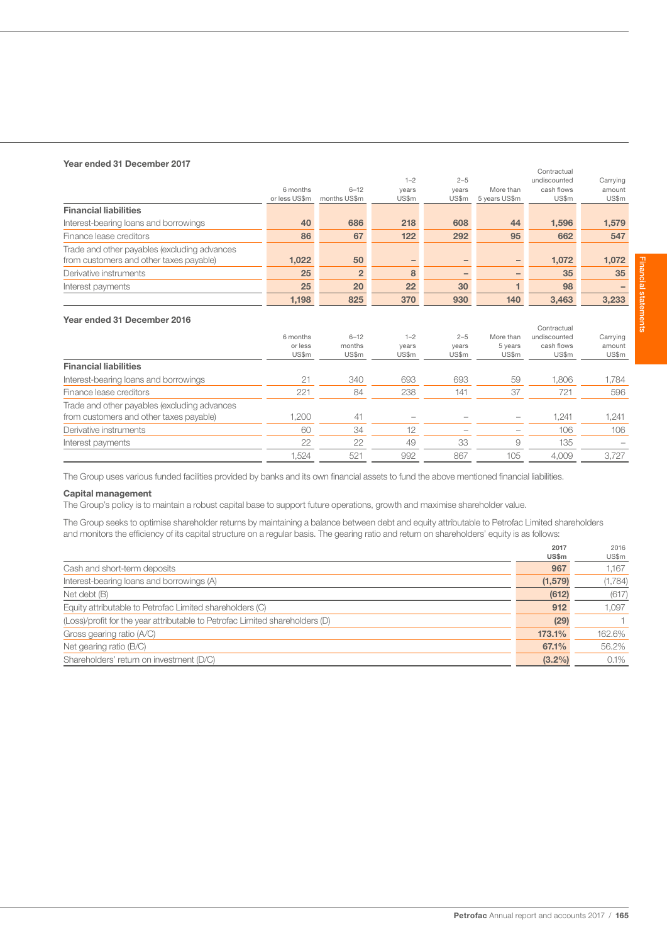## Year ended 31 December 2017

| rear engeg 31 December zu M                  |               |                |         |         |               | Contractual  |          |
|----------------------------------------------|---------------|----------------|---------|---------|---------------|--------------|----------|
|                                              |               |                | $1 - 2$ | $2 - 5$ |               | undiscounted | Carrying |
|                                              | 6 months      | $6 - 12$       | years   | years   | More than     | cash flows   | amount   |
|                                              | or less US\$m | months US\$m   | US\$m   | US\$m   | 5 years US\$m | US\$m        | US\$m    |
| <b>Financial liabilities</b>                 |               |                |         |         |               |              |          |
| Interest-bearing loans and borrowings        | 40            | 686            | 218     | 608     | 44            | 1,596        | 1,579    |
| Finance lease creditors                      | 86            | 67             | 122     | 292     | 95            | 662          | 547      |
| Trade and other payables (excluding advances |               |                |         |         |               |              |          |
| from customers and other taxes payable)      | 1,022         | 50             | -       |         | -             | 1.072        | 1,072    |
| Derivative instruments                       | 25            | $\overline{2}$ | 8       |         |               | 35           | 35       |
| Interest payments                            | 25            | 20             | 22      | 30      |               | 98           |          |
|                                              | 1.198         | 825            | 370     | 930     | 140           | 3.463        | 3.233    |

## Year ended 31 December 2016

|                                                                                         | 6 months<br>or less<br>US\$m | $6 - 12$<br>months<br>US\$m | $1 - 2$<br>years<br>US\$m | $2 - 5$<br>years<br>US\$m | More than<br>5 years<br>US\$m | Contractual<br>undiscounted<br>cash flows<br>US\$m | Carrying<br>amount<br>US\$m |
|-----------------------------------------------------------------------------------------|------------------------------|-----------------------------|---------------------------|---------------------------|-------------------------------|----------------------------------------------------|-----------------------------|
| <b>Financial liabilities</b>                                                            |                              |                             |                           |                           |                               |                                                    |                             |
| Interest-bearing loans and borrowings                                                   | 21                           | 340                         | 693                       | 693                       | 59                            | 1,806                                              | 1,784                       |
| Finance lease creditors                                                                 | 221                          | 84                          | 238                       | 141                       | 37                            | 721                                                | 596                         |
| Trade and other payables (excluding advances<br>from customers and other taxes payable) | .200                         | 41                          |                           |                           |                               | 1,241                                              | 1,241                       |
| Derivative instruments                                                                  | 60                           | 34                          | 12                        |                           |                               | 106                                                | 106                         |
| Interest payments                                                                       | 22                           | 22                          | 49                        | 33                        | 9                             | 135                                                |                             |
|                                                                                         | 1,524                        | 521                         | 992                       | 867                       | 105                           | 4.009                                              | 3.727                       |

The Group uses various funded facilities provided by banks and its own financial assets to fund the above mentioned financial liabilities.

## Capital management

The Group's policy is to maintain a robust capital base to support future operations, growth and maximise shareholder value.

The Group seeks to optimise shareholder returns by maintaining a balance between debt and equity attributable to Petrofac Limited shareholders and monitors the efficiency of its capital structure on a regular basis. The gearing ratio and return on shareholders' equity is as follows:

|                                                                              | 2017         | 2016    |
|------------------------------------------------------------------------------|--------------|---------|
|                                                                              | <b>US\$m</b> | US\$m   |
| Cash and short-term deposits                                                 | 967          | 1.167   |
| Interest-bearing loans and borrowings (A)                                    | (1, 579)     | (1,784) |
| Net debt (B)                                                                 | (612)        | (617)   |
| Equity attributable to Petrofac Limited shareholders (C)                     | 912          | 1,097   |
| (Loss)/profit for the year attributable to Petrofac Limited shareholders (D) | (29)         |         |
| Gross gearing ratio (A/C)                                                    | 173.1%       | 162.6%  |
| Net gearing ratio (B/C)                                                      | 67.1%        | 56.2%   |
| Shareholders' return on investment (D/C)                                     | $(3.2\%)$    | 0.1%    |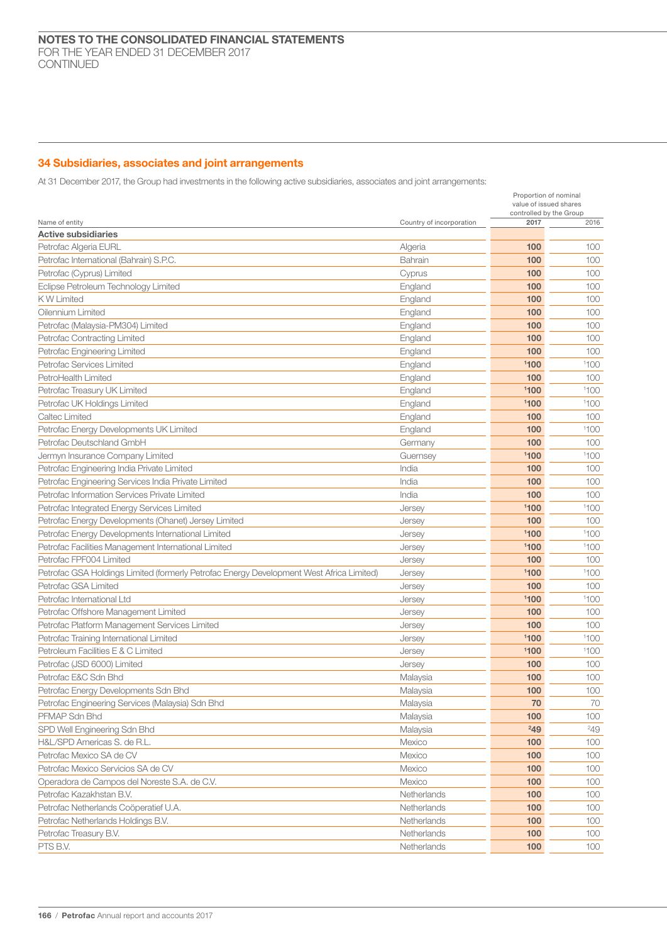# 34 Subsidiaries, associates and joint arrangements

At 31 December 2017, the Group had investments in the following active subsidiaries, associates and joint arrangements:

|                                                                                          |                          | Proportion of nominal<br>value of issued shares<br>controlled by the Group |      |
|------------------------------------------------------------------------------------------|--------------------------|----------------------------------------------------------------------------|------|
| Name of entity                                                                           | Country of incorporation | 2017                                                                       | 2016 |
| <b>Active subsidiaries</b>                                                               |                          |                                                                            |      |
| Petrofac Algeria EURL                                                                    | Algeria                  | 100                                                                        | 100  |
| Petrofac International (Bahrain) S.P.C.                                                  | Bahrain                  | 100                                                                        | 100  |
| Petrofac (Cyprus) Limited                                                                | Cyprus                   | 100                                                                        | 100  |
| Eclipse Petroleum Technology Limited                                                     | England                  | 100                                                                        | 100  |
| <b>KW Limited</b>                                                                        | England                  | 100                                                                        | 100  |
| Oilennium Limited                                                                        | England                  | 100                                                                        | 100  |
| Petrofac (Malaysia-PM304) Limited                                                        | England                  | 100                                                                        | 100  |
| Petrofac Contracting Limited                                                             | England                  | 100                                                                        | 100  |
| Petrofac Engineering Limited                                                             | England                  | 100                                                                        | 100  |
| Petrofac Services Limited                                                                | England                  | 1100                                                                       | 1100 |
| PetroHealth Limited                                                                      | England                  | 100                                                                        | 100  |
| Petrofac Treasury UK Limited                                                             | England                  | 1100                                                                       | 1100 |
| Petrofac UK Holdings Limited                                                             | England                  | 1100                                                                       | 1100 |
| Caltec Limited                                                                           | England                  | 100                                                                        | 100  |
| Petrofac Energy Developments UK Limited                                                  | England                  | 100                                                                        | 1100 |
| Petrofac Deutschland GmbH                                                                | Germany                  | 100                                                                        | 100  |
| Jermyn Insurance Company Limited                                                         | Guernsey                 | 1100                                                                       | 1100 |
| Petrofac Engineering India Private Limited                                               | India                    | 100                                                                        | 100  |
| Petrofac Engineering Services India Private Limited                                      | India                    | 100                                                                        | 100  |
| Petrofac Information Services Private Limited                                            | India                    | 100                                                                        | 100  |
| Petrofac Integrated Energy Services Limited                                              | Jersey                   | 1100                                                                       | 1100 |
| Petrofac Energy Developments (Ohanet) Jersey Limited                                     | Jersey                   | 100                                                                        | 100  |
| Petrofac Energy Developments International Limited                                       | Jersey                   | 1100                                                                       | 1100 |
| Petrofac Facilities Management International Limited                                     | Jersey                   | 1100                                                                       | 1100 |
| Petrofac FPF004 Limited                                                                  | Jersey                   | 100                                                                        | 100  |
| Petrofac GSA Holdings Limited (formerly Petrofac Energy Development West Africa Limited) | Jersey                   | 1100                                                                       | 1100 |
| Petrofac GSA Limited                                                                     | Jersey                   | 100                                                                        | 100  |
| Petrofac International Ltd                                                               | Jersey                   | 1100                                                                       | 1100 |
| Petrofac Offshore Management Limited                                                     | Jersey                   | 100                                                                        | 100  |
| Petrofac Platform Management Services Limited                                            | Jersey                   | 100                                                                        | 100  |
| Petrofac Training International Limited                                                  | Jersey                   | 1100                                                                       | 1100 |
| Petroleum Facilities E & C Limited                                                       | Jersey                   | 1100                                                                       | 1100 |
| Petrofac (JSD 6000) Limited                                                              | Jersey                   | 100                                                                        | 100  |
| Petrofac E&C Sdn Bhd                                                                     | Malaysia                 | 100                                                                        | 100  |
| Petrofac Energy Developments Sdn Bhd                                                     | Malaysia                 | 100                                                                        | 100  |
| Petrofac Engineering Services (Malaysia) Sdn Bhd                                         | Malaysia                 | 70                                                                         | 70   |
| PFMAP Sdn Bhd                                                                            | Malaysia                 | 100                                                                        | 100  |
| SPD Well Engineering Sdn Bhd                                                             | Malaysia                 | 249                                                                        | 249  |
| H&L/SPD Americas S. de R.L.                                                              |                          | 100                                                                        | 100  |
|                                                                                          | Mexico                   |                                                                            |      |
| Petrofac Mexico SA de CV<br>Petrofac Mexico Servicios SA de CV                           | Mexico                   | 100                                                                        | 100  |
|                                                                                          | Mexico                   | 100                                                                        | 100  |
| Operadora de Campos del Noreste S.A. de C.V.                                             | Mexico                   | 100                                                                        | 100  |
| Petrofac Kazakhstan B.V.                                                                 | Netherlands              | 100                                                                        | 100  |
| Petrofac Netherlands Coöperatief U.A.                                                    | Netherlands              | 100                                                                        | 100  |
| Petrofac Netherlands Holdings B.V.                                                       | Netherlands              | 100                                                                        | 100  |
| Petrofac Treasury B.V.                                                                   | Netherlands              | 100                                                                        | 100  |
| PTS B.V.                                                                                 | Netherlands              | 100                                                                        | 100  |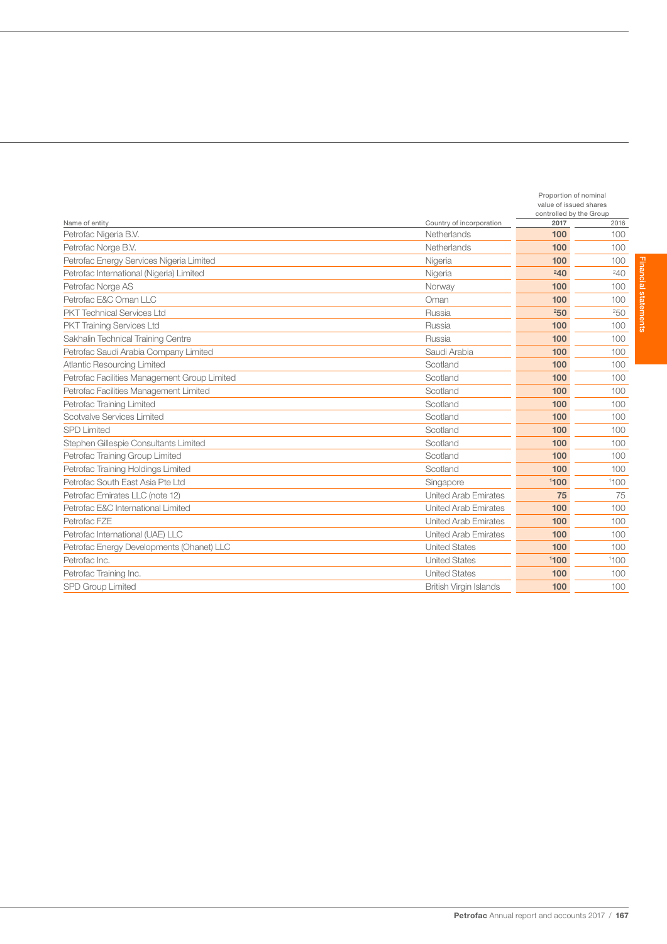|                                              |                               | Proportion of nominal<br>value of issued shares<br>controlled by the Group |           |  |
|----------------------------------------------|-------------------------------|----------------------------------------------------------------------------|-----------|--|
| Name of entity                               | Country of incorporation      | 2017                                                                       | 2016      |  |
| Petrofac Nigeria B.V.                        | Netherlands                   | 100                                                                        | 100       |  |
| Petrofac Norge B.V.                          | Netherlands                   | 100                                                                        | 100       |  |
| Petrofac Energy Services Nigeria Limited     | Nigeria                       | 100                                                                        | 100       |  |
| Petrofac International (Nigeria) Limited     | Nigeria                       | 240                                                                        | $^{24}$ O |  |
| Petrofac Norge AS                            | Norway                        | 100                                                                        | 100       |  |
| Petrofac E&C Oman LLC                        | Oman                          | 100                                                                        | 100       |  |
| <b>PKT Technical Services Ltd</b>            | Russia                        | 250                                                                        | 250       |  |
| <b>PKT Training Services Ltd</b>             | Russia                        | 100                                                                        | 100       |  |
| Sakhalin Technical Training Centre           | Russia                        | 100                                                                        | 100       |  |
| Petrofac Saudi Arabia Company Limited        | Saudi Arabia                  | 100                                                                        | 100       |  |
| <b>Atlantic Resourcing Limited</b>           | Scotland                      | 100                                                                        | 100       |  |
| Petrofac Facilities Management Group Limited | Scotland                      | 100                                                                        | 100       |  |
| Petrofac Facilities Management Limited       | Scotland                      | 100                                                                        | 100       |  |
| Petrofac Training Limited                    | Scotland                      | 100                                                                        | 100       |  |
| Scotvalve Services Limited                   | Scotland                      | 100                                                                        | 100       |  |
| <b>SPD Limited</b>                           | Scotland                      | 100                                                                        | 100       |  |
| Stephen Gillespie Consultants Limited        | Scotland                      | 100                                                                        | 100       |  |
| Petrofac Training Group Limited              | Scotland                      | 100                                                                        | 100       |  |
| Petrofac Training Holdings Limited           | Scotland                      | 100                                                                        | 100       |  |
| Petrofac South East Asia Pte Ltd             | Singapore                     | 1100                                                                       | 1100      |  |
| Petrofac Emirates LLC (note 12)              | <b>United Arab Emirates</b>   | 75                                                                         | 75        |  |
| Petrofac E&C International Limited           | <b>United Arab Emirates</b>   | 100                                                                        | 100       |  |
| Petrofac FZE                                 | <b>United Arab Emirates</b>   | 100                                                                        | 100       |  |
| Petrofac International (UAE) LLC             | <b>United Arab Emirates</b>   | 100                                                                        | 100       |  |
| Petrofac Energy Developments (Ohanet) LLC    | <b>United States</b>          | 100                                                                        | 100       |  |
| Petrofac Inc.                                | <b>United States</b>          | 1100                                                                       | 1100      |  |
| Petrofac Training Inc.                       | <b>United States</b>          | 100                                                                        | 100       |  |
| <b>SPD Group Limited</b>                     | <b>British Virgin Islands</b> | 100                                                                        | 100       |  |